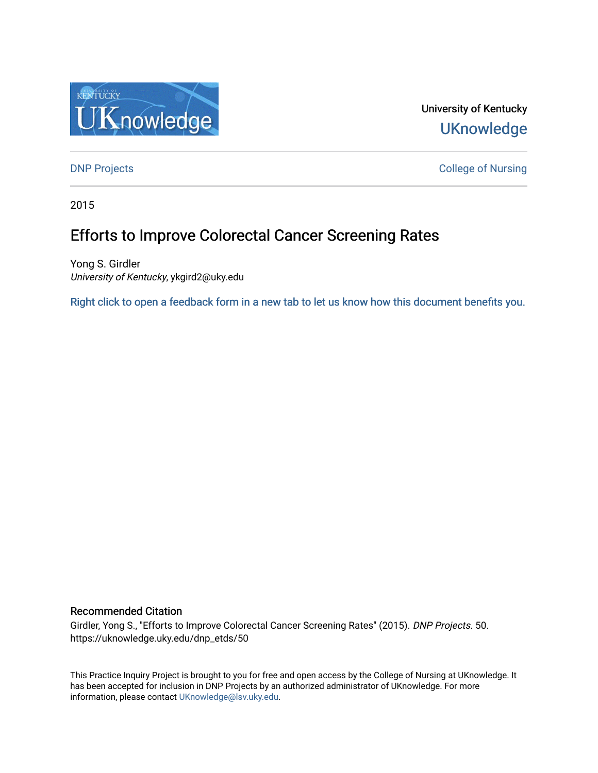

University of Kentucky **UKnowledge** 

**DNP Projects** College of Nursing

2015

# Efforts to Improve Colorectal Cancer Screening Rates

Yong S. Girdler University of Kentucky, ykgird2@uky.edu

[Right click to open a feedback form in a new tab to let us know how this document benefits you.](https://uky.az1.qualtrics.com/jfe/form/SV_9mq8fx2GnONRfz7)

## Recommended Citation

Girdler, Yong S., "Efforts to Improve Colorectal Cancer Screening Rates" (2015). DNP Projects. 50. https://uknowledge.uky.edu/dnp\_etds/50

This Practice Inquiry Project is brought to you for free and open access by the College of Nursing at UKnowledge. It has been accepted for inclusion in DNP Projects by an authorized administrator of UKnowledge. For more information, please contact [UKnowledge@lsv.uky.edu](mailto:UKnowledge@lsv.uky.edu).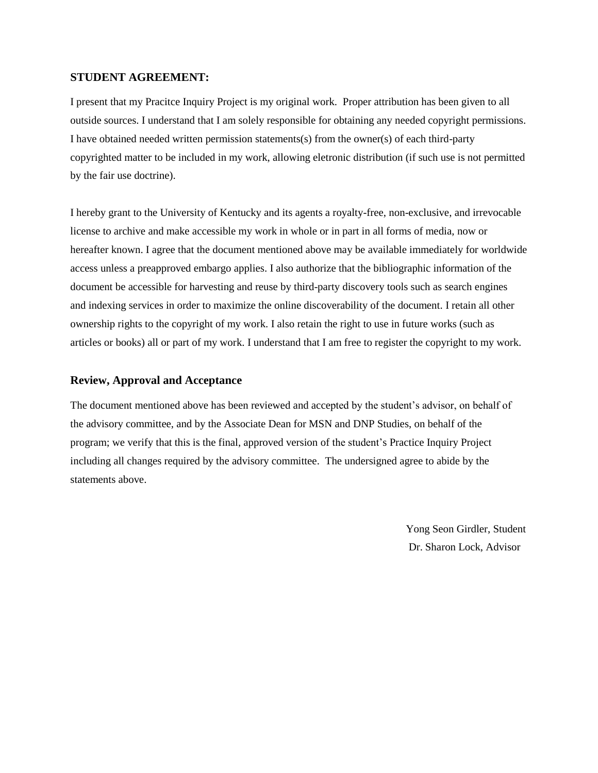## **STUDENT AGREEMENT:**

I present that my Pracitce Inquiry Project is my original work. Proper attribution has been given to all outside sources. I understand that I am solely responsible for obtaining any needed copyright permissions. I have obtained needed written permission statements(s) from the owner(s) of each third-party copyrighted matter to be included in my work, allowing eletronic distribution (if such use is not permitted by the fair use doctrine).

I hereby grant to the University of Kentucky and its agents a royalty-free, non-exclusive, and irrevocable license to archive and make accessible my work in whole or in part in all forms of media, now or hereafter known. I agree that the document mentioned above may be available immediately for worldwide access unless a preapproved embargo applies. I also authorize that the bibliographic information of the document be accessible for harvesting and reuse by third-party discovery tools such as search engines and indexing services in order to maximize the online discoverability of the document. I retain all other ownership rights to the copyright of my work. I also retain the right to use in future works (such as articles or books) all or part of my work. I understand that I am free to register the copyright to my work.

## **Review, Approval and Acceptance**

The document mentioned above has been reviewed and accepted by the student's advisor, on behalf of the advisory committee, and by the Associate Dean for MSN and DNP Studies, on behalf of the program; we verify that this is the final, approved version of the student's Practice Inquiry Project including all changes required by the advisory committee. The undersigned agree to abide by the statements above.

> Yong Seon Girdler, Student Dr. Sharon Lock, Advisor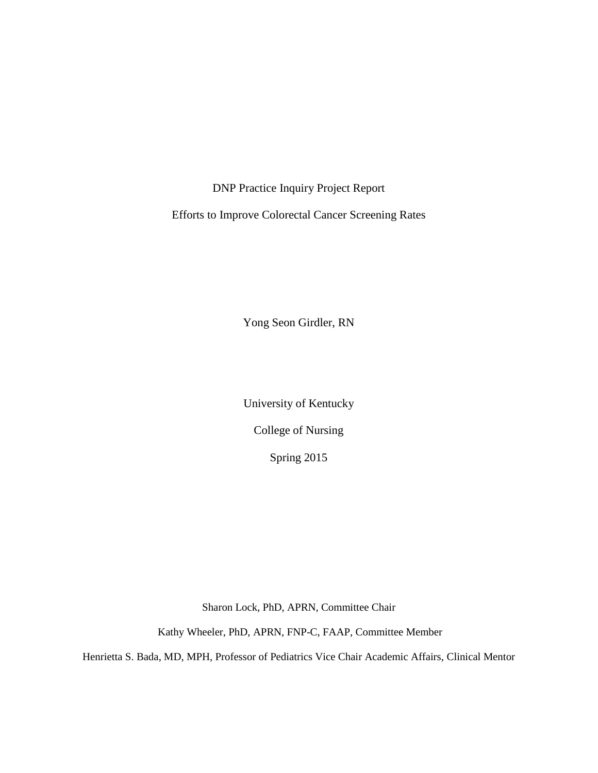DNP Practice Inquiry Project Report

Efforts to Improve Colorectal Cancer Screening Rates

Yong Seon Girdler, RN

University of Kentucky

College of Nursing

Spring 2015

Sharon Lock, PhD, APRN, Committee Chair

Kathy Wheeler, PhD, APRN, FNP-C, FAAP, Committee Member

Henrietta S. Bada, MD, MPH, Professor of Pediatrics Vice Chair Academic Affairs, Clinical Mentor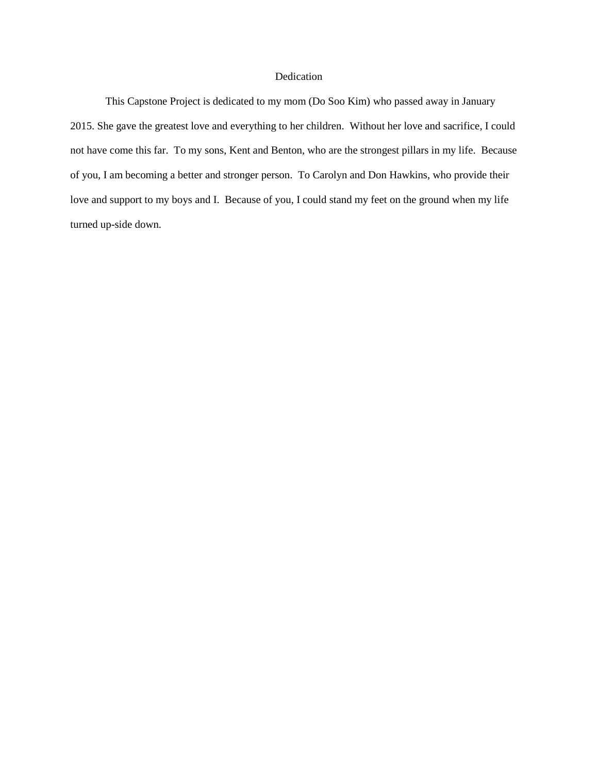## Dedication

This Capstone Project is dedicated to my mom (Do Soo Kim) who passed away in January 2015. She gave the greatest love and everything to her children. Without her love and sacrifice, I could not have come this far. To my sons, Kent and Benton, who are the strongest pillars in my life. Because of you, I am becoming a better and stronger person. To Carolyn and Don Hawkins, who provide their love and support to my boys and I. Because of you, I could stand my feet on the ground when my life turned up-side down.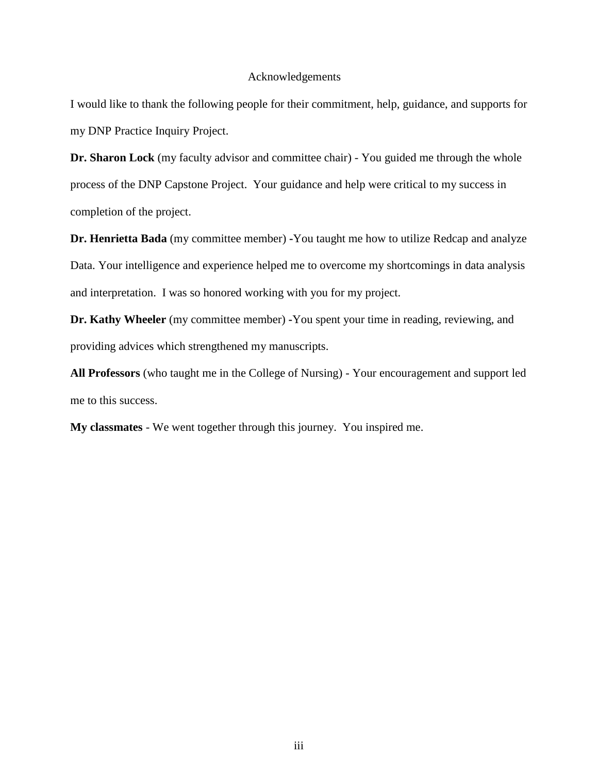#### Acknowledgements

I would like to thank the following people for their commitment, help, guidance, and supports for my DNP Practice Inquiry Project.

**Dr. Sharon Lock** (my faculty advisor and committee chair) - You guided me through the whole process of the DNP Capstone Project. Your guidance and help were critical to my success in completion of the project.

**Dr. Henrietta Bada** (my committee member) **-**You taught me how to utilize Redcap and analyze Data. Your intelligence and experience helped me to overcome my shortcomings in data analysis and interpretation. I was so honored working with you for my project.

**Dr. Kathy Wheeler** (my committee member) **-**You spent your time in reading, reviewing, and providing advices which strengthened my manuscripts.

**All Professors** (who taught me in the College of Nursing) - Your encouragement and support led me to this success.

**My classmates** - We went together through this journey. You inspired me.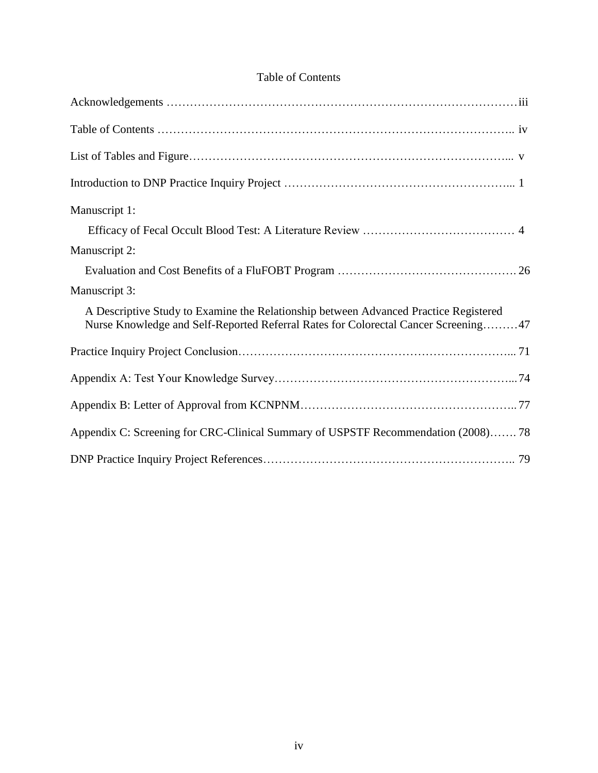| Manuscript 1:                                                                                                                                                              |
|----------------------------------------------------------------------------------------------------------------------------------------------------------------------------|
|                                                                                                                                                                            |
| Manuscript 2:                                                                                                                                                              |
|                                                                                                                                                                            |
| Manuscript 3:                                                                                                                                                              |
| A Descriptive Study to Examine the Relationship between Advanced Practice Registered<br>Nurse Knowledge and Self-Reported Referral Rates for Colorectal Cancer Screening47 |
|                                                                                                                                                                            |
|                                                                                                                                                                            |
|                                                                                                                                                                            |
| Appendix C: Screening for CRC-Clinical Summary of USPSTF Recommendation (2008) 78                                                                                          |
|                                                                                                                                                                            |

## Table of Contents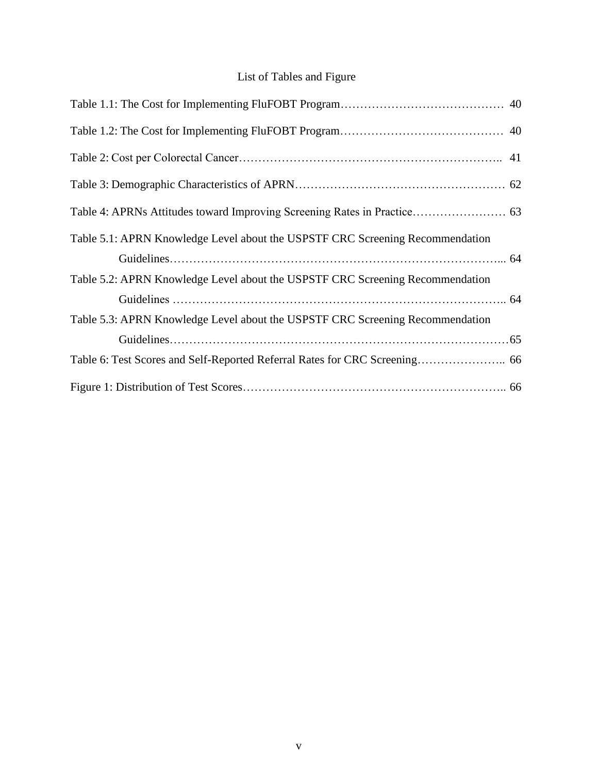## List of Tables and Figure

| Table 5.1: APRN Knowledge Level about the USPSTF CRC Screening Recommendation |  |
|-------------------------------------------------------------------------------|--|
|                                                                               |  |
| Table 5.2: APRN Knowledge Level about the USPSTF CRC Screening Recommendation |  |
|                                                                               |  |
| Table 5.3: APRN Knowledge Level about the USPSTF CRC Screening Recommendation |  |
|                                                                               |  |
|                                                                               |  |
|                                                                               |  |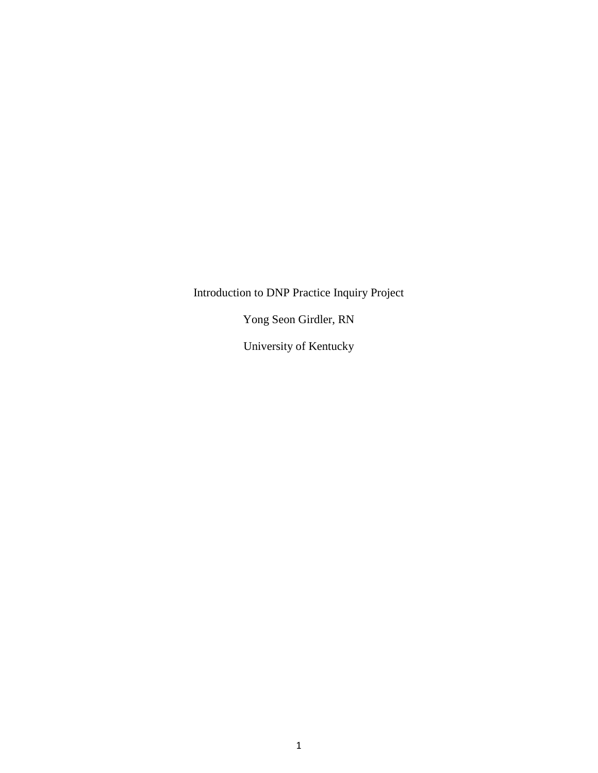Introduction to DNP Practice Inquiry Project

Yong Seon Girdler, RN

University of Kentucky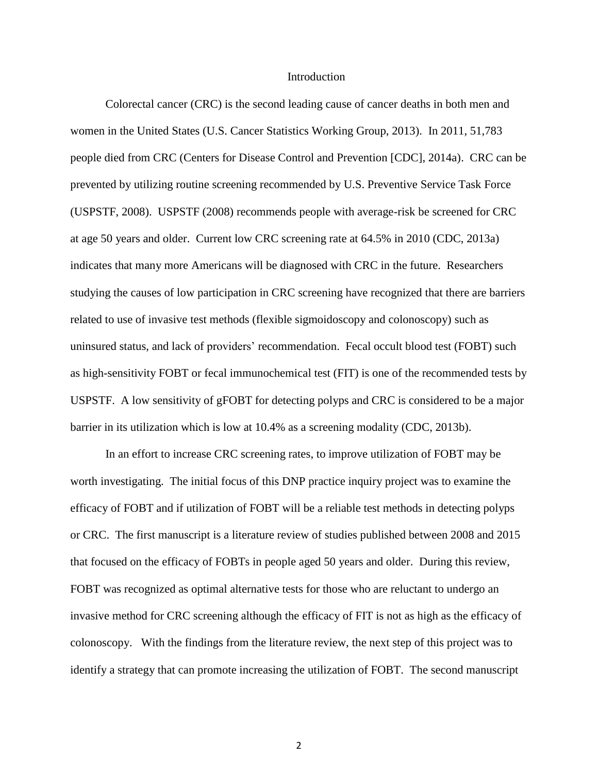#### Introduction

Colorectal cancer (CRC) is the second leading cause of cancer deaths in both men and women in the United States (U.S. Cancer Statistics Working Group, 2013). In 2011, 51,783 people died from CRC (Centers for Disease Control and Prevention [CDC], 2014a). CRC can be prevented by utilizing routine screening recommended by U.S. Preventive Service Task Force (USPSTF, 2008). USPSTF (2008) recommends people with average-risk be screened for CRC at age 50 years and older. Current low CRC screening rate at 64.5% in 2010 (CDC, 2013a) indicates that many more Americans will be diagnosed with CRC in the future. Researchers studying the causes of low participation in CRC screening have recognized that there are barriers related to use of invasive test methods (flexible sigmoidoscopy and colonoscopy) such as uninsured status, and lack of providers' recommendation. Fecal occult blood test (FOBT) such as high-sensitivity FOBT or fecal immunochemical test (FIT) is one of the recommended tests by USPSTF. A low sensitivity of gFOBT for detecting polyps and CRC is considered to be a major barrier in its utilization which is low at 10.4% as a screening modality (CDC, 2013b).

In an effort to increase CRC screening rates, to improve utilization of FOBT may be worth investigating. The initial focus of this DNP practice inquiry project was to examine the efficacy of FOBT and if utilization of FOBT will be a reliable test methods in detecting polyps or CRC. The first manuscript is a literature review of studies published between 2008 and 2015 that focused on the efficacy of FOBTs in people aged 50 years and older. During this review, FOBT was recognized as optimal alternative tests for those who are reluctant to undergo an invasive method for CRC screening although the efficacy of FIT is not as high as the efficacy of colonoscopy. With the findings from the literature review, the next step of this project was to identify a strategy that can promote increasing the utilization of FOBT. The second manuscript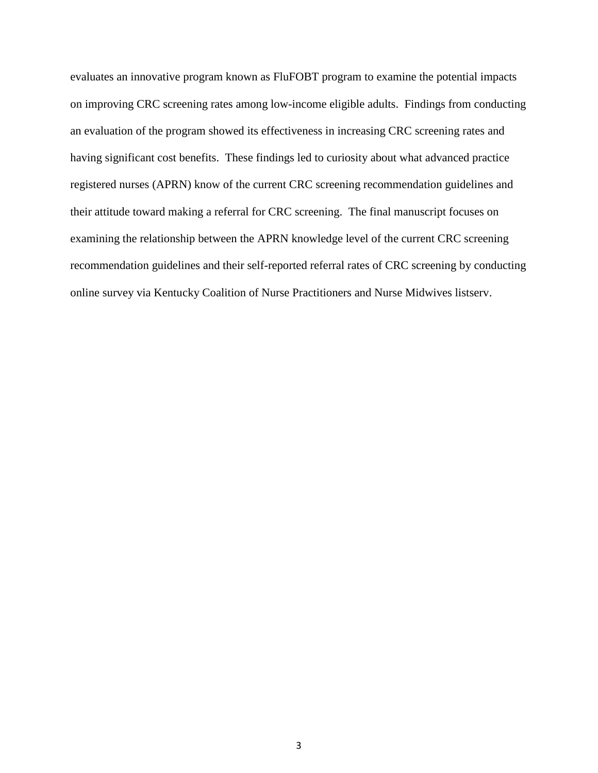evaluates an innovative program known as FluFOBT program to examine the potential impacts on improving CRC screening rates among low-income eligible adults. Findings from conducting an evaluation of the program showed its effectiveness in increasing CRC screening rates and having significant cost benefits. These findings led to curiosity about what advanced practice registered nurses (APRN) know of the current CRC screening recommendation guidelines and their attitude toward making a referral for CRC screening. The final manuscript focuses on examining the relationship between the APRN knowledge level of the current CRC screening recommendation guidelines and their self-reported referral rates of CRC screening by conducting online survey via Kentucky Coalition of Nurse Practitioners and Nurse Midwives listserv.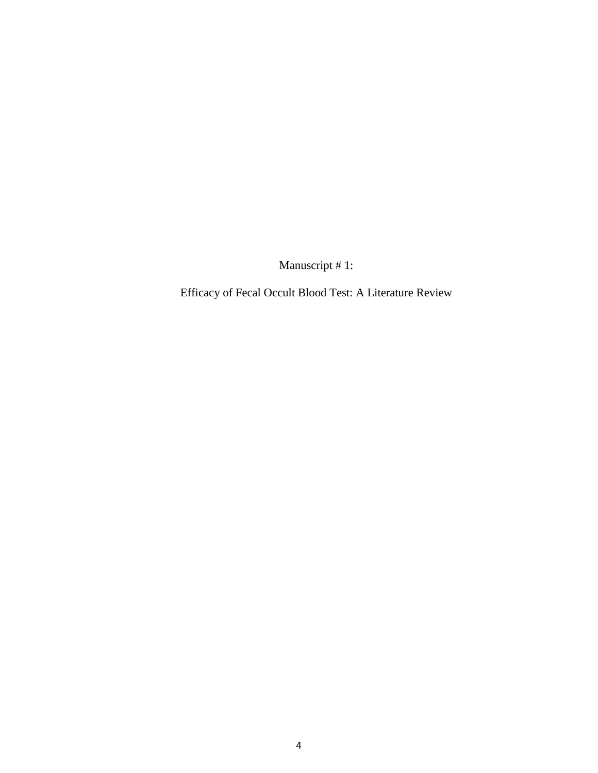Manuscript # 1:

Efficacy of Fecal Occult Blood Test: A Literature Review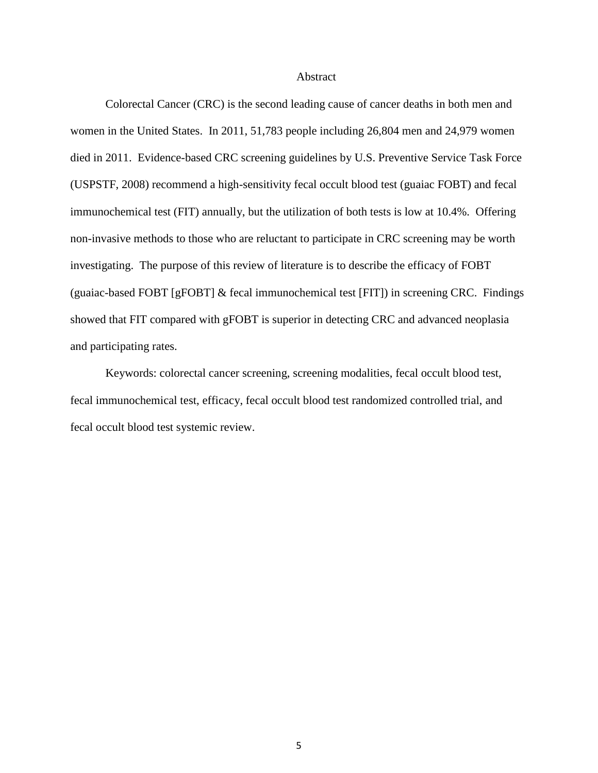Abstract

Colorectal Cancer (CRC) is the second leading cause of cancer deaths in both men and women in the United States. In 2011, 51,783 people including 26,804 men and 24,979 women died in 2011. Evidence-based CRC screening guidelines by U.S. Preventive Service Task Force (USPSTF, 2008) recommend a high-sensitivity fecal occult blood test (guaiac FOBT) and fecal immunochemical test (FIT) annually, but the utilization of both tests is low at 10.4%. Offering non-invasive methods to those who are reluctant to participate in CRC screening may be worth investigating. The purpose of this review of literature is to describe the efficacy of FOBT (guaiac-based FOBT [gFOBT] & fecal immunochemical test [FIT]) in screening CRC. Findings showed that FIT compared with gFOBT is superior in detecting CRC and advanced neoplasia and participating rates.

Keywords: colorectal cancer screening, screening modalities, fecal occult blood test, fecal immunochemical test, efficacy, fecal occult blood test randomized controlled trial, and fecal occult blood test systemic review.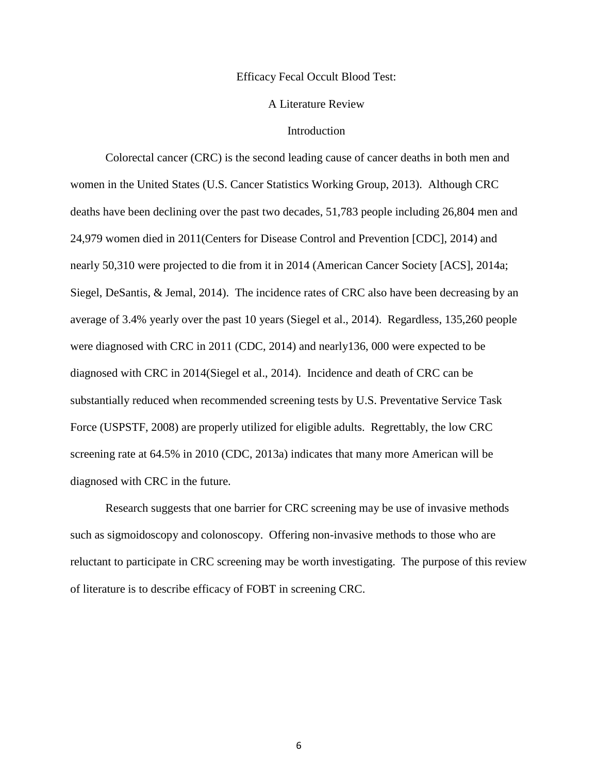### Efficacy Fecal Occult Blood Test:

#### A Literature Review

## Introduction

Colorectal cancer (CRC) is the second leading cause of cancer deaths in both men and women in the United States (U.S. Cancer Statistics Working Group, 2013). Although CRC deaths have been declining over the past two decades, 51,783 people including 26,804 men and 24,979 women died in 2011(Centers for Disease Control and Prevention [CDC], 2014) and nearly 50,310 were projected to die from it in 2014 (American Cancer Society [ACS], 2014a; Siegel, DeSantis, & Jemal, 2014). The incidence rates of CRC also have been decreasing by an average of 3.4% yearly over the past 10 years (Siegel et al., 2014). Regardless, 135,260 people were diagnosed with CRC in 2011 (CDC, 2014) and nearly136, 000 were expected to be diagnosed with CRC in 2014(Siegel et al., 2014). Incidence and death of CRC can be substantially reduced when recommended screening tests by U.S. Preventative Service Task Force (USPSTF, 2008) are properly utilized for eligible adults. Regrettably, the low CRC screening rate at 64.5% in 2010 (CDC, 2013a) indicates that many more American will be diagnosed with CRC in the future.

Research suggests that one barrier for CRC screening may be use of invasive methods such as sigmoidoscopy and colonoscopy. Offering non-invasive methods to those who are reluctant to participate in CRC screening may be worth investigating. The purpose of this review of literature is to describe efficacy of FOBT in screening CRC.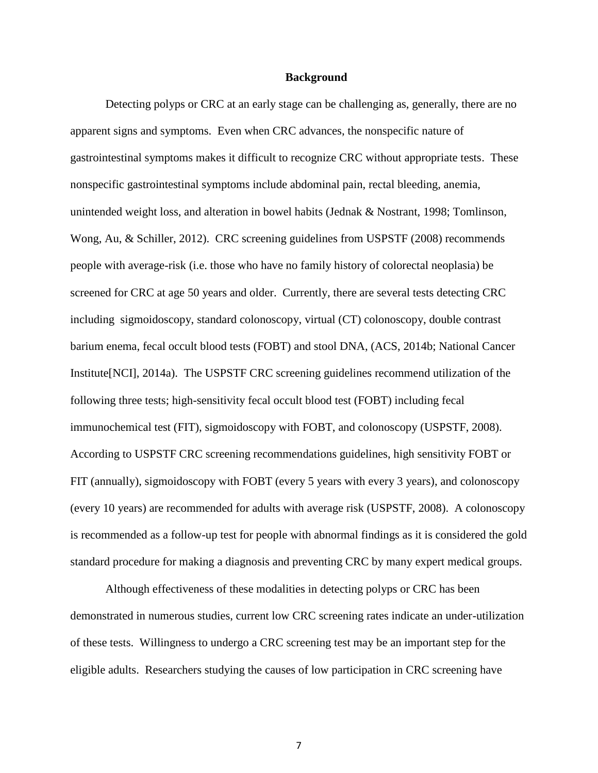#### **Background**

Detecting polyps or CRC at an early stage can be challenging as, generally, there are no apparent signs and symptoms. Even when CRC advances, the nonspecific nature of gastrointestinal symptoms makes it difficult to recognize CRC without appropriate tests. These nonspecific gastrointestinal symptoms include abdominal pain, rectal bleeding, anemia, unintended weight loss, and alteration in bowel habits (Jednak & Nostrant, 1998; Tomlinson, Wong, Au, & Schiller, 2012). CRC screening guidelines from USPSTF (2008) recommends people with average-risk (i.e. those who have no family history of colorectal neoplasia) be screened for CRC at age 50 years and older. Currently, there are several tests detecting CRC including sigmoidoscopy, standard colonoscopy, virtual (CT) colonoscopy, double contrast barium enema, fecal occult blood tests (FOBT) and stool DNA, (ACS, 2014b; National Cancer Institute[NCI], 2014a). The USPSTF CRC screening guidelines recommend utilization of the following three tests; high-sensitivity fecal occult blood test (FOBT) including fecal immunochemical test (FIT), sigmoidoscopy with FOBT, and colonoscopy (USPSTF, 2008). According to USPSTF CRC screening recommendations guidelines, high sensitivity FOBT or FIT (annually), sigmoidoscopy with FOBT (every 5 years with every 3 years), and colonoscopy (every 10 years) are recommended for adults with average risk (USPSTF, 2008). A colonoscopy is recommended as a follow-up test for people with abnormal findings as it is considered the gold standard procedure for making a diagnosis and preventing CRC by many expert medical groups.

Although effectiveness of these modalities in detecting polyps or CRC has been demonstrated in numerous studies, current low CRC screening rates indicate an under-utilization of these tests. Willingness to undergo a CRC screening test may be an important step for the eligible adults. Researchers studying the causes of low participation in CRC screening have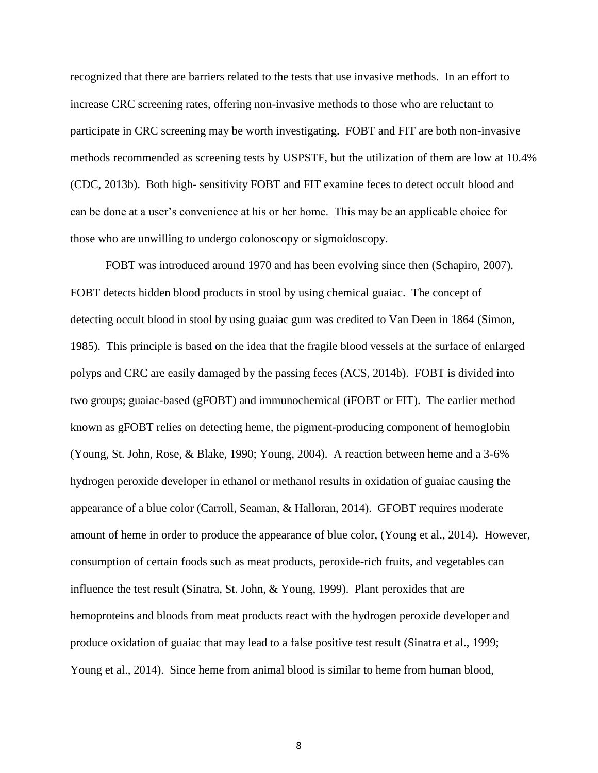recognized that there are barriers related to the tests that use invasive methods. In an effort to increase CRC screening rates, offering non-invasive methods to those who are reluctant to participate in CRC screening may be worth investigating. FOBT and FIT are both non-invasive methods recommended as screening tests by USPSTF, but the utilization of them are low at 10.4% (CDC, 2013b). Both high- sensitivity FOBT and FIT examine feces to detect occult blood and can be done at a user's convenience at his or her home. This may be an applicable choice for those who are unwilling to undergo colonoscopy or sigmoidoscopy.

FOBT was introduced around 1970 and has been evolving since then (Schapiro, 2007). FOBT detects hidden blood products in stool by using chemical guaiac. The concept of detecting occult blood in stool by using guaiac gum was credited to Van Deen in 1864 (Simon, 1985). This principle is based on the idea that the fragile blood vessels at the surface of enlarged polyps and CRC are easily damaged by the passing feces (ACS, 2014b). FOBT is divided into two groups; guaiac-based (gFOBT) and immunochemical (iFOBT or FIT). The earlier method known as gFOBT relies on detecting heme, the pigment-producing component of hemoglobin (Young, St. John, Rose, & Blake, 1990; Young, 2004). A reaction between heme and a 3-6% hydrogen peroxide developer in ethanol or methanol results in oxidation of guaiac causing the appearance of a blue color (Carroll, Seaman, & Halloran, 2014). GFOBT requires moderate amount of heme in order to produce the appearance of blue color, (Young et al., 2014). However, consumption of certain foods such as meat products, peroxide-rich fruits, and vegetables can influence the test result (Sinatra, St. John, & Young, 1999). Plant peroxides that are hemoproteins and bloods from meat products react with the hydrogen peroxide developer and produce oxidation of guaiac that may lead to a false positive test result (Sinatra et al., 1999; Young et al., 2014). Since heme from animal blood is similar to heme from human blood,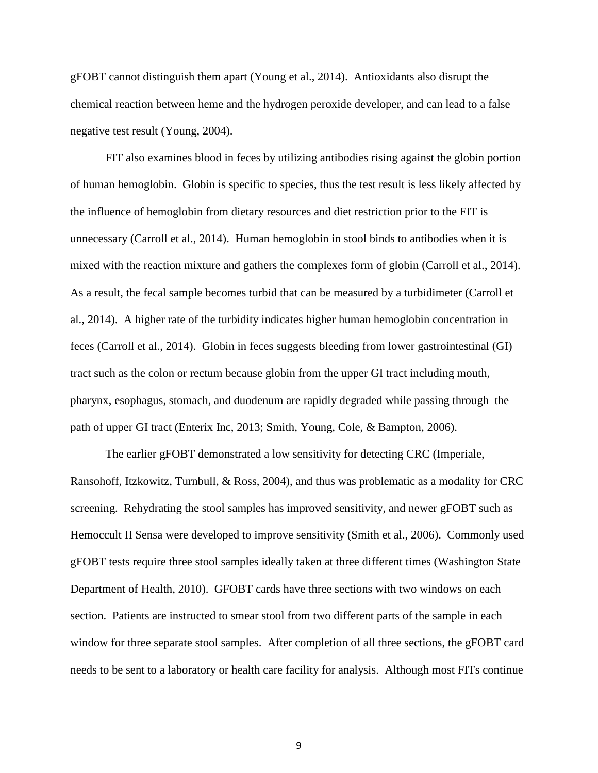gFOBT cannot distinguish them apart (Young et al., 2014). Antioxidants also disrupt the chemical reaction between heme and the hydrogen peroxide developer, and can lead to a false negative test result (Young, 2004).

FIT also examines blood in feces by utilizing antibodies rising against the globin portion of human hemoglobin. Globin is specific to species, thus the test result is less likely affected by the influence of hemoglobin from dietary resources and diet restriction prior to the FIT is unnecessary (Carroll et al., 2014). Human hemoglobin in stool binds to antibodies when it is mixed with the reaction mixture and gathers the complexes form of globin (Carroll et al., 2014). As a result, the fecal sample becomes turbid that can be measured by a turbidimeter (Carroll et al., 2014). A higher rate of the turbidity indicates higher human hemoglobin concentration in feces (Carroll et al., 2014). Globin in feces suggests bleeding from lower gastrointestinal (GI) tract such as the colon or rectum because globin from the upper GI tract including mouth, pharynx, esophagus, stomach, and duodenum are rapidly degraded while passing through the path of upper GI tract (Enterix Inc, 2013; Smith, Young, Cole, & Bampton, 2006).

The earlier gFOBT demonstrated a low sensitivity for detecting CRC (Imperiale, Ransohoff, Itzkowitz, Turnbull, & Ross, 2004), and thus was problematic as a modality for CRC screening. Rehydrating the stool samples has improved sensitivity, and newer gFOBT such as Hemoccult II Sensa were developed to improve sensitivity (Smith et al., 2006). Commonly used gFOBT tests require three stool samples ideally taken at three different times (Washington State Department of Health, 2010). GFOBT cards have three sections with two windows on each section. Patients are instructed to smear stool from two different parts of the sample in each window for three separate stool samples. After completion of all three sections, the gFOBT card needs to be sent to a laboratory or health care facility for analysis. Although most FITs continue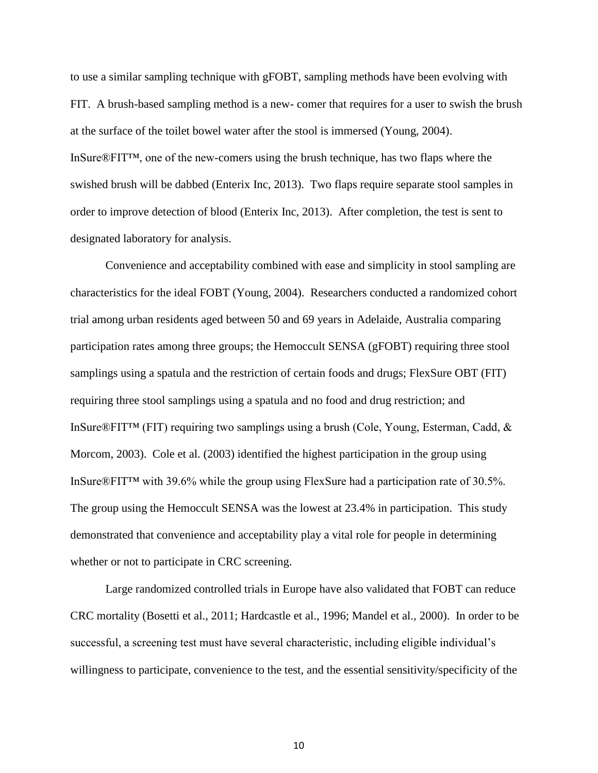to use a similar sampling technique with gFOBT, sampling methods have been evolving with FIT. A brush-based sampling method is a new- comer that requires for a user to swish the brush at the surface of the toilet bowel water after the stool is immersed (Young, 2004). InSure®FIT™, one of the new-comers using the brush technique, has two flaps where the swished brush will be dabbed (Enterix Inc, 2013). Two flaps require separate stool samples in order to improve detection of blood (Enterix Inc, 2013). After completion, the test is sent to designated laboratory for analysis.

Convenience and acceptability combined with ease and simplicity in stool sampling are characteristics for the ideal FOBT (Young, 2004). Researchers conducted a randomized cohort trial among urban residents aged between 50 and 69 years in Adelaide, Australia comparing participation rates among three groups; the Hemoccult SENSA (gFOBT) requiring three stool samplings using a spatula and the restriction of certain foods and drugs; FlexSure OBT (FIT) requiring three stool samplings using a spatula and no food and drug restriction; and InSure®FIT™ (FIT) requiring two samplings using a brush (Cole, Young, Esterman, Cadd, & Morcom, 2003). Cole et al. (2003) identified the highest participation in the group using InSure®FIT™ with 39.6% while the group using FlexSure had a participation rate of 30.5%. The group using the Hemoccult SENSA was the lowest at 23.4% in participation. This study demonstrated that convenience and acceptability play a vital role for people in determining whether or not to participate in CRC screening.

Large randomized controlled trials in Europe have also validated that FOBT can reduce CRC mortality (Bosetti et al., 2011; Hardcastle et al., 1996; Mandel et al., 2000). In order to be successful, a screening test must have several characteristic, including eligible individual's willingness to participate, convenience to the test, and the essential sensitivity/specificity of the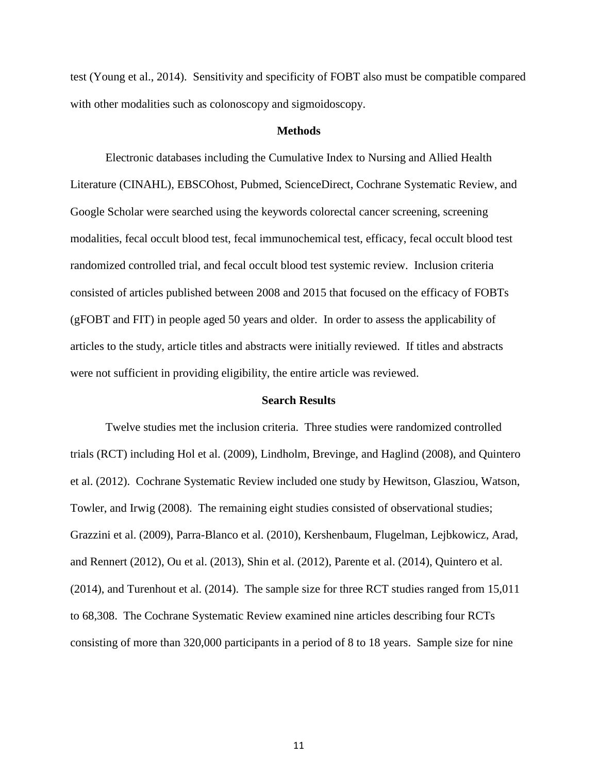test (Young et al., 2014). Sensitivity and specificity of FOBT also must be compatible compared with other modalities such as colonoscopy and sigmoidoscopy.

#### **Methods**

Electronic databases including the Cumulative Index to Nursing and Allied Health Literature (CINAHL), EBSCOhost, Pubmed, ScienceDirect, Cochrane Systematic Review, and Google Scholar were searched using the keywords colorectal cancer screening, screening modalities, fecal occult blood test, fecal immunochemical test, efficacy, fecal occult blood test randomized controlled trial, and fecal occult blood test systemic review. Inclusion criteria consisted of articles published between 2008 and 2015 that focused on the efficacy of FOBTs (gFOBT and FIT) in people aged 50 years and older. In order to assess the applicability of articles to the study, article titles and abstracts were initially reviewed. If titles and abstracts were not sufficient in providing eligibility, the entire article was reviewed.

#### **Search Results**

Twelve studies met the inclusion criteria. Three studies were randomized controlled trials (RCT) including Hol et al. (2009), Lindholm, Brevinge, and Haglind (2008), and Quintero et al. (2012). Cochrane Systematic Review included one study by Hewitson, Glasziou, Watson, Towler, and Irwig (2008). The remaining eight studies consisted of observational studies; Grazzini et al. (2009), Parra-Blanco et al. (2010), Kershenbaum, Flugelman, Lejbkowicz, Arad, and Rennert (2012), Ou et al. (2013), Shin et al. (2012), Parente et al. (2014), Quintero et al. (2014), and Turenhout et al. (2014). The sample size for three RCT studies ranged from 15,011 to 68,308. The Cochrane Systematic Review examined nine articles describing four RCTs consisting of more than 320,000 participants in a period of 8 to 18 years. Sample size for nine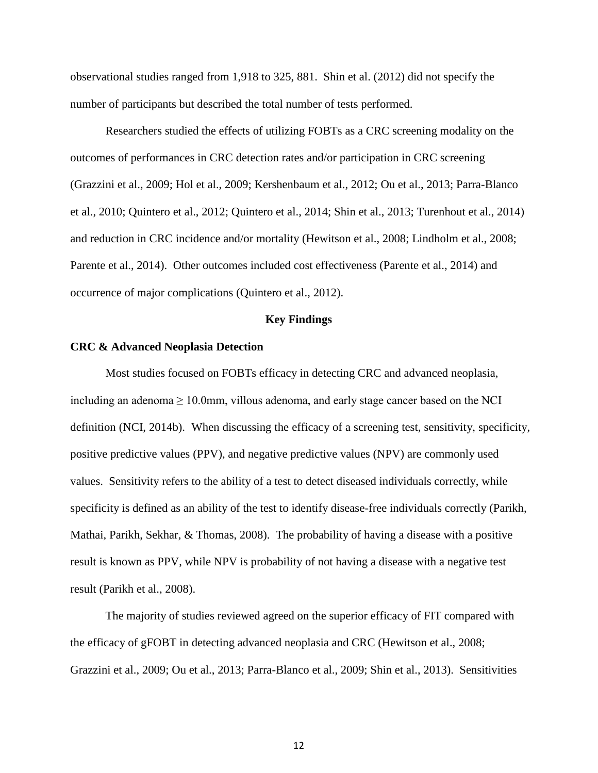observational studies ranged from 1,918 to 325, 881. Shin et al. (2012) did not specify the number of participants but described the total number of tests performed.

Researchers studied the effects of utilizing FOBTs as a CRC screening modality on the outcomes of performances in CRC detection rates and/or participation in CRC screening (Grazzini et al., 2009; Hol et al., 2009; Kershenbaum et al., 2012; Ou et al., 2013; Parra-Blanco et al., 2010; Quintero et al., 2012; Quintero et al., 2014; Shin et al., 2013; Turenhout et al., 2014) and reduction in CRC incidence and/or mortality (Hewitson et al., 2008; Lindholm et al., 2008; Parente et al., 2014). Other outcomes included cost effectiveness (Parente et al., 2014) and occurrence of major complications (Quintero et al., 2012).

## **Key Findings**

#### **CRC & Advanced Neoplasia Detection**

Most studies focused on FOBTs efficacy in detecting CRC and advanced neoplasia, including an adenoma  $\geq 10.0$ mm, villous adenoma, and early stage cancer based on the NCI definition (NCI, 2014b). When discussing the efficacy of a screening test, sensitivity, specificity, positive predictive values (PPV), and negative predictive values (NPV) are commonly used values. Sensitivity refers to the ability of a test to detect diseased individuals correctly, while specificity is defined as an ability of the test to identify disease-free individuals correctly (Parikh, Mathai, Parikh, Sekhar, & Thomas, 2008). The probability of having a disease with a positive result is known as PPV, while NPV is probability of not having a disease with a negative test result (Parikh et al., 2008).

The majority of studies reviewed agreed on the superior efficacy of FIT compared with the efficacy of gFOBT in detecting advanced neoplasia and CRC (Hewitson et al., 2008; Grazzini et al., 2009; Ou et al., 2013; Parra-Blanco et al., 2009; Shin et al., 2013). Sensitivities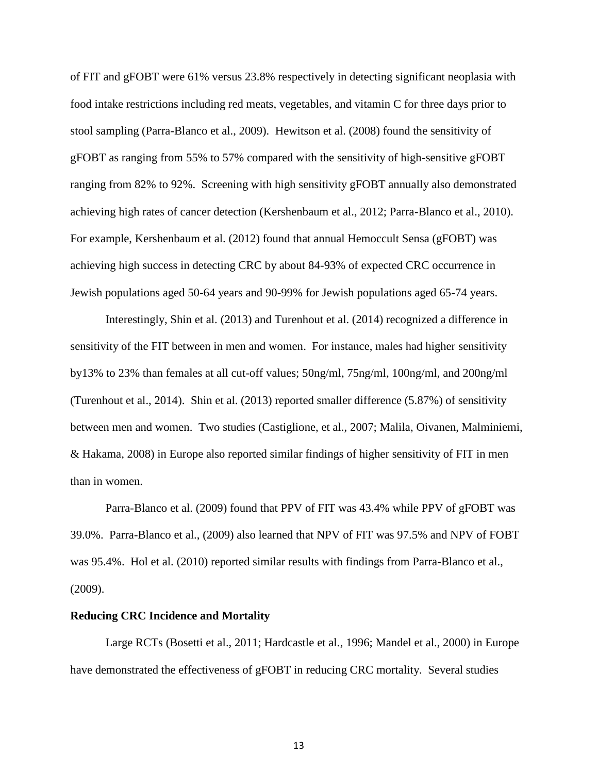of FIT and gFOBT were 61% versus 23.8% respectively in detecting significant neoplasia with food intake restrictions including red meats, vegetables, and vitamin C for three days prior to stool sampling (Parra-Blanco et al., 2009). Hewitson et al. (2008) found the sensitivity of gFOBT as ranging from 55% to 57% compared with the sensitivity of high-sensitive gFOBT ranging from 82% to 92%. Screening with high sensitivity gFOBT annually also demonstrated achieving high rates of cancer detection (Kershenbaum et al., 2012; Parra-Blanco et al., 2010). For example, Kershenbaum et al. (2012) found that annual Hemoccult Sensa (gFOBT) was achieving high success in detecting CRC by about 84-93% of expected CRC occurrence in Jewish populations aged 50-64 years and 90-99% for Jewish populations aged 65-74 years.

Interestingly, Shin et al. (2013) and Turenhout et al. (2014) recognized a difference in sensitivity of the FIT between in men and women. For instance, males had higher sensitivity by13% to 23% than females at all cut-off values; 50ng/ml, 75ng/ml, 100ng/ml, and 200ng/ml (Turenhout et al., 2014). Shin et al. (2013) reported smaller difference (5.87%) of sensitivity between men and women. Two studies (Castiglione, et al., 2007; Malila, Oivanen, Malminiemi, & Hakama, 2008) in Europe also reported similar findings of higher sensitivity of FIT in men than in women.

Parra-Blanco et al. (2009) found that PPV of FIT was 43.4% while PPV of gFOBT was 39.0%. Parra-Blanco et al., (2009) also learned that NPV of FIT was 97.5% and NPV of FOBT was 95.4%. Hol et al. (2010) reported similar results with findings from Parra-Blanco et al., (2009).

#### **Reducing CRC Incidence and Mortality**

Large RCTs (Bosetti et al., 2011; Hardcastle et al., 1996; Mandel et al., 2000) in Europe have demonstrated the effectiveness of gFOBT in reducing CRC mortality. Several studies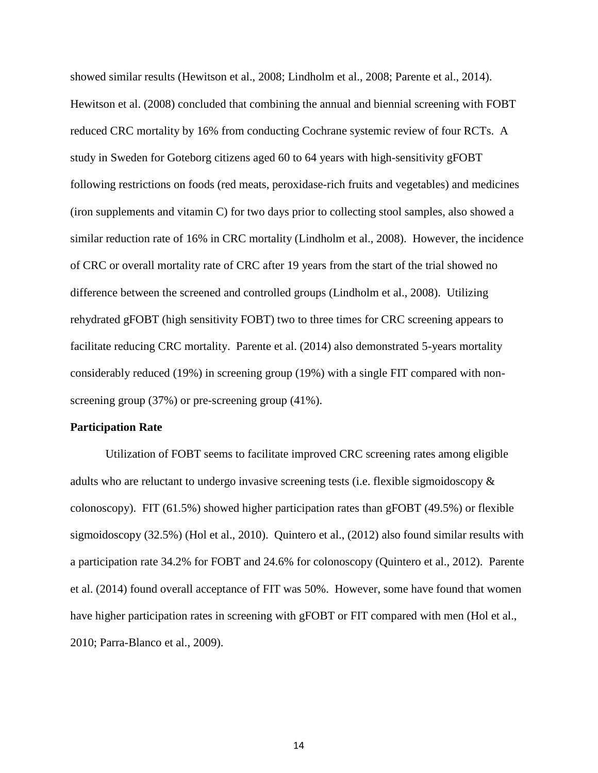showed similar results (Hewitson et al., 2008; Lindholm et al., 2008; Parente et al., 2014). Hewitson et al. (2008) concluded that combining the annual and biennial screening with FOBT reduced CRC mortality by 16% from conducting Cochrane systemic review of four RCTs. A study in Sweden for Goteborg citizens aged 60 to 64 years with high-sensitivity gFOBT following restrictions on foods (red meats, peroxidase-rich fruits and vegetables) and medicines (iron supplements and vitamin C) for two days prior to collecting stool samples, also showed a similar reduction rate of 16% in CRC mortality (Lindholm et al., 2008). However, the incidence of CRC or overall mortality rate of CRC after 19 years from the start of the trial showed no difference between the screened and controlled groups (Lindholm et al., 2008). Utilizing rehydrated gFOBT (high sensitivity FOBT) two to three times for CRC screening appears to facilitate reducing CRC mortality. Parente et al. (2014) also demonstrated 5-years mortality considerably reduced (19%) in screening group (19%) with a single FIT compared with nonscreening group (37%) or pre-screening group (41%).

#### **Participation Rate**

Utilization of FOBT seems to facilitate improved CRC screening rates among eligible adults who are reluctant to undergo invasive screening tests (i.e. flexible sigmoidoscopy & colonoscopy). FIT (61.5%) showed higher participation rates than gFOBT (49.5%) or flexible sigmoidoscopy (32.5%) (Hol et al., 2010). Quintero et al., (2012) also found similar results with a participation rate 34.2% for FOBT and 24.6% for colonoscopy (Quintero et al., 2012). Parente et al. (2014) found overall acceptance of FIT was 50%. However, some have found that women have higher participation rates in screening with gFOBT or FIT compared with men (Hol et al., 2010; Parra-Blanco et al., 2009).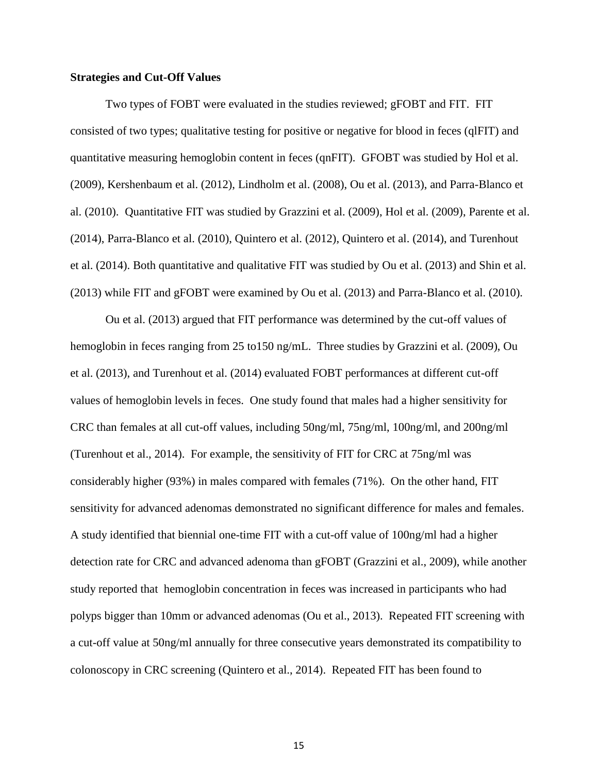## **Strategies and Cut-Off Values**

Two types of FOBT were evaluated in the studies reviewed; gFOBT and FIT. FIT consisted of two types; qualitative testing for positive or negative for blood in feces (qlFIT) and quantitative measuring hemoglobin content in feces (qnFIT). GFOBT was studied by Hol et al. (2009), Kershenbaum et al. (2012), Lindholm et al. (2008), Ou et al. (2013), and Parra-Blanco et al. (2010). Quantitative FIT was studied by Grazzini et al. (2009), Hol et al. (2009), Parente et al. (2014), Parra-Blanco et al. (2010), Quintero et al. (2012), Quintero et al. (2014), and Turenhout et al. (2014). Both quantitative and qualitative FIT was studied by Ou et al. (2013) and Shin et al. (2013) while FIT and gFOBT were examined by Ou et al. (2013) and Parra-Blanco et al. (2010).

Ou et al. (2013) argued that FIT performance was determined by the cut-off values of hemoglobin in feces ranging from 25 to 150 ng/mL. Three studies by Grazzini et al. (2009), Ou et al. (2013), and Turenhout et al. (2014) evaluated FOBT performances at different cut-off values of hemoglobin levels in feces. One study found that males had a higher sensitivity for CRC than females at all cut-off values, including 50ng/ml, 75ng/ml, 100ng/ml, and 200ng/ml (Turenhout et al., 2014). For example, the sensitivity of FIT for CRC at 75ng/ml was considerably higher (93%) in males compared with females (71%). On the other hand, FIT sensitivity for advanced adenomas demonstrated no significant difference for males and females. A study identified that biennial one-time FIT with a cut-off value of 100ng/ml had a higher detection rate for CRC and advanced adenoma than gFOBT (Grazzini et al., 2009), while another study reported that hemoglobin concentration in feces was increased in participants who had polyps bigger than 10mm or advanced adenomas (Ou et al., 2013). Repeated FIT screening with a cut-off value at 50ng/ml annually for three consecutive years demonstrated its compatibility to colonoscopy in CRC screening (Quintero et al., 2014). Repeated FIT has been found to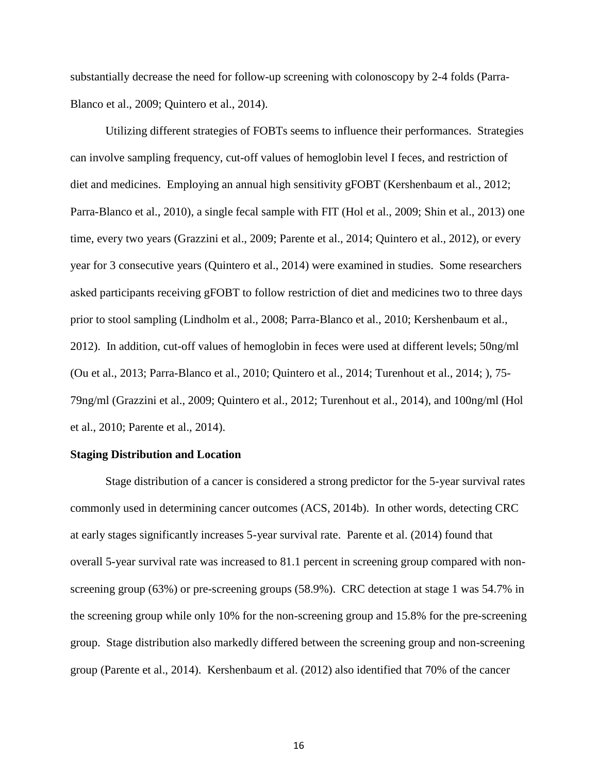substantially decrease the need for follow-up screening with colonoscopy by 2-4 folds (Parra-Blanco et al., 2009; Quintero et al., 2014).

Utilizing different strategies of FOBTs seems to influence their performances. Strategies can involve sampling frequency, cut-off values of hemoglobin level I feces, and restriction of diet and medicines. Employing an annual high sensitivity gFOBT (Kershenbaum et al., 2012; Parra-Blanco et al., 2010), a single fecal sample with FIT (Hol et al., 2009; Shin et al., 2013) one time, every two years (Grazzini et al., 2009; Parente et al., 2014; Quintero et al., 2012), or every year for 3 consecutive years (Quintero et al., 2014) were examined in studies. Some researchers asked participants receiving gFOBT to follow restriction of diet and medicines two to three days prior to stool sampling (Lindholm et al., 2008; Parra-Blanco et al., 2010; Kershenbaum et al., 2012). In addition, cut-off values of hemoglobin in feces were used at different levels; 50ng/ml (Ou et al., 2013; Parra-Blanco et al., 2010; Quintero et al., 2014; Turenhout et al., 2014; ), 75- 79ng/ml (Grazzini et al., 2009; Quintero et al., 2012; Turenhout et al., 2014), and 100ng/ml (Hol et al., 2010; Parente et al., 2014).

#### **Staging Distribution and Location**

Stage distribution of a cancer is considered a strong predictor for the 5-year survival rates commonly used in determining cancer outcomes (ACS, 2014b). In other words, detecting CRC at early stages significantly increases 5-year survival rate. Parente et al. (2014) found that overall 5-year survival rate was increased to 81.1 percent in screening group compared with nonscreening group (63%) or pre-screening groups (58.9%). CRC detection at stage 1 was 54.7% in the screening group while only 10% for the non-screening group and 15.8% for the pre-screening group. Stage distribution also markedly differed between the screening group and non-screening group (Parente et al., 2014). Kershenbaum et al. (2012) also identified that 70% of the cancer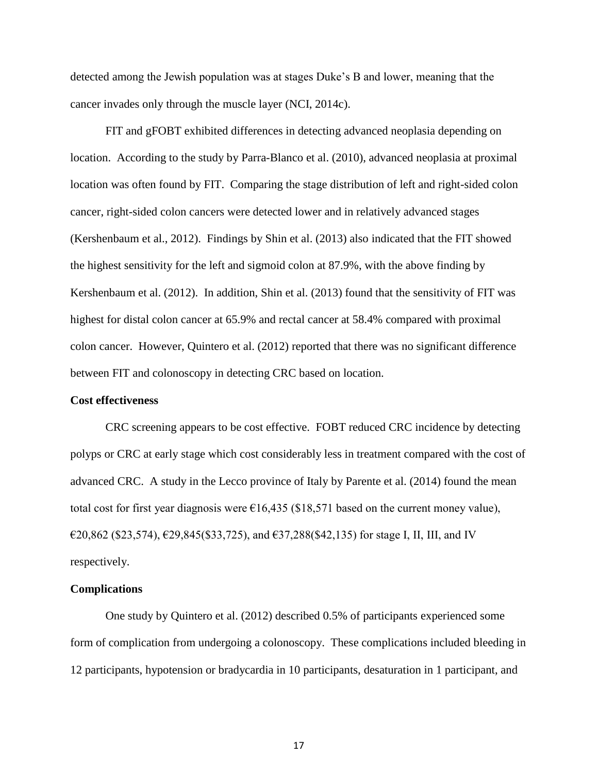detected among the Jewish population was at stages Duke's B and lower, meaning that the cancer invades only through the muscle layer (NCI, 2014c).

FIT and gFOBT exhibited differences in detecting advanced neoplasia depending on location. According to the study by Parra-Blanco et al. (2010), advanced neoplasia at proximal location was often found by FIT. Comparing the stage distribution of left and right-sided colon cancer, right-sided colon cancers were detected lower and in relatively advanced stages (Kershenbaum et al., 2012). Findings by Shin et al. (2013) also indicated that the FIT showed the highest sensitivity for the left and sigmoid colon at 87.9%, with the above finding by Kershenbaum et al. (2012). In addition, Shin et al. (2013) found that the sensitivity of FIT was highest for distal colon cancer at 65.9% and rectal cancer at 58.4% compared with proximal colon cancer. However, Quintero et al. (2012) reported that there was no significant difference between FIT and colonoscopy in detecting CRC based on location.

#### **Cost effectiveness**

CRC screening appears to be cost effective. FOBT reduced CRC incidence by detecting polyps or CRC at early stage which cost considerably less in treatment compared with the cost of advanced CRC. A study in the Lecco province of Italy by Parente et al. (2014) found the mean total cost for first year diagnosis were  $\epsilon$ 16,435 (\$18,571 based on the current money value),  $€20,862$  (\$23,574),  $€29,845$ (\$33,725), and  $€37,288$ (\$42,135) for stage I, II, III, and IV respectively.

## **Complications**

One study by Quintero et al. (2012) described 0.5% of participants experienced some form of complication from undergoing a colonoscopy. These complications included bleeding in 12 participants, hypotension or bradycardia in 10 participants, desaturation in 1 participant, and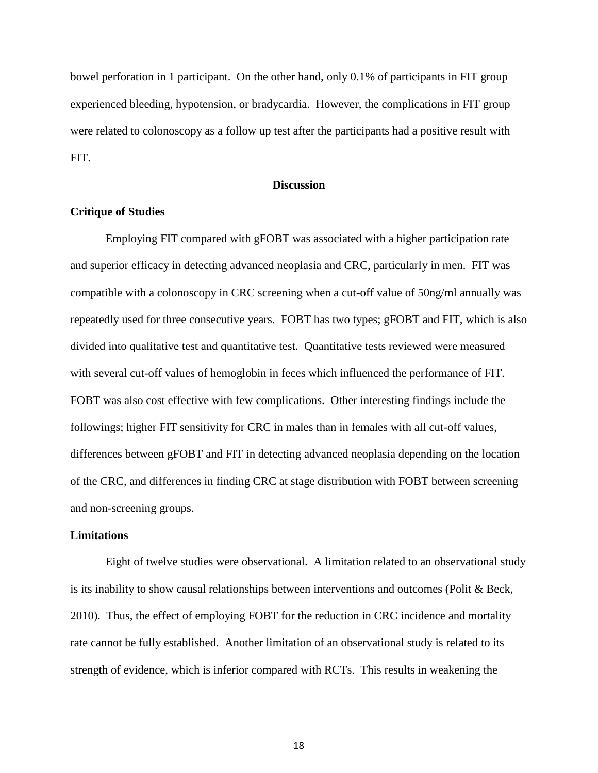bowel perforation in 1 participant. On the other hand, only 0.1% of participants in FIT group experienced bleeding, hypotension, or bradycardia. However, the complications in FIT group were related to colonoscopy as a follow up test after the participants had a positive result with FIT.

## **Discussion**

## **Critique of Studies**

Employing FIT compared with gFOBT was associated with a higher participation rate and superior efficacy in detecting advanced neoplasia and CRC, particularly in men. FIT was compatible with a colonoscopy in CRC screening when a cut-off value of 50ng/ml annually was repeatedly used for three consecutive years. FOBT has two types; gFOBT and FIT, which is also divided into qualitative test and quantitative test. Quantitative tests reviewed were measured with several cut-off values of hemoglobin in feces which influenced the performance of FIT. FOBT was also cost effective with few complications. Other interesting findings include the followings; higher FIT sensitivity for CRC in males than in females with all cut-off values, differences between gFOBT and FIT in detecting advanced neoplasia depending on the location of the CRC, and differences in finding CRC at stage distribution with FOBT between screening and non-screening groups.

## **Limitations**

Eight of twelve studies were observational. A limitation related to an observational study is its inability to show causal relationships between interventions and outcomes (Polit & Beck, 2010). Thus, the effect of employing FOBT for the reduction in CRC incidence and mortality rate cannot be fully established. Another limitation of an observational study is related to its strength of evidence, which is inferior compared with RCTs. This results in weakening the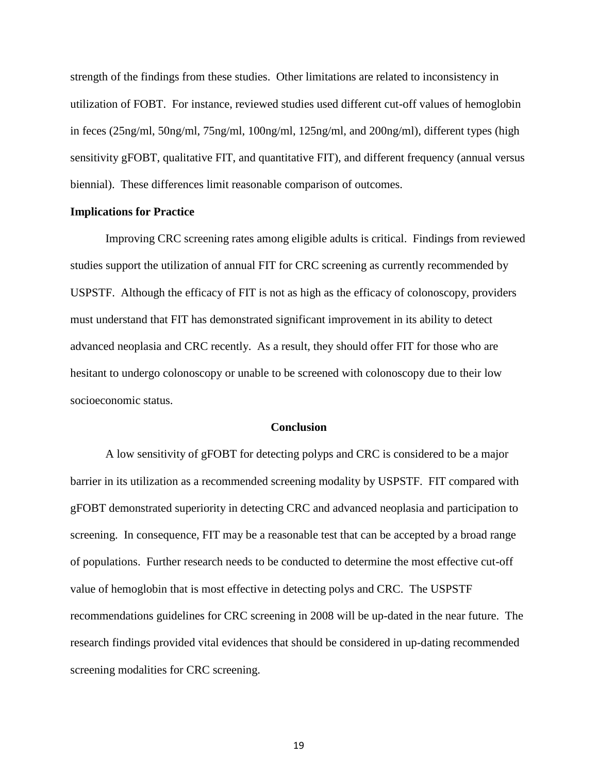strength of the findings from these studies. Other limitations are related to inconsistency in utilization of FOBT. For instance, reviewed studies used different cut-off values of hemoglobin in feces (25ng/ml, 50ng/ml, 75ng/ml, 100ng/ml, 125ng/ml, and 200ng/ml), different types (high sensitivity gFOBT, qualitative FIT, and quantitative FIT), and different frequency (annual versus biennial). These differences limit reasonable comparison of outcomes.

## **Implications for Practice**

Improving CRC screening rates among eligible adults is critical. Findings from reviewed studies support the utilization of annual FIT for CRC screening as currently recommended by USPSTF. Although the efficacy of FIT is not as high as the efficacy of colonoscopy, providers must understand that FIT has demonstrated significant improvement in its ability to detect advanced neoplasia and CRC recently. As a result, they should offer FIT for those who are hesitant to undergo colonoscopy or unable to be screened with colonoscopy due to their low socioeconomic status.

### **Conclusion**

A low sensitivity of gFOBT for detecting polyps and CRC is considered to be a major barrier in its utilization as a recommended screening modality by USPSTF. FIT compared with gFOBT demonstrated superiority in detecting CRC and advanced neoplasia and participation to screening. In consequence, FIT may be a reasonable test that can be accepted by a broad range of populations. Further research needs to be conducted to determine the most effective cut-off value of hemoglobin that is most effective in detecting polys and CRC. The USPSTF recommendations guidelines for CRC screening in 2008 will be up-dated in the near future. The research findings provided vital evidences that should be considered in up-dating recommended screening modalities for CRC screening.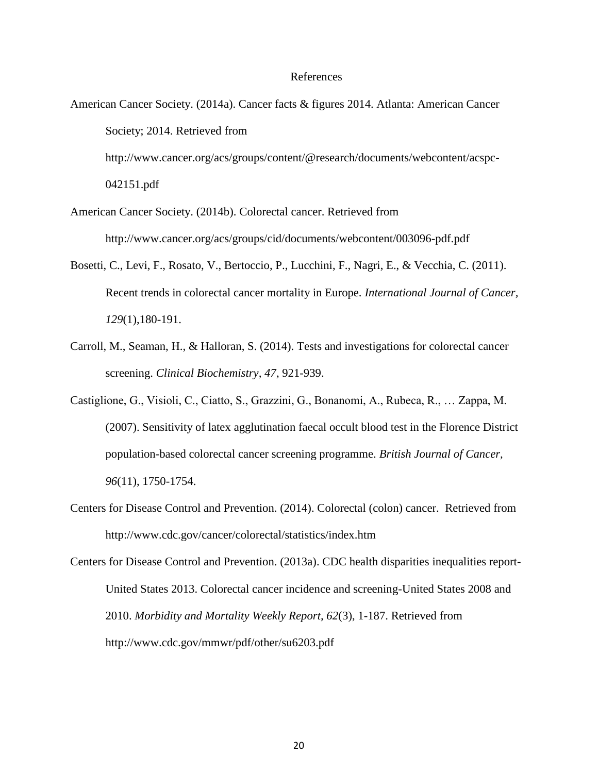#### References

- American Cancer Society. (2014a). Cancer facts & figures 2014. Atlanta: American Cancer Society; 2014. Retrieved from http://www.cancer.org/acs/groups/content/@research/documents/webcontent/acspc- 042151.pdf
- American Cancer Society. (2014b). Colorectal cancer. Retrieved from http://www.cancer.org/acs/groups/cid/documents/webcontent/003096-pdf.pdf
- Bosetti, C., Levi, F., Rosato, V., Bertoccio, P., Lucchini, F., Nagri, E., & Vecchia, C. (2011). Recent trends in colorectal cancer mortality in Europe. *International Journal of Cancer, 129*(1),180-191.
- Carroll, M., Seaman, H., & Halloran, S. (2014). Tests and investigations for colorectal cancer screening. *Clinical Biochemistry, 47*, 921-939.
- Castiglione, G., Visioli, C., Ciatto, S., Grazzini, G., Bonanomi, A., Rubeca, R., … Zappa, M. (2007). Sensitivity of latex agglutination faecal occult blood test in the Florence District population-based colorectal cancer screening programme. *British Journal of Cancer, 96*(11), 1750-1754.
- Centers for Disease Control and Prevention. (2014). Colorectal (colon) cancer. Retrieved from http://www.cdc.gov/cancer/colorectal/statistics/index.htm
- Centers for Disease Control and Prevention. (2013a). CDC health disparities inequalities report-United States 2013. Colorectal cancer incidence and screening-United States 2008 and 2010. *Morbidity and Mortality Weekly Report, 62*(3), 1-187. Retrieved from http://www.cdc.gov/mmwr/pdf/other/su6203.pdf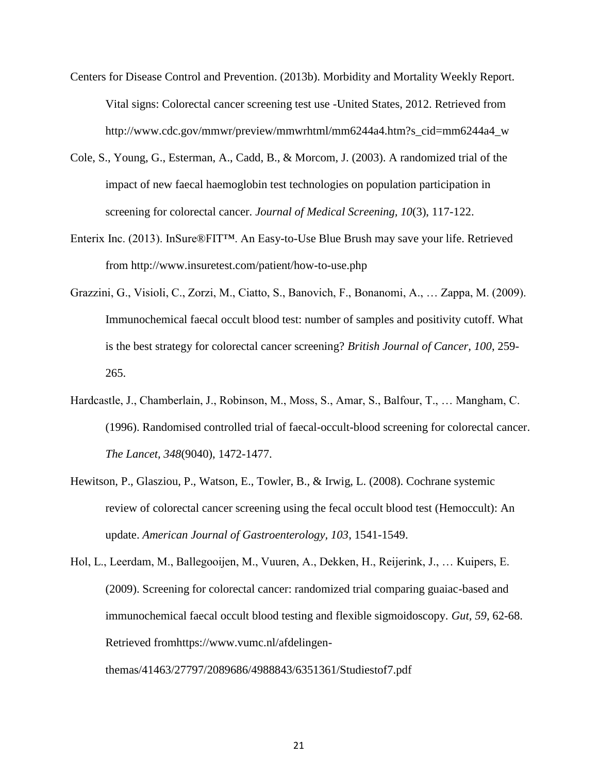- Centers for Disease Control and Prevention. (2013b). Morbidity and Mortality Weekly Report. Vital signs: Colorectal cancer screening test use -United States, 2012. Retrieved from http://www.cdc.gov/mmwr/preview/mmwrhtml/mm6244a4.htm?s\_cid=mm6244a4\_w
- Cole, S., Young, G., Esterman, A., Cadd, B., & Morcom, J. (2003). A randomized trial of the impact of new faecal haemoglobin test technologies on population participation in screening for colorectal cancer. *Journal of Medical Screening, 10*(3), 117-122.
- Enterix Inc. (2013). InSure®FIT™. An Easy-to-Use Blue Brush may save your life. Retrieved from http://www.insuretest.com/patient/how-to-use.php
- Grazzini, G., Visioli, C., Zorzi, M., Ciatto, S., Banovich, F., Bonanomi, A., … Zappa, M. (2009). Immunochemical faecal occult blood test: number of samples and positivity cutoff. What is the best strategy for colorectal cancer screening? *British Journal of Cancer, 100*, 259- 265.
- Hardcastle, J., Chamberlain, J., Robinson, M., Moss, S., Amar, S., Balfour, T., … Mangham, C. (1996). Randomised controlled trial of faecal-occult-blood screening for colorectal cancer. *The Lancet, 348*(9040), 1472-1477.
- Hewitson, P., Glasziou, P., Watson, E., Towler, B., & Irwig, L. (2008). Cochrane systemic review of colorectal cancer screening using the fecal occult blood test (Hemoccult): An update. *American Journal of Gastroenterology, 103*, 1541-1549.
- Hol, L., Leerdam, M., Ballegooijen, M., Vuuren, A., Dekken, H., Reijerink, J., … Kuipers, E. (2009). Screening for colorectal cancer: randomized trial comparing guaiac-based and immunochemical faecal occult blood testing and flexible sigmoidoscopy. *Gut, 59*, 62-68. Retrieved fromhttps://www.vumc.nl/afdelingen-

themas/41463/27797/2089686/4988843/6351361/Studiestof7.pdf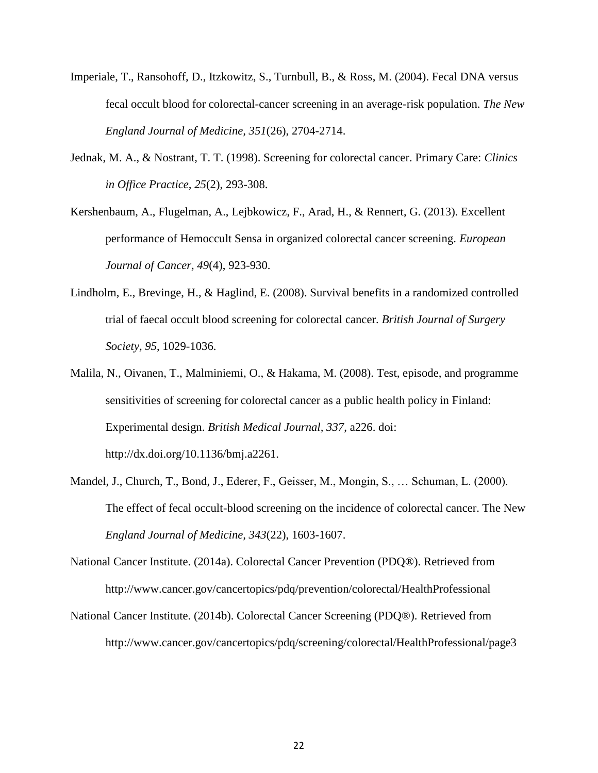- Imperiale, T., Ransohoff, D., Itzkowitz, S., Turnbull, B., & Ross, M. (2004). Fecal DNA versus fecal occult blood for colorectal-cancer screening in an average-risk population. *The New England Journal of Medicine, 351*(26), 2704-2714.
- Jednak, M. A., & Nostrant, T. T. (1998). Screening for colorectal cancer. Primary Care: *Clinics in Office Practice, 25*(2), 293-308.
- Kershenbaum, A., Flugelman, A., Lejbkowicz, F., Arad, H., & Rennert, G. (2013). Excellent performance of Hemoccult Sensa in organized colorectal cancer screening. *European Journal of Cancer, 49*(4), 923-930.
- Lindholm, E., Brevinge, H., & Haglind, E. (2008). Survival benefits in a randomized controlled trial of faecal occult blood screening for colorectal cancer. *British Journal of Surgery Society, 95*, 1029-1036.
- Malila, N., Oivanen, T., Malminiemi, O., & Hakama, M. (2008). Test, episode, and programme sensitivities of screening for colorectal cancer as a public health policy in Finland: Experimental design. *British Medical Journal, 337*, a226. doi: http://dx.doi.org/10.1136/bmj.a2261.
- Mandel, J., Church, T., Bond, J., Ederer, F., Geisser, M., Mongin, S., … Schuman, L. (2000). The effect of fecal occult-blood screening on the incidence of colorectal cancer. The New *England Journal of Medicine, 343*(22), 1603-1607.
- National Cancer Institute. (2014a). Colorectal Cancer Prevention (PDQ®). Retrieved from http://www.cancer.gov/cancertopics/pdq/prevention/colorectal/HealthProfessional
- National Cancer Institute. (2014b). Colorectal Cancer Screening (PDQ®). Retrieved from http://www.cancer.gov/cancertopics/pdq/screening/colorectal/HealthProfessional/page3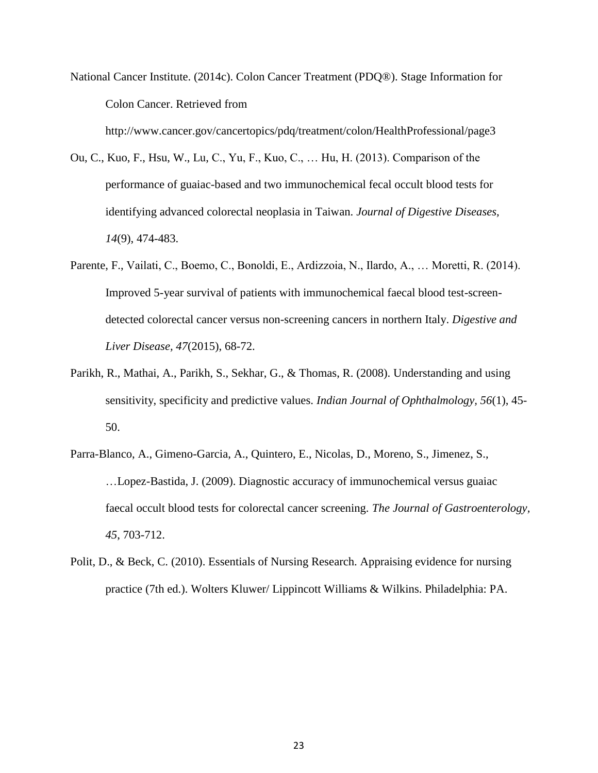National Cancer Institute. (2014c). Colon Cancer Treatment (PDQ®). Stage Information for Colon Cancer. Retrieved from

http://www.cancer.gov/cancertopics/pdq/treatment/colon/HealthProfessional/page3

- Ou, C., Kuo, F., Hsu, W., Lu, C., Yu, F., Kuo, C., … Hu, H. (2013). Comparison of the performance of guaiac-based and two immunochemical fecal occult blood tests for identifying advanced colorectal neoplasia in Taiwan. *Journal of Digestive Diseases, 14*(9), 474-483.
- Parente, F., Vailati, C., Boemo, C., Bonoldi, E., Ardizzoia, N., Ilardo, A., … Moretti, R. (2014). Improved 5-year survival of patients with immunochemical faecal blood test-screendetected colorectal cancer versus non-screening cancers in northern Italy. *Digestive and Liver Disease, 47*(2015), 68-72.
- Parikh, R., Mathai, A., Parikh, S., Sekhar, G., & Thomas, R. (2008). Understanding and using sensitivity, specificity and predictive values. *Indian Journal of Ophthalmology, 56*(1), 45- 50.
- Parra-Blanco, A., Gimeno-Garcia, A., Quintero, E., Nicolas, D., Moreno, S., Jimenez, S., …Lopez-Bastida, J. (2009). Diagnostic accuracy of immunochemical versus guaiac faecal occult blood tests for colorectal cancer screening. *The Journal of Gastroenterology, 45*, 703-712.
- Polit, D., & Beck, C. (2010). Essentials of Nursing Research. Appraising evidence for nursing practice (7th ed.). Wolters Kluwer/ Lippincott Williams & Wilkins. Philadelphia: PA.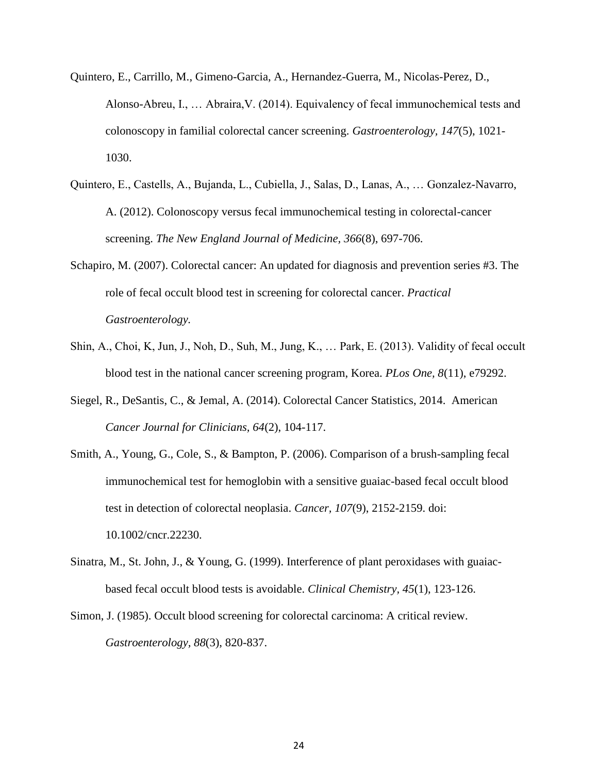- Quintero, E., Carrillo, M., Gimeno-Garcia, A., Hernandez-Guerra, M., Nicolas-Perez, D., Alonso-Abreu, I., … Abraira,V. (2014). Equivalency of fecal immunochemical tests and colonoscopy in familial colorectal cancer screening. *Gastroenterology, 147*(5), 1021- 1030.
- Quintero, E., Castells, A., Bujanda, L., Cubiella, J., Salas, D., Lanas, A., … Gonzalez-Navarro, A. (2012). Colonoscopy versus fecal immunochemical testing in colorectal-cancer screening. *The New England Journal of Medicine, 366*(8), 697-706.
- Schapiro, M. (2007). Colorectal cancer: An updated for diagnosis and prevention series #3. The role of fecal occult blood test in screening for colorectal cancer. *Practical Gastroenterology.*
- Shin, A., Choi, K, Jun, J., Noh, D., Suh, M., Jung, K., … Park, E. (2013). Validity of fecal occult blood test in the national cancer screening program, Korea. *PLos One, 8*(11), e79292.
- Siegel, R., DeSantis, C., & Jemal, A. (2014). Colorectal Cancer Statistics, 2014. American *Cancer Journal for Clinicians, 64*(2), 104-117.
- Smith, A., Young, G., Cole, S., & Bampton, P. (2006). Comparison of a brush-sampling fecal immunochemical test for hemoglobin with a sensitive guaiac-based fecal occult blood test in detection of colorectal neoplasia. *Cancer, 107*(9), 2152-2159. doi: 10.1002/cncr.22230.
- Sinatra, M., St. John, J., & Young, G. (1999). Interference of plant peroxidases with guaiacbased fecal occult blood tests is avoidable. *Clinical Chemistry, 45*(1), 123-126.
- Simon, J. (1985). Occult blood screening for colorectal carcinoma: A critical review. *Gastroenterology, 88*(3), 820-837.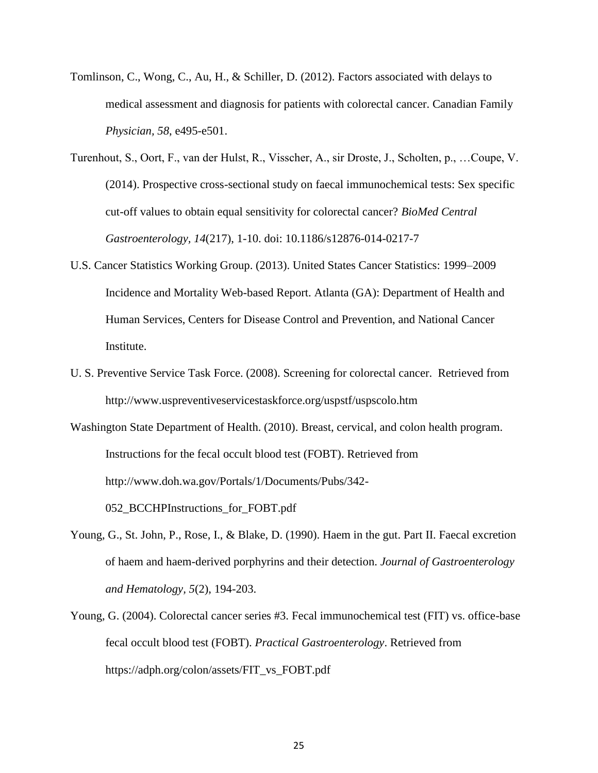- Tomlinson, C., Wong, C., Au, H., & Schiller, D. (2012). Factors associated with delays to medical assessment and diagnosis for patients with colorectal cancer. Canadian Family *Physician, 58*, e495-e501.
- Turenhout, S., Oort, F., van der Hulst, R., Visscher, A., sir Droste, J., Scholten, p., …Coupe, V. (2014). Prospective cross-sectional study on faecal immunochemical tests: Sex specific cut-off values to obtain equal sensitivity for colorectal cancer? *BioMed Central Gastroenterology, 14*(217), 1-10. doi: 10.1186/s12876-014-0217-7
- U.S. Cancer Statistics Working Group. (2013). United States Cancer Statistics: 1999–2009 Incidence and Mortality Web-based Report. Atlanta (GA): Department of Health and Human Services, Centers for Disease Control and Prevention, and National Cancer **Institute**
- U. S. Preventive Service Task Force. (2008). Screening for colorectal cancer. Retrieved from http://www.uspreventiveservicestaskforce.org/uspstf/uspscolo.htm
- Washington State Department of Health. (2010). Breast, cervical, and colon health program. Instructions for the fecal occult blood test (FOBT). Retrieved from http://www.doh.wa.gov/Portals/1/Documents/Pubs/342- 052\_BCCHPInstructions\_for\_FOBT.pdf
- Young, G., St. John, P., Rose, I., & Blake, D. (1990). Haem in the gut. Part II. Faecal excretion of haem and haem-derived porphyrins and their detection. *Journal of Gastroenterology and Hematology, 5*(2), 194-203.
- Young, G. (2004). Colorectal cancer series #3. Fecal immunochemical test (FIT) vs. office-base fecal occult blood test (FOBT). *Practical Gastroenterology*. Retrieved from https://adph.org/colon/assets/FIT\_vs\_FOBT.pdf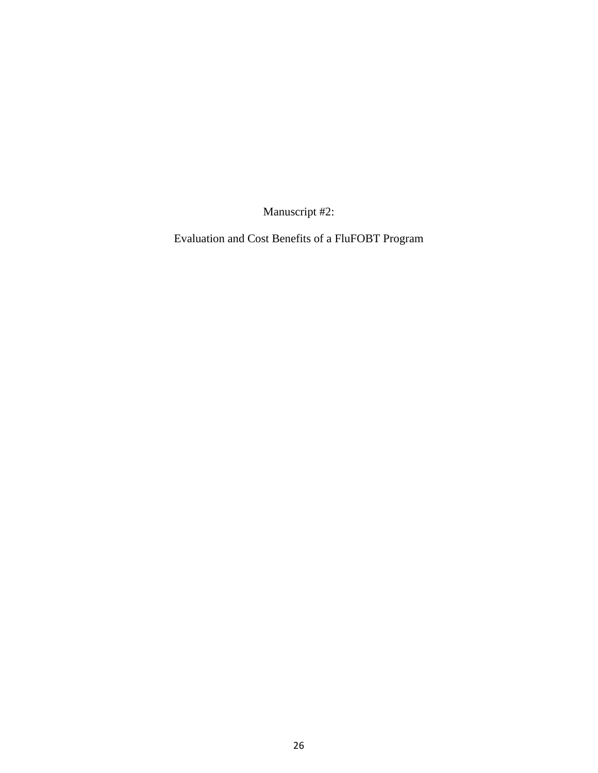Manuscript #2:

Evaluation and Cost Benefits of a FluFOBT Program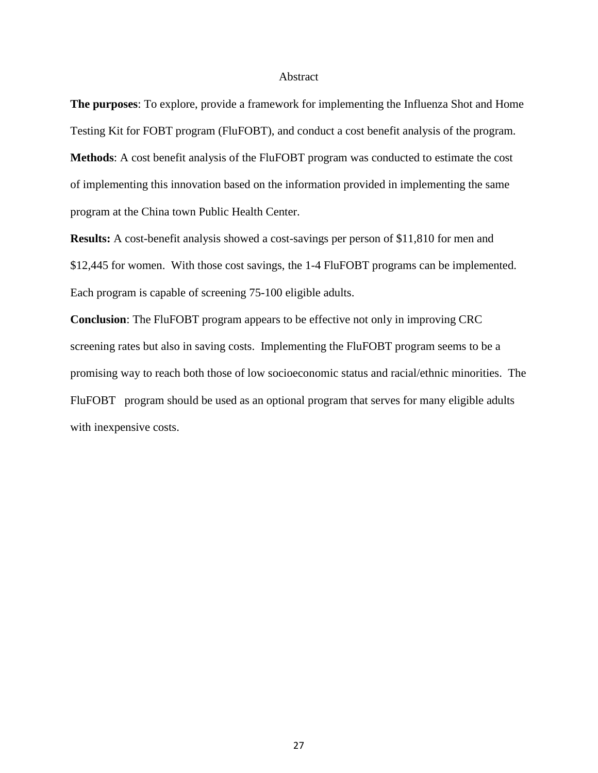#### Abstract

**The purposes**: To explore, provide a framework for implementing the Influenza Shot and Home Testing Kit for FOBT program (FluFOBT), and conduct a cost benefit analysis of the program. **Methods**: A cost benefit analysis of the FluFOBT program was conducted to estimate the cost of implementing this innovation based on the information provided in implementing the same program at the China town Public Health Center.

**Results:** A cost-benefit analysis showed a cost-savings per person of \$11,810 for men and \$12,445 for women. With those cost savings, the 1-4 FluFOBT programs can be implemented. Each program is capable of screening 75-100 eligible adults.

**Conclusion**: The FluFOBT program appears to be effective not only in improving CRC screening rates but also in saving costs. Implementing the FluFOBT program seems to be a promising way to reach both those of low socioeconomic status and racial/ethnic minorities. The FluFOBT program should be used as an optional program that serves for many eligible adults with inexpensive costs.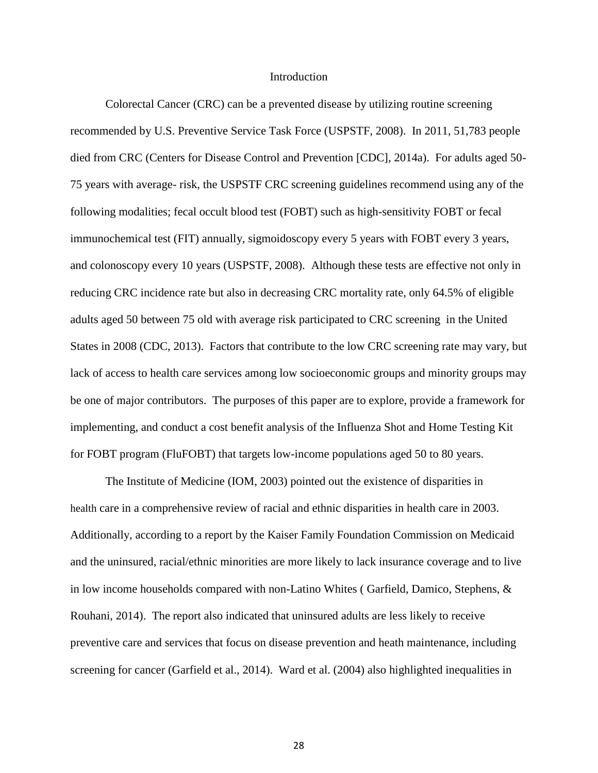#### Introduction

Colorectal Cancer (CRC) can be a prevented disease by utilizing routine screening recommended by U.S. Preventive Service Task Force (USPSTF, 2008). In 2011, 51,783 people died from CRC (Centers for Disease Control and Prevention [CDC], 2014a). For adults aged 50- 75 years with average- risk, the USPSTF CRC screening guidelines recommend using any of the following modalities; fecal occult blood test (FOBT) such as high-sensitivity FOBT or fecal immunochemical test (FIT) annually, sigmoidoscopy every 5 years with FOBT every 3 years, and colonoscopy every 10 years (USPSTF, 2008). Although these tests are effective not only in reducing CRC incidence rate but also in decreasing CRC mortality rate, only 64.5% of eligible adults aged 50 between 75 old with average risk participated to CRC screening in the United States in 2008 (CDC, 2013). Factors that contribute to the low CRC screening rate may vary, but lack of access to health care services among low socioeconomic groups and minority groups may be one of major contributors. The purposes of this paper are to explore, provide a framework for implementing, and conduct a cost benefit analysis of the Influenza Shot and Home Testing Kit for FOBT program (FluFOBT) that targets low-income populations aged 50 to 80 years.

The Institute of Medicine (IOM, 2003) pointed out the existence of disparities in health care in a comprehensive review of racial and ethnic disparities in health care in 2003. Additionally, according to a report by the Kaiser Family Foundation Commission on Medicaid and the uninsured, racial/ethnic minorities are more likely to lack insurance coverage and to live in low income households compared with non-Latino Whites ( Garfield, Damico, Stephens, & Rouhani, 2014). The report also indicated that uninsured adults are less likely to receive preventive care and services that focus on disease prevention and heath maintenance, including screening for cancer (Garfield et al., 2014). Ward et al. (2004) also highlighted inequalities in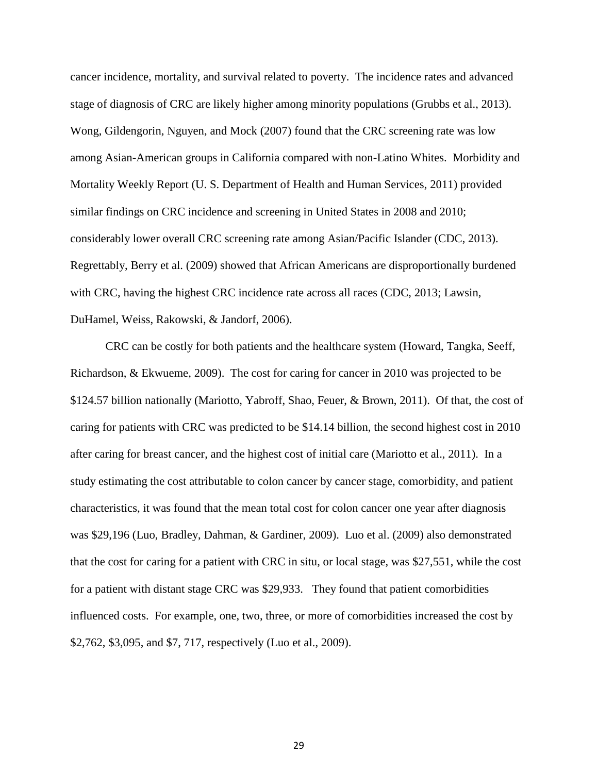cancer incidence, mortality, and survival related to poverty. The incidence rates and advanced stage of diagnosis of CRC are likely higher among minority populations (Grubbs et al., 2013). Wong, Gildengorin, Nguyen, and Mock (2007) found that the CRC screening rate was low among Asian-American groups in California compared with non-Latino Whites. Morbidity and Mortality Weekly Report (U. S. Department of Health and Human Services, 2011) provided similar findings on CRC incidence and screening in United States in 2008 and 2010; considerably lower overall CRC screening rate among Asian/Pacific Islander (CDC, 2013). Regrettably, Berry et al. (2009) showed that African Americans are disproportionally burdened with CRC, having the highest CRC incidence rate across all races (CDC, 2013; Lawsin, DuHamel, Weiss, Rakowski, & Jandorf, 2006).

CRC can be costly for both patients and the healthcare system (Howard, Tangka, Seeff, Richardson, & Ekwueme, 2009). The cost for caring for cancer in 2010 was projected to be \$124.57 billion nationally (Mariotto, Yabroff, Shao, Feuer, & Brown, 2011). Of that, the cost of caring for patients with CRC was predicted to be \$14.14 billion, the second highest cost in 2010 after caring for breast cancer, and the highest cost of initial care (Mariotto et al., 2011). In a study estimating the cost attributable to colon cancer by cancer stage, comorbidity, and patient characteristics, it was found that the mean total cost for colon cancer one year after diagnosis was \$29,196 (Luo, Bradley, Dahman, & Gardiner, 2009). Luo et al. (2009) also demonstrated that the cost for caring for a patient with CRC in situ, or local stage, was \$27,551, while the cost for a patient with distant stage CRC was \$29,933. They found that patient comorbidities influenced costs. For example, one, two, three, or more of comorbidities increased the cost by \$2,762, \$3,095, and \$7, 717, respectively (Luo et al., 2009).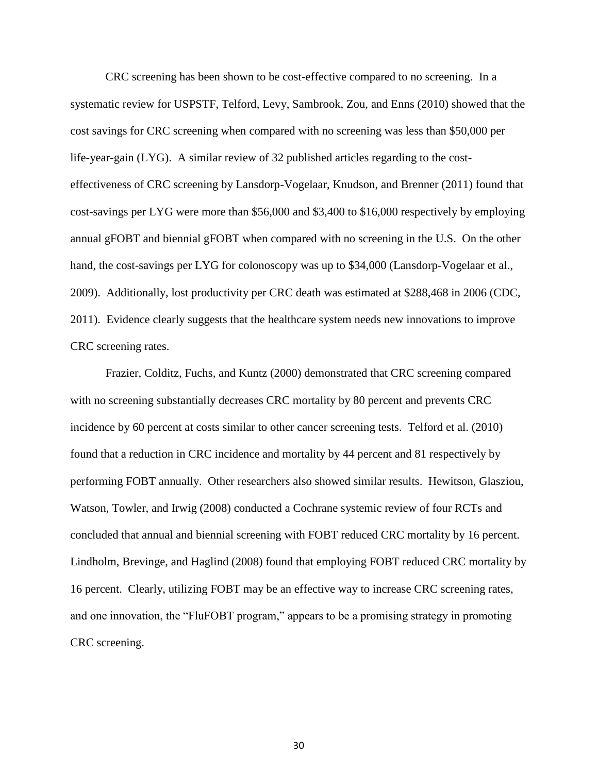CRC screening has been shown to be cost-effective compared to no screening. In a systematic review for USPSTF, Telford, Levy, Sambrook, Zou, and Enns (2010) showed that the cost savings for CRC screening when compared with no screening was less than \$50,000 per life-year-gain (LYG). A similar review of 32 published articles regarding to the costeffectiveness of CRC screening by Lansdorp-Vogelaar, Knudson, and Brenner (2011) found that cost-savings per LYG were more than \$56,000 and \$3,400 to \$16,000 respectively by employing annual gFOBT and biennial gFOBT when compared with no screening in the U.S. On the other hand, the cost-savings per LYG for colonoscopy was up to \$34,000 (Lansdorp-Vogelaar et al., 2009). Additionally, lost productivity per CRC death was estimated at \$288,468 in 2006 (CDC, 2011). Evidence clearly suggests that the healthcare system needs new innovations to improve CRC screening rates.

Frazier, Colditz, Fuchs, and Kuntz (2000) demonstrated that CRC screening compared with no screening substantially decreases CRC mortality by 80 percent and prevents CRC incidence by 60 percent at costs similar to other cancer screening tests. Telford et al. (2010) found that a reduction in CRC incidence and mortality by 44 percent and 81 respectively by performing FOBT annually. Other researchers also showed similar results. Hewitson, Glasziou, Watson, Towler, and Irwig (2008) conducted a Cochrane systemic review of four RCTs and concluded that annual and biennial screening with FOBT reduced CRC mortality by 16 percent. Lindholm, Brevinge, and Haglind (2008) found that employing FOBT reduced CRC mortality by 16 percent. Clearly, utilizing FOBT may be an effective way to increase CRC screening rates, and one innovation, the "FluFOBT program," appears to be a promising strategy in promoting CRC screening.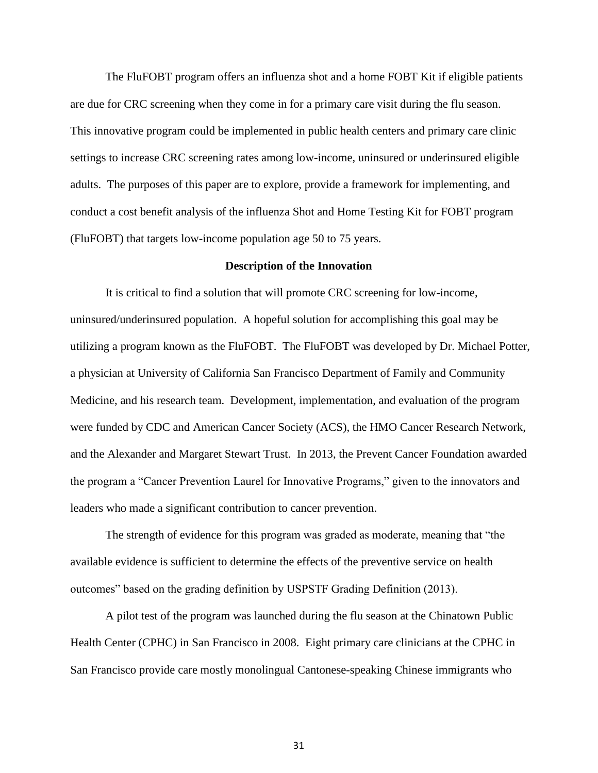The FluFOBT program offers an influenza shot and a home FOBT Kit if eligible patients are due for CRC screening when they come in for a primary care visit during the flu season. This innovative program could be implemented in public health centers and primary care clinic settings to increase CRC screening rates among low-income, uninsured or underinsured eligible adults. The purposes of this paper are to explore, provide a framework for implementing, and conduct a cost benefit analysis of the influenza Shot and Home Testing Kit for FOBT program (FluFOBT) that targets low-income population age 50 to 75 years.

## **Description of the Innovation**

It is critical to find a solution that will promote CRC screening for low-income, uninsured/underinsured population. A hopeful solution for accomplishing this goal may be utilizing a program known as the FluFOBT. The FluFOBT was developed by Dr. Michael Potter, a physician at University of California San Francisco Department of Family and Community Medicine, and his research team. Development, implementation, and evaluation of the program were funded by CDC and American Cancer Society (ACS), the HMO Cancer Research Network, and the Alexander and Margaret Stewart Trust. In 2013, the Prevent Cancer Foundation awarded the program a "Cancer Prevention Laurel for Innovative Programs," given to the innovators and leaders who made a significant contribution to cancer prevention.

The strength of evidence for this program was graded as moderate, meaning that "the available evidence is sufficient to determine the effects of the preventive service on health outcomes" based on the grading definition by USPSTF Grading Definition (2013).

A pilot test of the program was launched during the flu season at the Chinatown Public Health Center (CPHC) in San Francisco in 2008. Eight primary care clinicians at the CPHC in San Francisco provide care mostly monolingual Cantonese-speaking Chinese immigrants who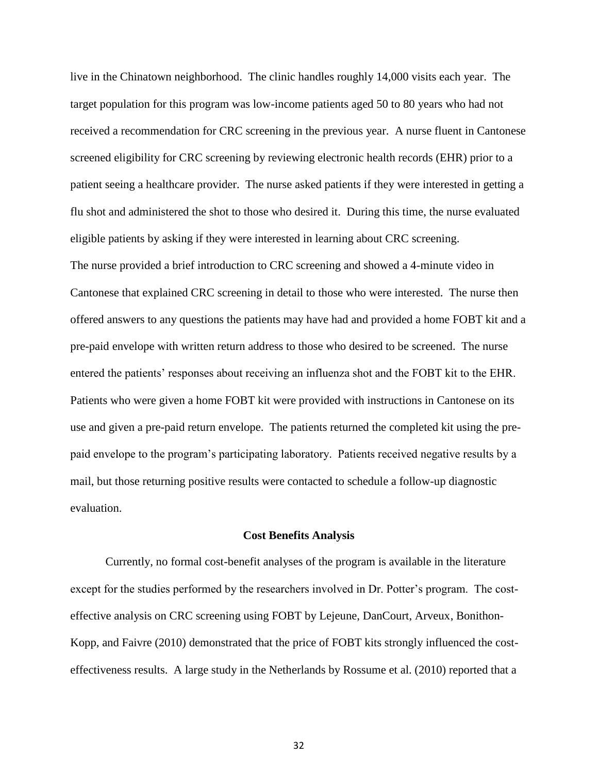live in the Chinatown neighborhood. The clinic handles roughly 14,000 visits each year. The target population for this program was low-income patients aged 50 to 80 years who had not received a recommendation for CRC screening in the previous year. A nurse fluent in Cantonese screened eligibility for CRC screening by reviewing electronic health records (EHR) prior to a patient seeing a healthcare provider. The nurse asked patients if they were interested in getting a flu shot and administered the shot to those who desired it. During this time, the nurse evaluated eligible patients by asking if they were interested in learning about CRC screening. The nurse provided a brief introduction to CRC screening and showed a 4-minute video in Cantonese that explained CRC screening in detail to those who were interested. The nurse then offered answers to any questions the patients may have had and provided a home FOBT kit and a pre-paid envelope with written return address to those who desired to be screened. The nurse entered the patients' responses about receiving an influenza shot and the FOBT kit to the EHR. Patients who were given a home FOBT kit were provided with instructions in Cantonese on its use and given a pre-paid return envelope. The patients returned the completed kit using the prepaid envelope to the program's participating laboratory. Patients received negative results by a mail, but those returning positive results were contacted to schedule a follow-up diagnostic evaluation.

#### **Cost Benefits Analysis**

Currently, no formal cost-benefit analyses of the program is available in the literature except for the studies performed by the researchers involved in Dr. Potter's program. The costeffective analysis on CRC screening using FOBT by Lejeune, DanCourt, Arveux, Bonithon-Kopp, and Faivre (2010) demonstrated that the price of FOBT kits strongly influenced the costeffectiveness results. A large study in the Netherlands by Rossume et al. (2010) reported that a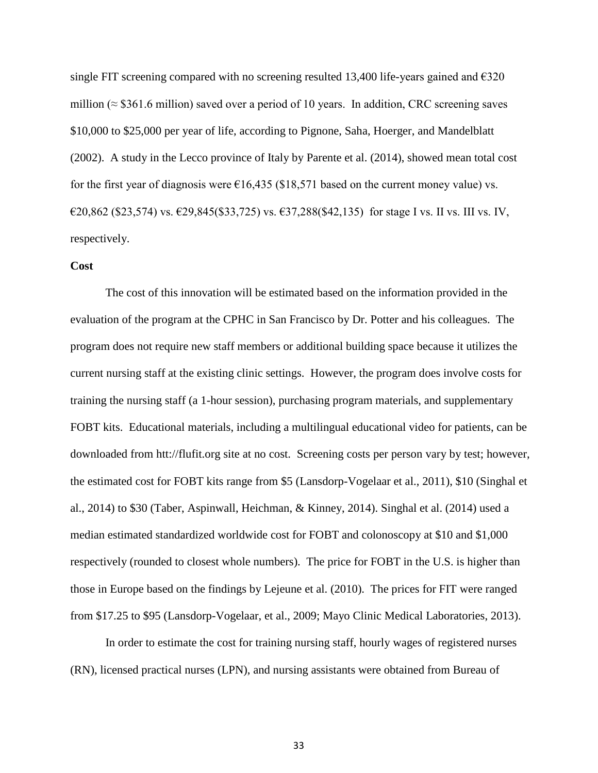single FIT screening compared with no screening resulted 13,400 life-years gained and  $\epsilon$ 320 million ( $\approx$  \$361.6 million) saved over a period of 10 years. In addition, CRC screening saves \$10,000 to \$25,000 per year of life, according to Pignone, Saha, Hoerger, and Mandelblatt (2002). A study in the Lecco province of Italy by Parente et al. (2014), showed mean total cost for the first year of diagnosis were  $\epsilon$ 16,435 (\$18,571 based on the current money value) vs. €20,862 (\$23,574) vs. €29,845(\$33,725) vs.  $€37,288$ (\$42,135) for stage I vs. II vs. III vs. IV, respectively.

# **Cost**

The cost of this innovation will be estimated based on the information provided in the evaluation of the program at the CPHC in San Francisco by Dr. Potter and his colleagues. The program does not require new staff members or additional building space because it utilizes the current nursing staff at the existing clinic settings. However, the program does involve costs for training the nursing staff (a 1-hour session), purchasing program materials, and supplementary FOBT kits. Educational materials, including a multilingual educational video for patients, can be downloaded from htt://flufit.org site at no cost. Screening costs per person vary by test; however, the estimated cost for FOBT kits range from \$5 (Lansdorp-Vogelaar et al., 2011), \$10 (Singhal et al., 2014) to \$30 (Taber, Aspinwall, Heichman, & Kinney, 2014). Singhal et al. (2014) used a median estimated standardized worldwide cost for FOBT and colonoscopy at \$10 and \$1,000 respectively (rounded to closest whole numbers). The price for FOBT in the U.S. is higher than those in Europe based on the findings by Lejeune et al. (2010). The prices for FIT were ranged from \$17.25 to \$95 (Lansdorp-Vogelaar, et al., 2009; Mayo Clinic Medical Laboratories, 2013).

In order to estimate the cost for training nursing staff, hourly wages of registered nurses (RN), licensed practical nurses (LPN), and nursing assistants were obtained from Bureau of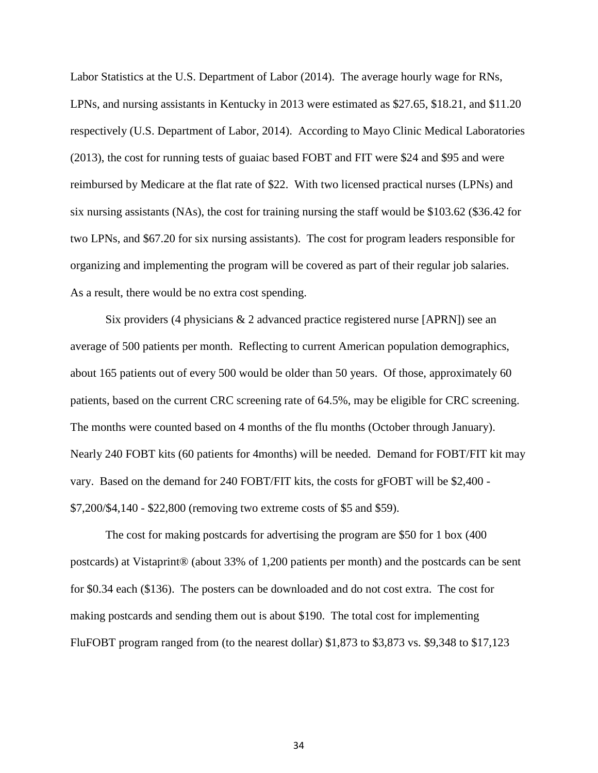Labor Statistics at the U.S. Department of Labor (2014). The average hourly wage for RNs, LPNs, and nursing assistants in Kentucky in 2013 were estimated as \$27.65, \$18.21, and \$11.20 respectively (U.S. Department of Labor, 2014). According to Mayo Clinic Medical Laboratories (2013), the cost for running tests of guaiac based FOBT and FIT were \$24 and \$95 and were reimbursed by Medicare at the flat rate of \$22. With two licensed practical nurses (LPNs) and six nursing assistants (NAs), the cost for training nursing the staff would be \$103.62 (\$36.42 for two LPNs, and \$67.20 for six nursing assistants). The cost for program leaders responsible for organizing and implementing the program will be covered as part of their regular job salaries. As a result, there would be no extra cost spending.

Six providers (4 physicians & 2 advanced practice registered nurse [APRN]) see an average of 500 patients per month. Reflecting to current American population demographics, about 165 patients out of every 500 would be older than 50 years. Of those, approximately 60 patients, based on the current CRC screening rate of 64.5%, may be eligible for CRC screening. The months were counted based on 4 months of the flu months (October through January). Nearly 240 FOBT kits (60 patients for 4months) will be needed. Demand for FOBT/FIT kit may vary. Based on the demand for 240 FOBT/FIT kits, the costs for gFOBT will be \$2,400 - \$7,200/\$4,140 - \$22,800 (removing two extreme costs of \$5 and \$59).

The cost for making postcards for advertising the program are \$50 for 1 box (400 postcards) at Vistaprint® (about 33% of 1,200 patients per month) and the postcards can be sent for \$0.34 each (\$136). The posters can be downloaded and do not cost extra. The cost for making postcards and sending them out is about \$190. The total cost for implementing FluFOBT program ranged from (to the nearest dollar) \$1,873 to \$3,873 vs. \$9,348 to \$17,123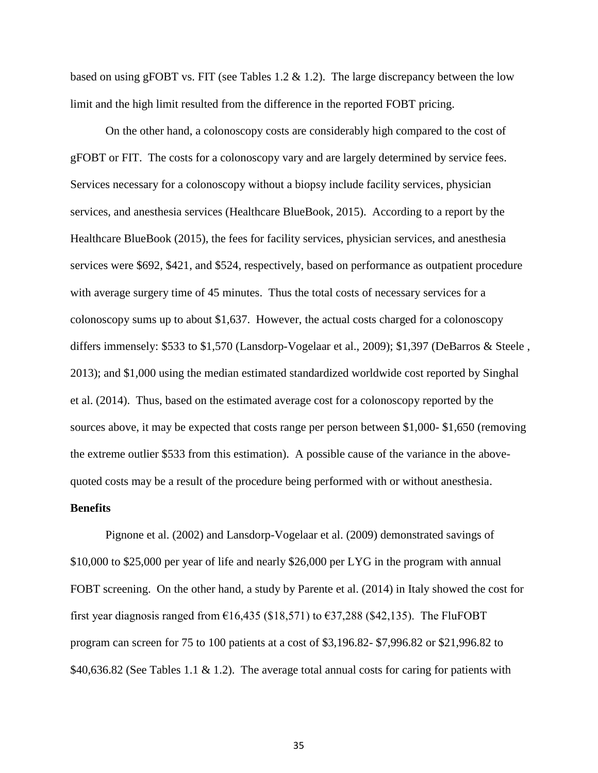based on using gFOBT vs. FIT (see Tables 1.2 & 1.2). The large discrepancy between the low limit and the high limit resulted from the difference in the reported FOBT pricing.

On the other hand, a colonoscopy costs are considerably high compared to the cost of gFOBT or FIT. The costs for a colonoscopy vary and are largely determined by service fees. Services necessary for a colonoscopy without a biopsy include facility services, physician services, and anesthesia services (Healthcare BlueBook, 2015). According to a report by the Healthcare BlueBook (2015), the fees for facility services, physician services, and anesthesia services were \$692, \$421, and \$524, respectively, based on performance as outpatient procedure with average surgery time of 45 minutes. Thus the total costs of necessary services for a colonoscopy sums up to about \$1,637. However, the actual costs charged for a colonoscopy differs immensely: \$533 to \$1,570 (Lansdorp-Vogelaar et al., 2009); \$1,397 (DeBarros & Steele , 2013); and \$1,000 using the median estimated standardized worldwide cost reported by Singhal et al. (2014). Thus, based on the estimated average cost for a colonoscopy reported by the sources above, it may be expected that costs range per person between \$1,000- \$1,650 (removing the extreme outlier \$533 from this estimation). A possible cause of the variance in the abovequoted costs may be a result of the procedure being performed with or without anesthesia.

### **Benefits**

Pignone et al. (2002) and Lansdorp-Vogelaar et al. (2009) demonstrated savings of \$10,000 to \$25,000 per year of life and nearly \$26,000 per LYG in the program with annual FOBT screening. On the other hand, a study by Parente et al. (2014) in Italy showed the cost for first year diagnosis ranged from  $\epsilon$ 16,435 (\$18,571) to  $\epsilon$ 37,288 (\$42,135). The FluFOBT program can screen for 75 to 100 patients at a cost of \$3,196.82- \$7,996.82 or \$21,996.82 to \$40,636.82 (See Tables 1.1 & 1.2). The average total annual costs for caring for patients with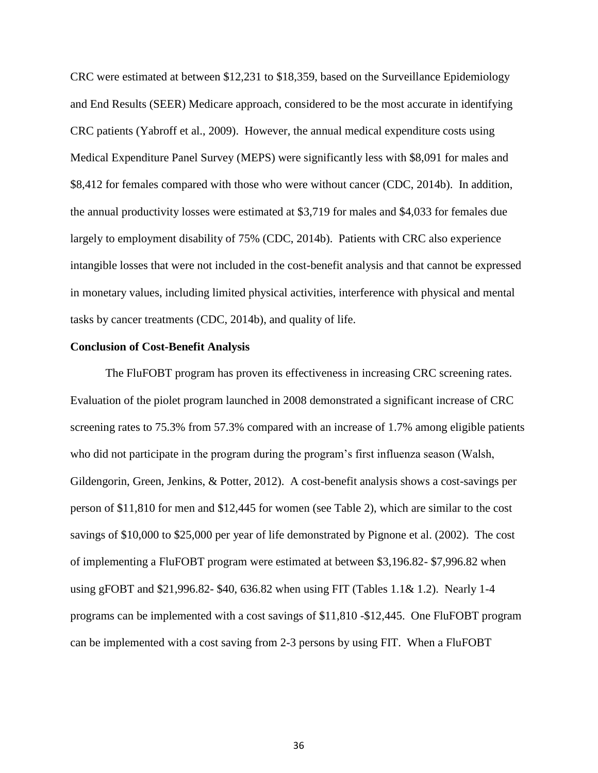CRC were estimated at between \$12,231 to \$18,359, based on the Surveillance Epidemiology and End Results (SEER) Medicare approach, considered to be the most accurate in identifying CRC patients (Yabroff et al., 2009). However, the annual medical expenditure costs using Medical Expenditure Panel Survey (MEPS) were significantly less with \$8,091 for males and \$8,412 for females compared with those who were without cancer (CDC, 2014b). In addition, the annual productivity losses were estimated at \$3,719 for males and \$4,033 for females due largely to employment disability of 75% (CDC, 2014b). Patients with CRC also experience intangible losses that were not included in the cost-benefit analysis and that cannot be expressed in monetary values, including limited physical activities, interference with physical and mental tasks by cancer treatments (CDC, 2014b), and quality of life.

#### **Conclusion of Cost-Benefit Analysis**

The FluFOBT program has proven its effectiveness in increasing CRC screening rates. Evaluation of the piolet program launched in 2008 demonstrated a significant increase of CRC screening rates to 75.3% from 57.3% compared with an increase of 1.7% among eligible patients who did not participate in the program during the program's first influenza season (Walsh, Gildengorin, Green, Jenkins, & Potter, 2012). A cost-benefit analysis shows a cost-savings per person of \$11,810 for men and \$12,445 for women (see Table 2), which are similar to the cost savings of \$10,000 to \$25,000 per year of life demonstrated by Pignone et al. (2002). The cost of implementing a FluFOBT program were estimated at between \$3,196.82- \$7,996.82 when using gFOBT and \$21,996.82- \$40, 636.82 when using FIT (Tables 1.1& 1.2). Nearly 1-4 programs can be implemented with a cost savings of \$11,810 -\$12,445. One FluFOBT program can be implemented with a cost saving from 2-3 persons by using FIT. When a FluFOBT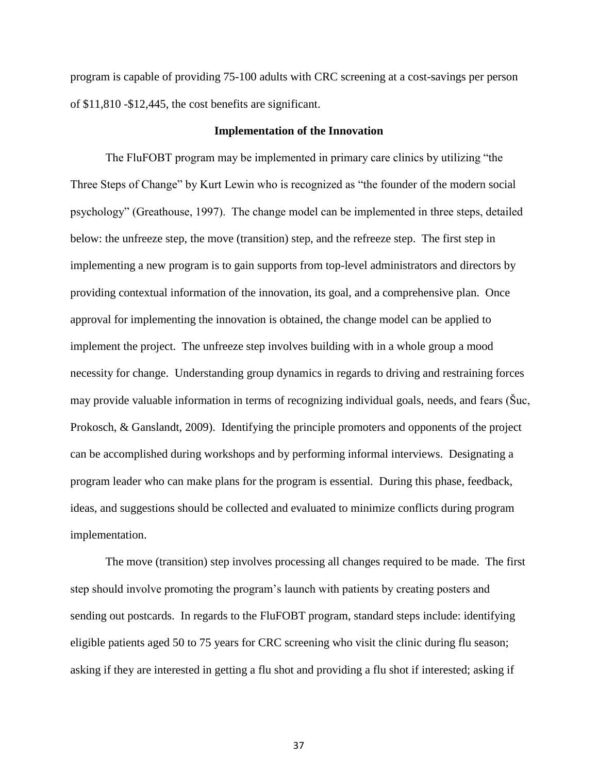program is capable of providing 75-100 adults with CRC screening at a cost-savings per person of \$11,810 -\$12,445, the cost benefits are significant.

### **Implementation of the Innovation**

The FluFOBT program may be implemented in primary care clinics by utilizing "the Three Steps of Change" by Kurt Lewin who is recognized as "the founder of the modern social psychology" (Greathouse, 1997). The change model can be implemented in three steps, detailed below: the unfreeze step, the move (transition) step, and the refreeze step. The first step in implementing a new program is to gain supports from top-level administrators and directors by providing contextual information of the innovation, its goal, and a comprehensive plan. Once approval for implementing the innovation is obtained, the change model can be applied to implement the project. The unfreeze step involves building with in a whole group a mood necessity for change. Understanding group dynamics in regards to driving and restraining forces may provide valuable information in terms of recognizing individual goals, needs, and fears (Šuc, Prokosch, & Ganslandt, 2009). Identifying the principle promoters and opponents of the project can be accomplished during workshops and by performing informal interviews. Designating a program leader who can make plans for the program is essential. During this phase, feedback, ideas, and suggestions should be collected and evaluated to minimize conflicts during program implementation.

The move (transition) step involves processing all changes required to be made. The first step should involve promoting the program's launch with patients by creating posters and sending out postcards. In regards to the FluFOBT program, standard steps include: identifying eligible patients aged 50 to 75 years for CRC screening who visit the clinic during flu season; asking if they are interested in getting a flu shot and providing a flu shot if interested; asking if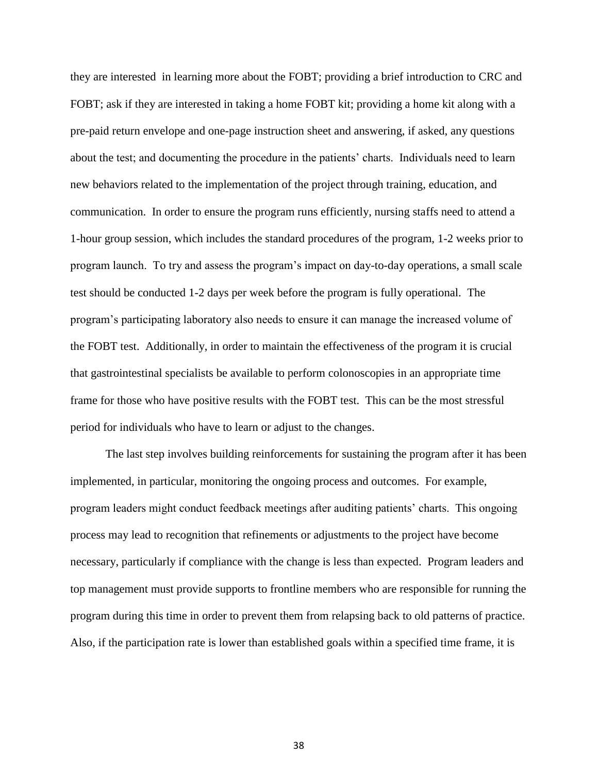they are interested in learning more about the FOBT; providing a brief introduction to CRC and FOBT; ask if they are interested in taking a home FOBT kit; providing a home kit along with a pre-paid return envelope and one-page instruction sheet and answering, if asked, any questions about the test; and documenting the procedure in the patients' charts. Individuals need to learn new behaviors related to the implementation of the project through training, education, and communication. In order to ensure the program runs efficiently, nursing staffs need to attend a 1-hour group session, which includes the standard procedures of the program, 1-2 weeks prior to program launch. To try and assess the program's impact on day-to-day operations, a small scale test should be conducted 1-2 days per week before the program is fully operational. The program's participating laboratory also needs to ensure it can manage the increased volume of the FOBT test. Additionally, in order to maintain the effectiveness of the program it is crucial that gastrointestinal specialists be available to perform colonoscopies in an appropriate time frame for those who have positive results with the FOBT test. This can be the most stressful period for individuals who have to learn or adjust to the changes.

The last step involves building reinforcements for sustaining the program after it has been implemented, in particular, monitoring the ongoing process and outcomes. For example, program leaders might conduct feedback meetings after auditing patients' charts. This ongoing process may lead to recognition that refinements or adjustments to the project have become necessary, particularly if compliance with the change is less than expected. Program leaders and top management must provide supports to frontline members who are responsible for running the program during this time in order to prevent them from relapsing back to old patterns of practice. Also, if the participation rate is lower than established goals within a specified time frame, it is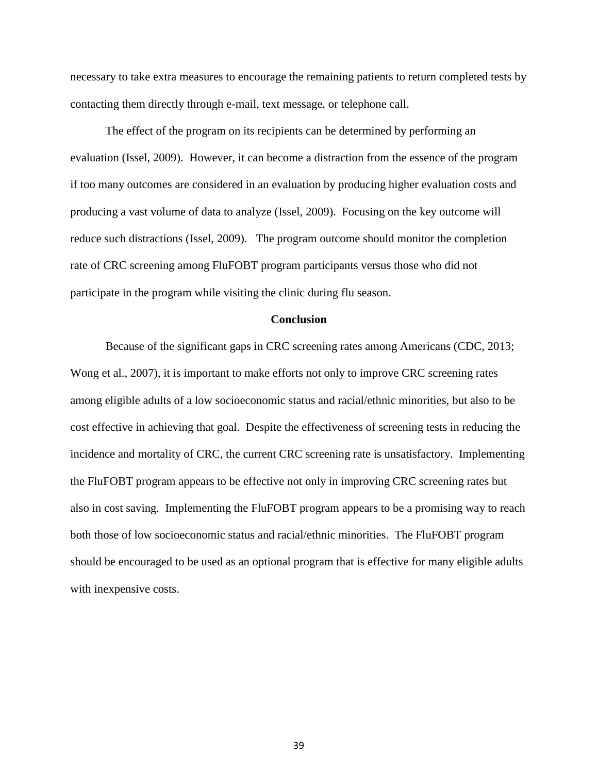necessary to take extra measures to encourage the remaining patients to return completed tests by contacting them directly through e-mail, text message, or telephone call.

The effect of the program on its recipients can be determined by performing an evaluation (Issel, 2009). However, it can become a distraction from the essence of the program if too many outcomes are considered in an evaluation by producing higher evaluation costs and producing a vast volume of data to analyze (Issel, 2009). Focusing on the key outcome will reduce such distractions (Issel, 2009). The program outcome should monitor the completion rate of CRC screening among FluFOBT program participants versus those who did not participate in the program while visiting the clinic during flu season.

## **Conclusion**

Because of the significant gaps in CRC screening rates among Americans (CDC, 2013; Wong et al., 2007), it is important to make efforts not only to improve CRC screening rates among eligible adults of a low socioeconomic status and racial/ethnic minorities, but also to be cost effective in achieving that goal. Despite the effectiveness of screening tests in reducing the incidence and mortality of CRC, the current CRC screening rate is unsatisfactory. Implementing the FluFOBT program appears to be effective not only in improving CRC screening rates but also in cost saving. Implementing the FluFOBT program appears to be a promising way to reach both those of low socioeconomic status and racial/ethnic minorities. The FluFOBT program should be encouraged to be used as an optional program that is effective for many eligible adults with inexpensive costs.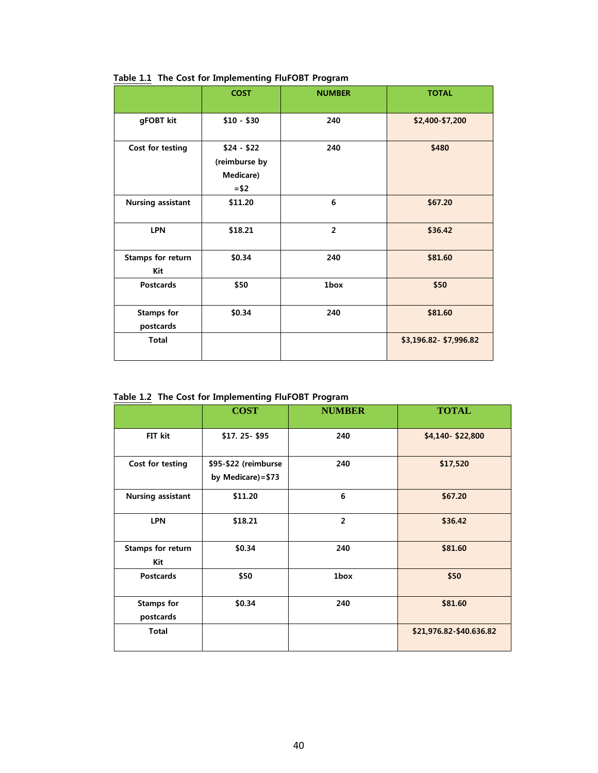|                                 | <b>COST</b>                                         | <b>NUMBER</b>  | <b>TOTAL</b>            |
|---------------------------------|-----------------------------------------------------|----------------|-------------------------|
| gFOBT kit                       | $$10 - $30$                                         | 240            | \$2,400-\$7,200         |
| Cost for testing                | $$24 - $22$<br>(reimburse by<br>Medicare)<br>$= $2$ | 240            | \$480                   |
| <b>Nursing assistant</b>        | \$11.20                                             | 6              | \$67.20                 |
| <b>LPN</b>                      | \$18.21                                             | $\overline{2}$ | \$36.42                 |
| <b>Stamps for return</b><br>Kit | \$0.34                                              | 240            | \$81.60                 |
| <b>Postcards</b>                | \$50                                                | 1box           | \$50                    |
| <b>Stamps for</b><br>postcards  | \$0.34                                              | 240            | \$81.60                 |
| <b>Total</b>                    |                                                     |                | \$3,196.82 - \$7,996.82 |

 **Table 1.1 The Cost for Implementing FluFOBT Program**

|  |  |  | Table 1.2 The Cost for Implementing FluFOBT Program |
|--|--|--|-----------------------------------------------------|
|--|--|--|-----------------------------------------------------|

|                                 | <b>COST</b>                               | <b>NUMBER</b>  | <b>TOTAL</b>            |
|---------------------------------|-------------------------------------------|----------------|-------------------------|
| FIT kit                         | \$17.25-\$95                              | 240            | \$4,140 \$22,800        |
| Cost for testing                | \$95-\$22 (reimburse<br>by Medicare)=\$73 | 240            | \$17,520                |
| <b>Nursing assistant</b>        | \$11.20                                   | 6              | \$67.20                 |
| <b>LPN</b>                      | \$18.21                                   | $\overline{2}$ | \$36.42                 |
| <b>Stamps for return</b><br>Kit | \$0.34                                    | 240            | \$81.60                 |
| <b>Postcards</b>                | \$50                                      | 1box           | \$50                    |
| <b>Stamps for</b><br>postcards  | \$0.34                                    | 240            | \$81.60                 |
| Total                           |                                           |                | \$21,976.82-\$40.636.82 |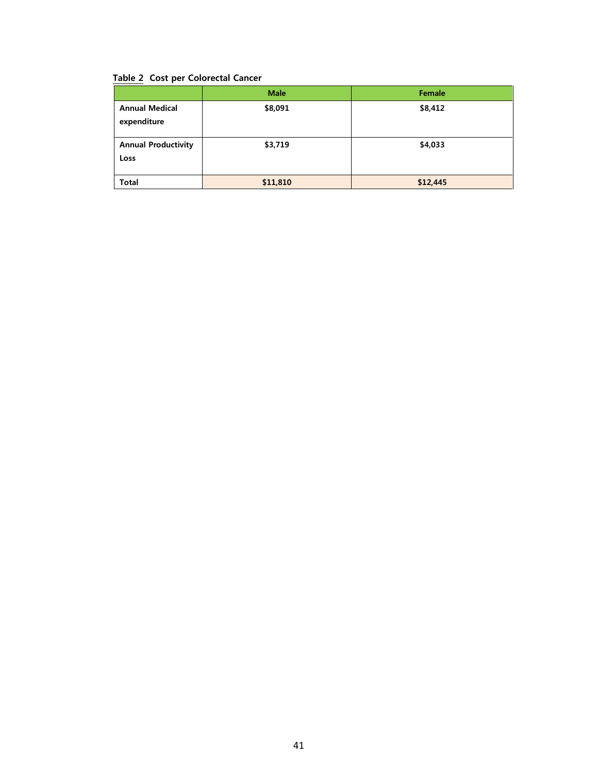# **Table 2 Cost per Colorectal Cancer**

|                                      | <b>Male</b> | Female   |
|--------------------------------------|-------------|----------|
| <b>Annual Medical</b><br>expenditure | \$8,091     | \$8,412  |
| <b>Annual Productivity</b><br>Loss   | \$3,719     | \$4,033  |
| <b>Total</b>                         | \$11,810    | \$12,445 |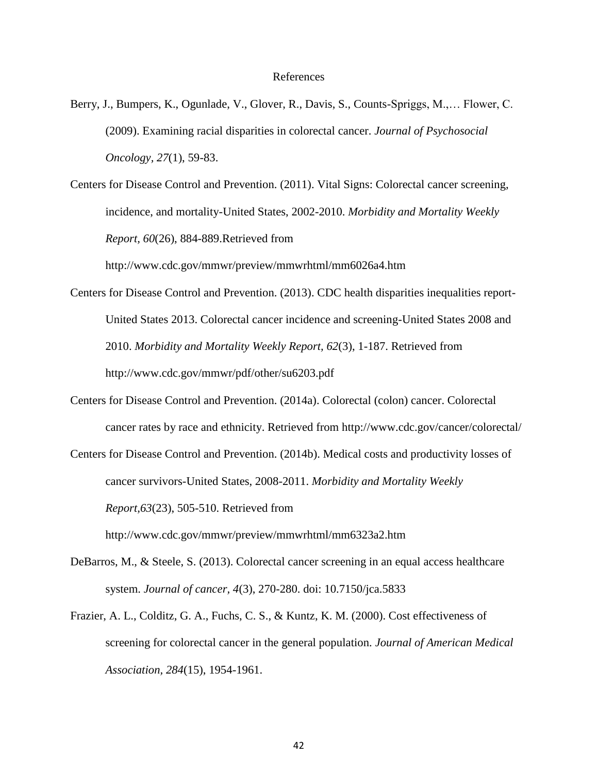#### References

Berry, J., Bumpers, K., Ogunlade, V., Glover, R., Davis, S., Counts-Spriggs, M.,… Flower, C. (2009). Examining racial disparities in colorectal cancer. *Journal of Psychosocial Oncology, 27*(1), 59-83.

Centers for Disease Control and Prevention. (2011). Vital Signs: Colorectal cancer screening, incidence, and mortality-United States, 2002-2010. *Morbidity and Mortality Weekly Report, 60*(26), 884-889.Retrieved from

http://www.cdc.gov/mmwr/preview/mmwrhtml/mm6026a4.htm

- Centers for Disease Control and Prevention. (2013). CDC health disparities inequalities report-United States 2013. Colorectal cancer incidence and screening-United States 2008 and 2010. *Morbidity and Mortality Weekly Report, 62*(3), 1-187. Retrieved from http://www.cdc.gov/mmwr/pdf/other/su6203.pdf
- Centers for Disease Control and Prevention. (2014a). Colorectal (colon) cancer. Colorectal cancer rates by race and ethnicity. Retrieved from http://www.cdc.gov/cancer/colorectal/

Centers for Disease Control and Prevention. (2014b). Medical costs and productivity losses of cancer survivors-United States, 2008-2011. *Morbidity and Mortality Weekly Report,63*(23), 505-510. Retrieved from http://www.cdc.gov/mmwr/preview/mmwrhtml/mm6323a2.htm

DeBarros, M., & Steele, S. (2013). Colorectal cancer screening in an equal access healthcare

system. *Journal of cancer, 4*(3), 270-280. doi: 10.7150/jca.5833

Frazier, A. L., Colditz, G. A., Fuchs, C. S., & Kuntz, K. M. (2000). Cost effectiveness of screening for colorectal cancer in the general population. *Journal of American Medical Association, 284*(15), 1954-1961.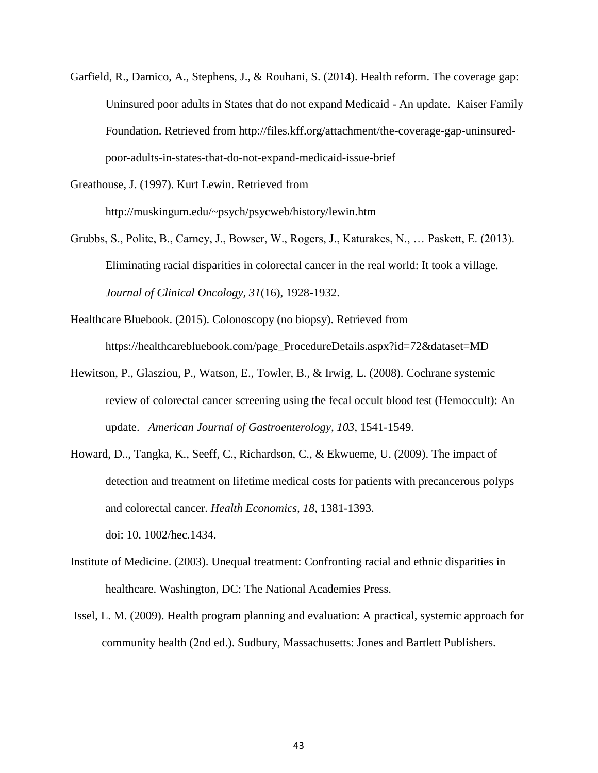Garfield, R., Damico, A., Stephens, J., & Rouhani, S. (2014). Health reform. The coverage gap: Uninsured poor adults in States that do not expand Medicaid - An update. Kaiser Family Foundation. Retrieved from http://files.kff.org/attachment/the-coverage-gap-uninsuredpoor-adults-in-states-that-do-not-expand-medicaid-issue-brief

Greathouse, J. (1997). Kurt Lewin. Retrieved from http://muskingum.edu/~psych/psycweb/history/lewin.htm

Grubbs, S., Polite, B., Carney, J., Bowser, W., Rogers, J., Katurakes, N., … Paskett, E. (2013). Eliminating racial disparities in colorectal cancer in the real world: It took a village. *Journal of Clinical Oncology, 31*(16), 1928-1932.

Healthcare Bluebook. (2015). Colonoscopy (no biopsy). Retrieved from https://healthcarebluebook.com/page\_ProcedureDetails.aspx?id=72&dataset=MD

- Hewitson, P., Glasziou, P., Watson, E., Towler, B., & Irwig, L. (2008). Cochrane systemic review of colorectal cancer screening using the fecal occult blood test (Hemoccult): An update. *American Journal of Gastroenterology, 103*, 1541-1549.
- Howard, D.., Tangka, K., Seeff, C., Richardson, C., & Ekwueme, U. (2009). The impact of detection and treatment on lifetime medical costs for patients with precancerous polyps and colorectal cancer. *Health Economics, 18*, 1381-1393. doi: 10. 1002/hec.1434.
- Institute of Medicine. (2003). Unequal treatment: Confronting racial and ethnic disparities in healthcare. Washington, DC: The National Academies Press.
- Issel, L. M. (2009). Health program planning and evaluation: A practical, systemic approach for community health (2nd ed.). Sudbury, Massachusetts: Jones and Bartlett Publishers.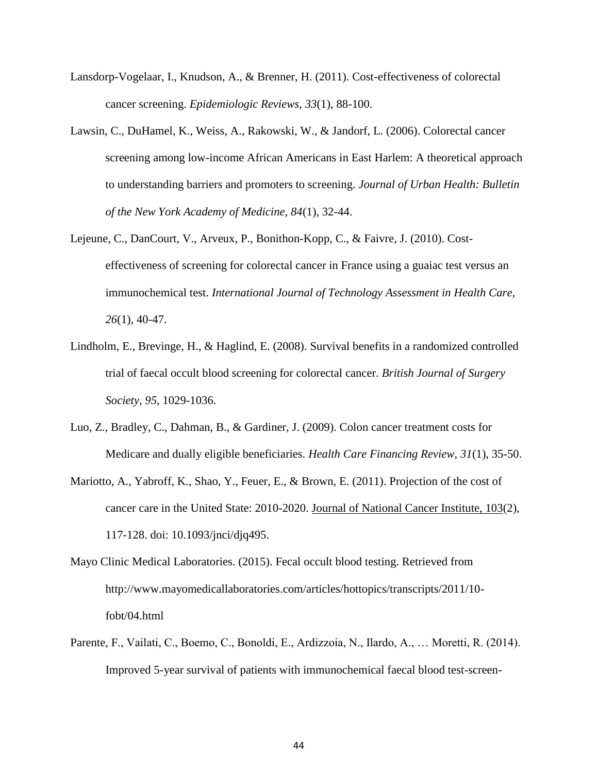- Lansdorp-Vogelaar, I., Knudson, A., & Brenner, H. (2011). Cost-effectiveness of colorectal cancer screening. *Epidemiologic Reviews, 33*(1), 88-100.
- Lawsin, C., DuHamel, K., Weiss, A., Rakowski, W., & Jandorf, L. (2006). Colorectal cancer screening among low-income African Americans in East Harlem: A theoretical approach to understanding barriers and promoters to screening. *Journal of Urban Health: Bulletin of the New York Academy of Medicine, 84*(1), 32-44.
- Lejeune, C., DanCourt, V., Arveux, P., Bonithon-Kopp, C., & Faivre, J. (2010). Costeffectiveness of screening for colorectal cancer in France using a guaiac test versus an immunochemical test. *International Journal of Technology Assessment in Health Care, 26*(1), 40-47.
- Lindholm, E., Brevinge, H., & Haglind, E. (2008). Survival benefits in a randomized controlled trial of faecal occult blood screening for colorectal cancer. *British Journal of Surgery Society, 95*, 1029-1036.
- Luo, Z., Bradley, C., Dahman, B., & Gardiner, J. (2009). Colon cancer treatment costs for Medicare and dually eligible beneficiaries. *Health Care Financing Review, 31*(1), 35-50.
- Mariotto, A., Yabroff, K., Shao, Y., Feuer, E., & Brown, E. (2011). Projection of the cost of cancer care in the United State: 2010-2020. Journal of National Cancer Institute, 103(2), 117-128. doi: 10.1093/jnci/djq495.
- Mayo Clinic Medical Laboratories. (2015). Fecal occult blood testing. Retrieved from http://www.mayomedicallaboratories.com/articles/hottopics/transcripts/2011/10 fobt/04.html
- Parente, F., Vailati, C., Boemo, C., Bonoldi, E., Ardizzoia, N., Ilardo, A., … Moretti, R. (2014). Improved 5-year survival of patients with immunochemical faecal blood test-screen-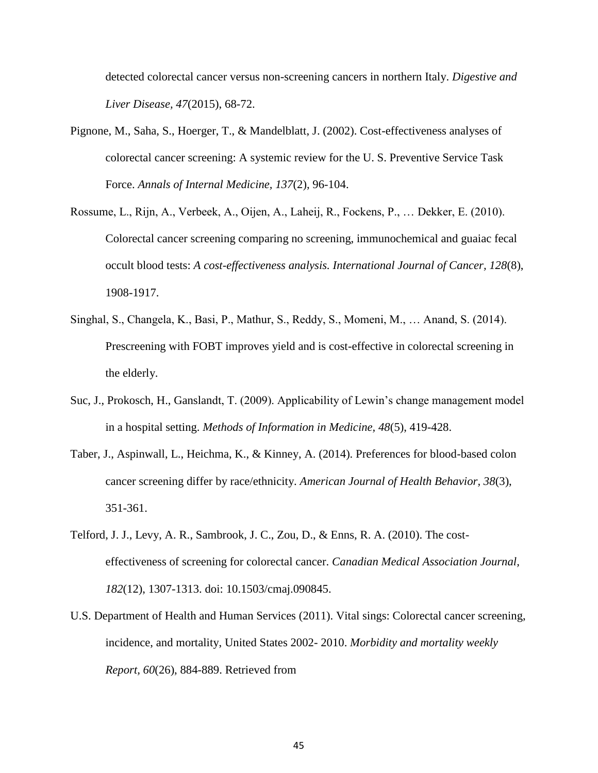detected colorectal cancer versus non-screening cancers in northern Italy. *Digestive and Liver Disease, 47*(2015), 68-72.

- Pignone, M., Saha, S., Hoerger, T., & Mandelblatt, J. (2002). Cost-effectiveness analyses of colorectal cancer screening: A systemic review for the U. S. Preventive Service Task Force. *Annals of Internal Medicine, 137*(2), 96-104.
- Rossume, L., Rijn, A., Verbeek, A., Oijen, A., Laheij, R., Fockens, P., … Dekker, E. (2010). Colorectal cancer screening comparing no screening, immunochemical and guaiac fecal occult blood tests: *A cost-effectiveness analysis. International Journal of Cancer, 128*(8), 1908-1917.
- Singhal, S., Changela, K., Basi, P., Mathur, S., Reddy, S., Momeni, M., … Anand, S. (2014). Prescreening with FOBT improves yield and is cost-effective in colorectal screening in the elderly.
- Suc, J., Prokosch, H., Ganslandt, T. (2009). Applicability of Lewin's change management model in a hospital setting. *Methods of Information in Medicine, 48*(5), 419-428.
- Taber, J., Aspinwall, L., Heichma, K., & Kinney, A. (2014). Preferences for blood-based colon cancer screening differ by race/ethnicity. *American Journal of Health Behavior, 38*(3), 351-361.
- Telford, J. J., Levy, A. R., Sambrook, J. C., Zou, D., & Enns, R. A. (2010). The costeffectiveness of screening for colorectal cancer. *Canadian Medical Association Journal, 182*(12), 1307-1313. doi: 10.1503/cmaj.090845.
- U.S. Department of Health and Human Services (2011). Vital sings: Colorectal cancer screening, incidence, and mortality, United States 2002- 2010. *Morbidity and mortality weekly Report, 60*(26), 884-889. Retrieved from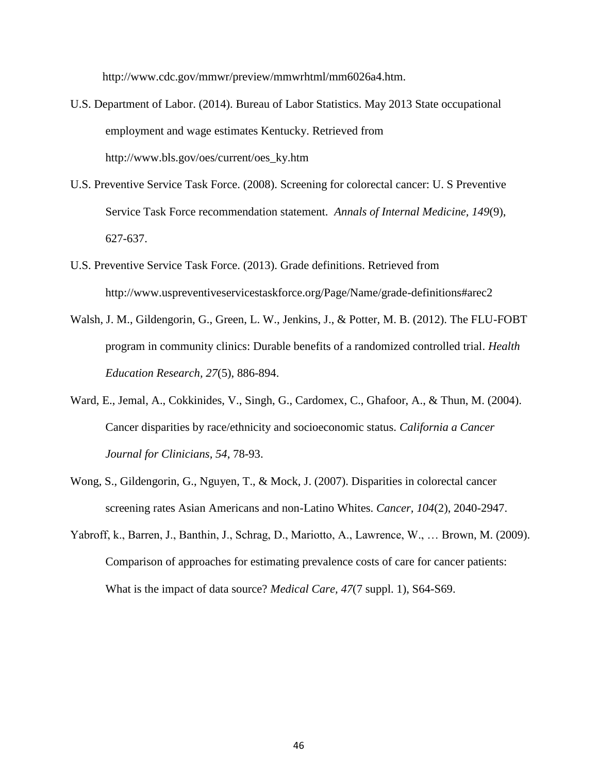http://www.cdc.gov/mmwr/preview/mmwrhtml/mm6026a4.htm.

- U.S. Department of Labor. (2014). Bureau of Labor Statistics. May 2013 State occupational employment and wage estimates Kentucky. Retrieved from http://www.bls.gov/oes/current/oes\_ky.htm
- U.S. Preventive Service Task Force. (2008). Screening for colorectal cancer: U. S Preventive Service Task Force recommendation statement. *Annals of Internal Medicine, 149*(9), 627-637.
- U.S. Preventive Service Task Force. (2013). Grade definitions. Retrieved from http://www.uspreventiveservicestaskforce.org/Page/Name/grade-definitions#arec2
- Walsh, J. M., Gildengorin, G., Green, L. W., Jenkins, J., & Potter, M. B. (2012). The FLU-FOBT program in community clinics: Durable benefits of a randomized controlled trial. *Health Education Research, 27*(5), 886-894.
- Ward, E., Jemal, A., Cokkinides, V., Singh, G., Cardomex, C., Ghafoor, A., & Thun, M. (2004). Cancer disparities by race/ethnicity and socioeconomic status. *California a Cancer Journal for Clinicians, 54*, 78-93.
- Wong, S., Gildengorin, G., Nguyen, T., & Mock, J. (2007). Disparities in colorectal cancer screening rates Asian Americans and non-Latino Whites. *Cancer, 104*(2), 2040-2947.
- Yabroff, k., Barren, J., Banthin, J., Schrag, D., Mariotto, A., Lawrence, W., … Brown, M. (2009). Comparison of approaches for estimating prevalence costs of care for cancer patients: What is the impact of data source? *Medical Care, 47*(7 suppl. 1), S64-S69.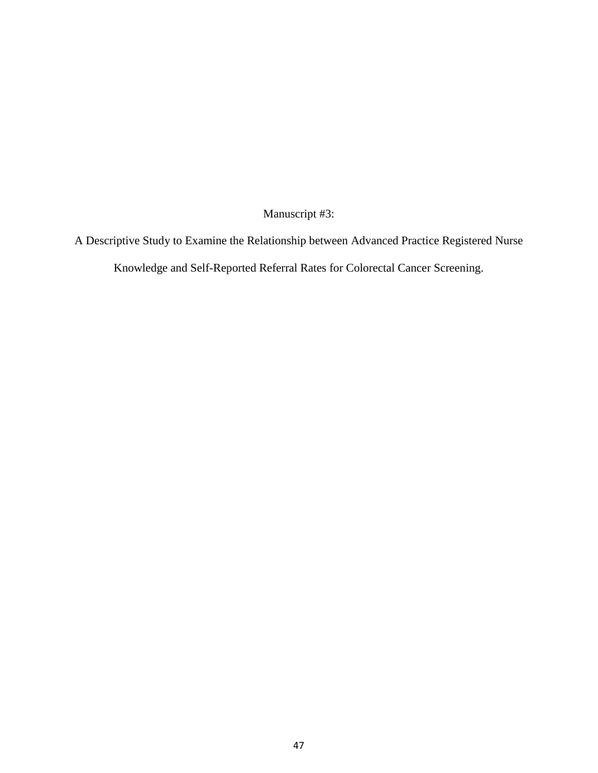Manuscript #3:

A Descriptive Study to Examine the Relationship between Advanced Practice Registered Nurse Knowledge and Self-Reported Referral Rates for Colorectal Cancer Screening.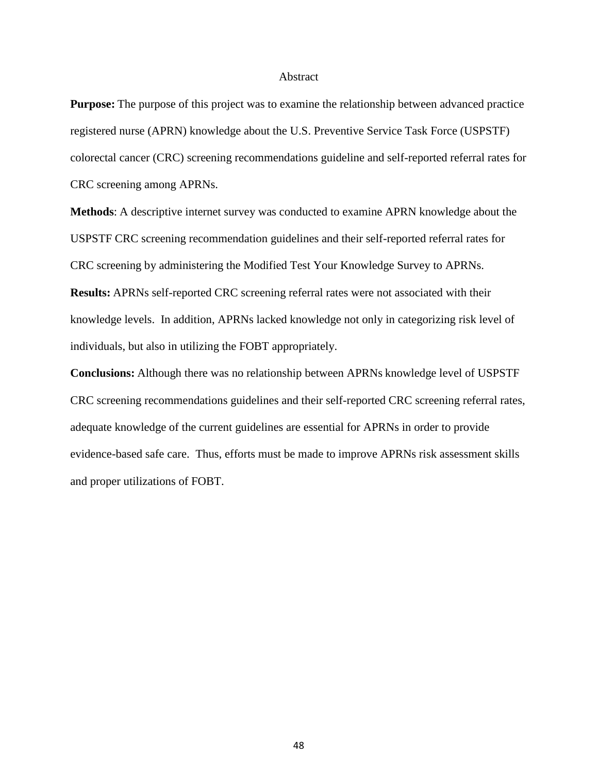#### Abstract

**Purpose:** The purpose of this project was to examine the relationship between advanced practice registered nurse (APRN) knowledge about the U.S. Preventive Service Task Force (USPSTF) colorectal cancer (CRC) screening recommendations guideline and self-reported referral rates for CRC screening among APRNs.

**Methods**: A descriptive internet survey was conducted to examine APRN knowledge about the USPSTF CRC screening recommendation guidelines and their self-reported referral rates for CRC screening by administering the Modified Test Your Knowledge Survey to APRNs. **Results:** APRNs self-reported CRC screening referral rates were not associated with their knowledge levels. In addition, APRNs lacked knowledge not only in categorizing risk level of individuals, but also in utilizing the FOBT appropriately.

**Conclusions:** Although there was no relationship between APRNs knowledge level of USPSTF CRC screening recommendations guidelines and their self-reported CRC screening referral rates, adequate knowledge of the current guidelines are essential for APRNs in order to provide evidence-based safe care. Thus, efforts must be made to improve APRNs risk assessment skills and proper utilizations of FOBT.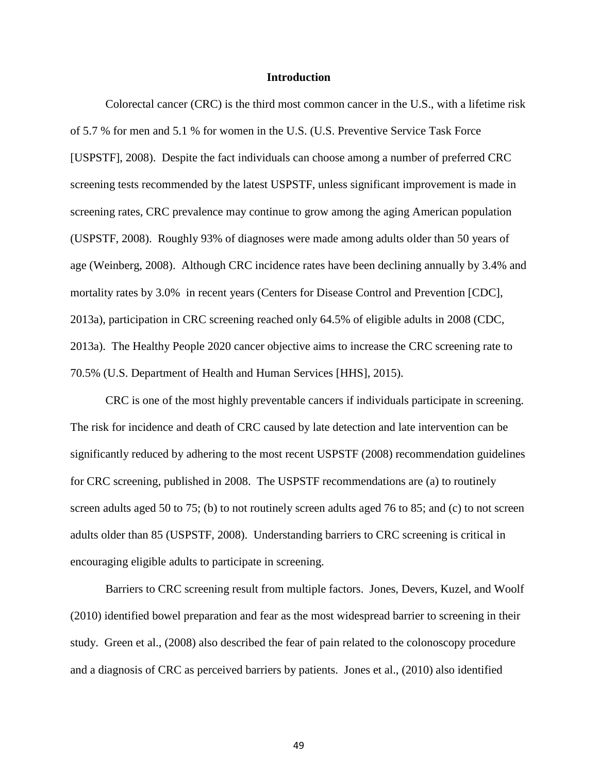#### **Introduction**

Colorectal cancer (CRC) is the third most common cancer in the U.S., with a lifetime risk of 5.7 % for men and 5.1 % for women in the U.S. (U.S. Preventive Service Task Force [USPSTF], 2008). Despite the fact individuals can choose among a number of preferred CRC screening tests recommended by the latest USPSTF, unless significant improvement is made in screening rates, CRC prevalence may continue to grow among the aging American population (USPSTF, 2008). Roughly 93% of diagnoses were made among adults older than 50 years of age (Weinberg, 2008). Although CRC incidence rates have been declining annually by 3.4% and mortality rates by 3.0% in recent years (Centers for Disease Control and Prevention [CDC], 2013a), participation in CRC screening reached only 64.5% of eligible adults in 2008 (CDC, 2013a). The Healthy People 2020 cancer objective aims to increase the CRC screening rate to 70.5% (U.S. Department of Health and Human Services [HHS], 2015).

CRC is one of the most highly preventable cancers if individuals participate in screening. The risk for incidence and death of CRC caused by late detection and late intervention can be significantly reduced by adhering to the most recent USPSTF (2008) recommendation guidelines for CRC screening, published in 2008. The USPSTF recommendations are (a) to routinely screen adults aged 50 to 75; (b) to not routinely screen adults aged 76 to 85; and (c) to not screen adults older than 85 (USPSTF, 2008). Understanding barriers to CRC screening is critical in encouraging eligible adults to participate in screening.

Barriers to CRC screening result from multiple factors. Jones, Devers, Kuzel, and Woolf (2010) identified bowel preparation and fear as the most widespread barrier to screening in their study. Green et al., (2008) also described the fear of pain related to the colonoscopy procedure and a diagnosis of CRC as perceived barriers by patients. Jones et al., (2010) also identified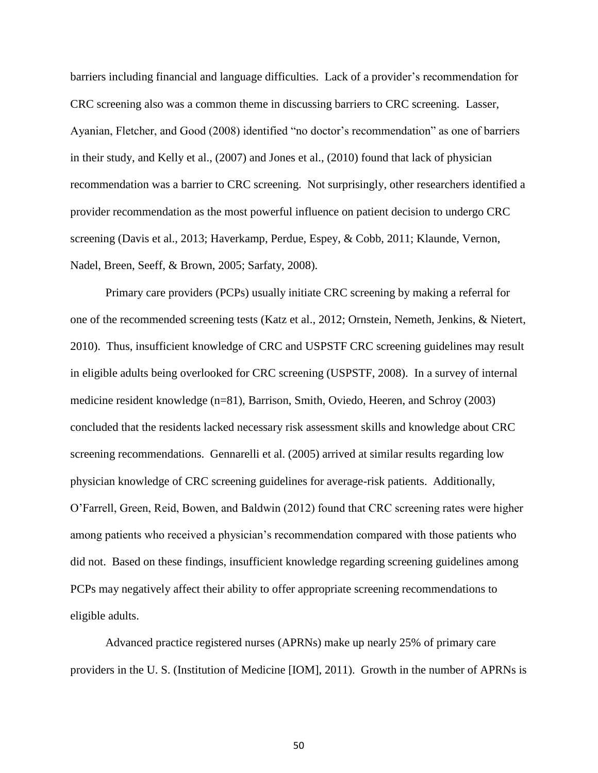barriers including financial and language difficulties. Lack of a provider's recommendation for CRC screening also was a common theme in discussing barriers to CRC screening. Lasser, Ayanian, Fletcher, and Good (2008) identified "no doctor's recommendation" as one of barriers in their study, and Kelly et al., (2007) and Jones et al., (2010) found that lack of physician recommendation was a barrier to CRC screening. Not surprisingly, other researchers identified a provider recommendation as the most powerful influence on patient decision to undergo CRC screening (Davis et al., 2013; Haverkamp, Perdue, Espey, & Cobb, 2011; Klaunde, Vernon, Nadel, Breen, Seeff, & Brown, 2005; Sarfaty, 2008).

Primary care providers (PCPs) usually initiate CRC screening by making a referral for one of the recommended screening tests (Katz et al., 2012; Ornstein, Nemeth, Jenkins, & Nietert, 2010). Thus, insufficient knowledge of CRC and USPSTF CRC screening guidelines may result in eligible adults being overlooked for CRC screening (USPSTF, 2008). In a survey of internal medicine resident knowledge (n=81), Barrison, Smith, Oviedo, Heeren, and Schroy (2003) concluded that the residents lacked necessary risk assessment skills and knowledge about CRC screening recommendations. Gennarelli et al. (2005) arrived at similar results regarding low physician knowledge of CRC screening guidelines for average-risk patients. Additionally, O'Farrell, Green, Reid, Bowen, and Baldwin (2012) found that CRC screening rates were higher among patients who received a physician's recommendation compared with those patients who did not. Based on these findings, insufficient knowledge regarding screening guidelines among PCPs may negatively affect their ability to offer appropriate screening recommendations to eligible adults.

Advanced practice registered nurses (APRNs) make up nearly 25% of primary care providers in the U. S. (Institution of Medicine [IOM], 2011). Growth in the number of APRNs is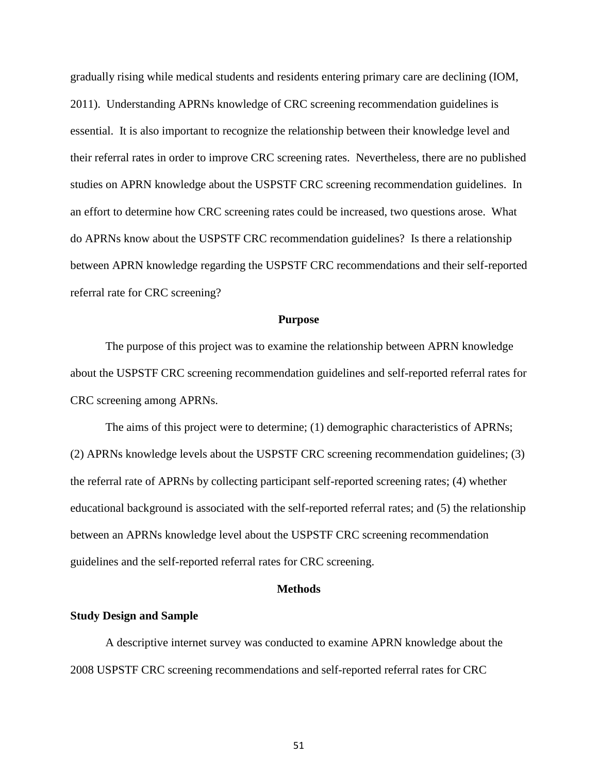gradually rising while medical students and residents entering primary care are declining (IOM, 2011). Understanding APRNs knowledge of CRC screening recommendation guidelines is essential. It is also important to recognize the relationship between their knowledge level and their referral rates in order to improve CRC screening rates. Nevertheless, there are no published studies on APRN knowledge about the USPSTF CRC screening recommendation guidelines. In an effort to determine how CRC screening rates could be increased, two questions arose. What do APRNs know about the USPSTF CRC recommendation guidelines? Is there a relationship between APRN knowledge regarding the USPSTF CRC recommendations and their self-reported referral rate for CRC screening?

#### **Purpose**

The purpose of this project was to examine the relationship between APRN knowledge about the USPSTF CRC screening recommendation guidelines and self-reported referral rates for CRC screening among APRNs.

The aims of this project were to determine; (1) demographic characteristics of APRNs; (2) APRNs knowledge levels about the USPSTF CRC screening recommendation guidelines; (3) the referral rate of APRNs by collecting participant self-reported screening rates; (4) whether educational background is associated with the self-reported referral rates; and (5) the relationship between an APRNs knowledge level about the USPSTF CRC screening recommendation guidelines and the self-reported referral rates for CRC screening.

#### **Methods**

### **Study Design and Sample**

A descriptive internet survey was conducted to examine APRN knowledge about the 2008 USPSTF CRC screening recommendations and self-reported referral rates for CRC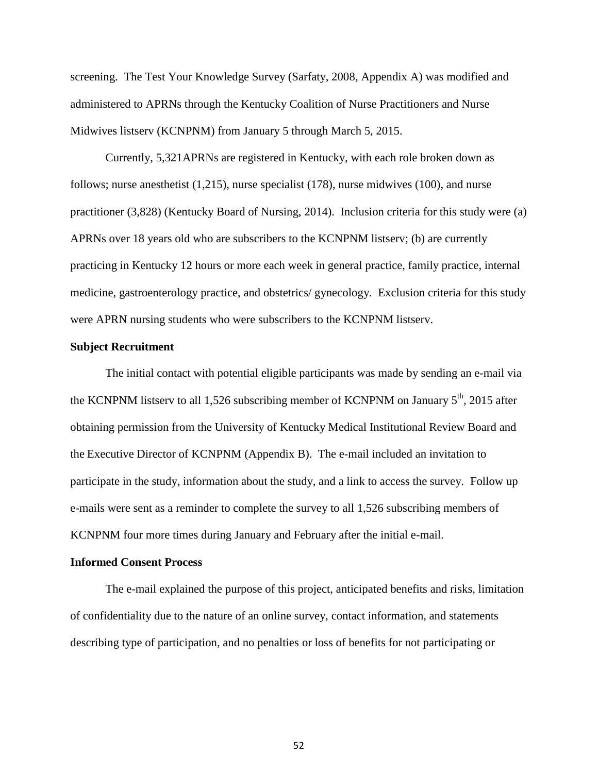screening. The Test Your Knowledge Survey (Sarfaty, 2008, Appendix A) was modified and administered to APRNs through the Kentucky Coalition of Nurse Practitioners and Nurse Midwives listserv (KCNPNM) from January 5 through March 5, 2015.

Currently, 5,321APRNs are registered in Kentucky, with each role broken down as follows; nurse anesthetist (1,215), nurse specialist (178), nurse midwives (100), and nurse practitioner (3,828) (Kentucky Board of Nursing, 2014). Inclusion criteria for this study were (a) APRNs over 18 years old who are subscribers to the KCNPNM listserv; (b) are currently practicing in Kentucky 12 hours or more each week in general practice, family practice, internal medicine, gastroenterology practice, and obstetrics/ gynecology. Exclusion criteria for this study were APRN nursing students who were subscribers to the KCNPNM listserv.

## **Subject Recruitment**

The initial contact with potential eligible participants was made by sending an e-mail via the KCNPNM listserv to all 1,526 subscribing member of KCNPNM on January  $5<sup>th</sup>$ , 2015 after obtaining permission from the University of Kentucky Medical Institutional Review Board and the Executive Director of KCNPNM (Appendix B). The e-mail included an invitation to participate in the study, information about the study, and a link to access the survey. Follow up e-mails were sent as a reminder to complete the survey to all 1,526 subscribing members of KCNPNM four more times during January and February after the initial e-mail.

## **Informed Consent Process**

The e-mail explained the purpose of this project, anticipated benefits and risks, limitation of confidentiality due to the nature of an online survey, contact information, and statements describing type of participation, and no penalties or loss of benefits for not participating or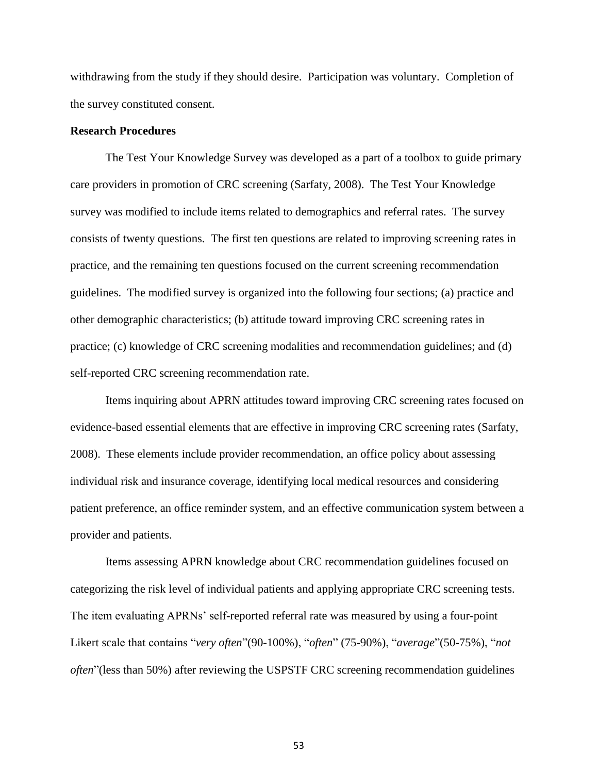withdrawing from the study if they should desire. Participation was voluntary. Completion of the survey constituted consent.

# **Research Procedures**

The Test Your Knowledge Survey was developed as a part of a toolbox to guide primary care providers in promotion of CRC screening (Sarfaty, 2008). The Test Your Knowledge survey was modified to include items related to demographics and referral rates. The survey consists of twenty questions. The first ten questions are related to improving screening rates in practice, and the remaining ten questions focused on the current screening recommendation guidelines. The modified survey is organized into the following four sections; (a) practice and other demographic characteristics; (b) attitude toward improving CRC screening rates in practice; (c) knowledge of CRC screening modalities and recommendation guidelines; and (d) self-reported CRC screening recommendation rate.

Items inquiring about APRN attitudes toward improving CRC screening rates focused on evidence-based essential elements that are effective in improving CRC screening rates (Sarfaty, 2008). These elements include provider recommendation, an office policy about assessing individual risk and insurance coverage, identifying local medical resources and considering patient preference, an office reminder system, and an effective communication system between a provider and patients.

Items assessing APRN knowledge about CRC recommendation guidelines focused on categorizing the risk level of individual patients and applying appropriate CRC screening tests. The item evaluating APRNs' self-reported referral rate was measured by using a four-point Likert scale that contains "*very often*"(90-100%), "*often*" (75-90%), "*average*"(50-75%), "*not often*"(less than 50%) after reviewing the USPSTF CRC screening recommendation guidelines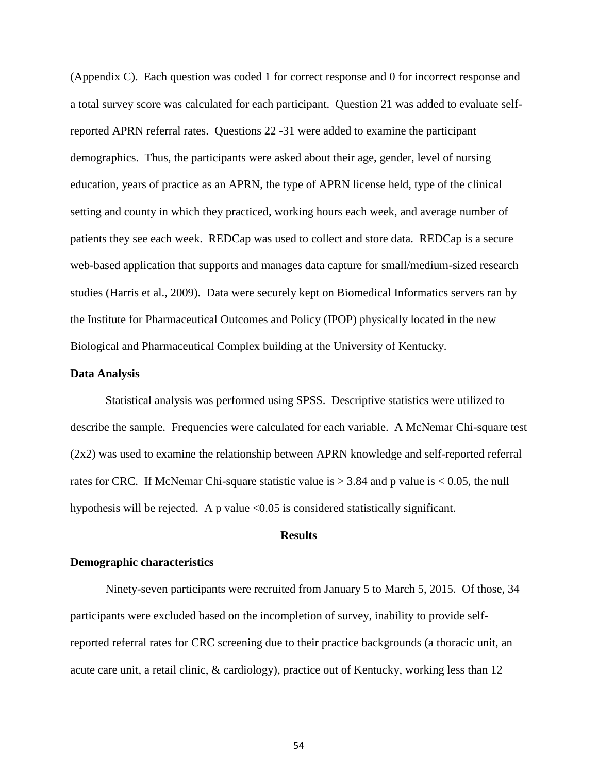(Appendix C). Each question was coded 1 for correct response and 0 for incorrect response and a total survey score was calculated for each participant. Question 21 was added to evaluate selfreported APRN referral rates. Questions 22 -31 were added to examine the participant demographics. Thus, the participants were asked about their age, gender, level of nursing education, years of practice as an APRN, the type of APRN license held, type of the clinical setting and county in which they practiced, working hours each week, and average number of patients they see each week. REDCap was used to collect and store data. REDCap is a secure web-based application that supports and manages data capture for small/medium-sized research studies (Harris et al., 2009). Data were securely kept on Biomedical Informatics servers ran by the Institute for Pharmaceutical Outcomes and Policy (IPOP) physically located in the new Biological and Pharmaceutical Complex building at the University of Kentucky.

#### **Data Analysis**

Statistical analysis was performed using SPSS. Descriptive statistics were utilized to describe the sample. Frequencies were calculated for each variable. A McNemar Chi-square test (2x2) was used to examine the relationship between APRN knowledge and self-reported referral rates for CRC. If McNemar Chi-square statistic value is  $> 3.84$  and p value is  $< 0.05$ , the null hypothesis will be rejected. A p value <0.05 is considered statistically significant.

## **Results**

## **Demographic characteristics**

Ninety-seven participants were recruited from January 5 to March 5, 2015. Of those, 34 participants were excluded based on the incompletion of survey, inability to provide selfreported referral rates for CRC screening due to their practice backgrounds (a thoracic unit, an acute care unit, a retail clinic, & cardiology), practice out of Kentucky, working less than 12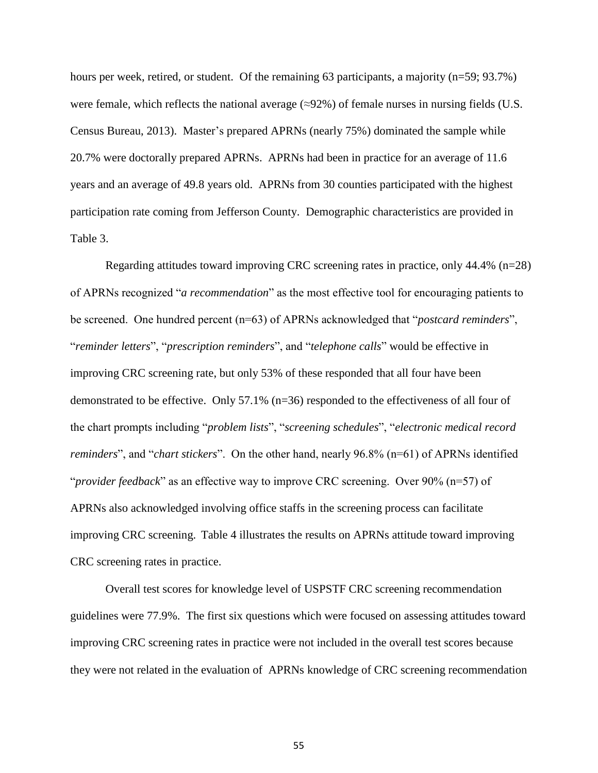hours per week, retired, or student. Of the remaining 63 participants, a majority (n=59; 93.7%) were female, which reflects the national average  $(\approx 92\%)$  of female nurses in nursing fields (U.S. Census Bureau, 2013). Master's prepared APRNs (nearly 75%) dominated the sample while 20.7% were doctorally prepared APRNs. APRNs had been in practice for an average of 11.6 years and an average of 49.8 years old. APRNs from 30 counties participated with the highest participation rate coming from Jefferson County. Demographic characteristics are provided in Table 3.

Regarding attitudes toward improving CRC screening rates in practice, only 44.4% (n=28) of APRNs recognized "*a recommendation*" as the most effective tool for encouraging patients to be screened. One hundred percent (n=63) of APRNs acknowledged that "*postcard reminders*", "*reminder letters*", "*prescription reminders*", and "*telephone calls*" would be effective in improving CRC screening rate, but only 53% of these responded that all four have been demonstrated to be effective. Only 57.1% (n=36) responded to the effectiveness of all four of the chart prompts including "*problem lists*", "*screening schedules*", "*electronic medical record reminders*", and "*chart stickers*". On the other hand, nearly 96.8% (n=61) of APRNs identified "*provider feedback*" as an effective way to improve CRC screening. Over 90% (n=57) of APRNs also acknowledged involving office staffs in the screening process can facilitate improving CRC screening. Table 4 illustrates the results on APRNs attitude toward improving CRC screening rates in practice.

Overall test scores for knowledge level of USPSTF CRC screening recommendation guidelines were 77.9%. The first six questions which were focused on assessing attitudes toward improving CRC screening rates in practice were not included in the overall test scores because they were not related in the evaluation of APRNs knowledge of CRC screening recommendation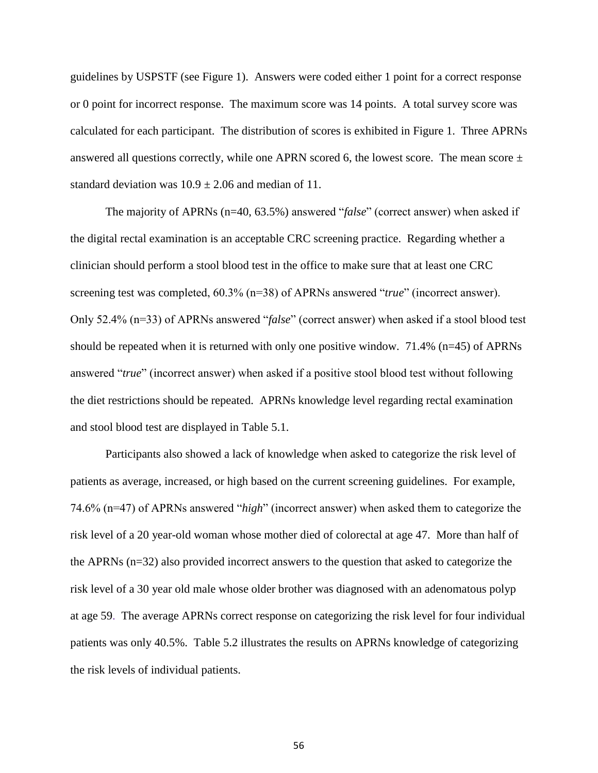guidelines by USPSTF (see Figure 1). Answers were coded either 1 point for a correct response or 0 point for incorrect response. The maximum score was 14 points. A total survey score was calculated for each participant. The distribution of scores is exhibited in Figure 1. Three APRNs answered all questions correctly, while one APRN scored 6, the lowest score. The mean score  $\pm$ standard deviation was  $10.9 \pm 2.06$  and median of 11.

The majority of APRNs (n=40, 63.5%) answered "*false*" (correct answer) when asked if the digital rectal examination is an acceptable CRC screening practice. Regarding whether a clinician should perform a stool blood test in the office to make sure that at least one CRC screening test was completed, 60.3% (n=38) of APRNs answered "*true*" (incorrect answer). Only 52.4% (n=33) of APRNs answered "*false*" (correct answer) when asked if a stool blood test should be repeated when it is returned with only one positive window. 71.4% (n=45) of APRNs answered "*true*" (incorrect answer) when asked if a positive stool blood test without following the diet restrictions should be repeated. APRNs knowledge level regarding rectal examination and stool blood test are displayed in Table 5.1.

Participants also showed a lack of knowledge when asked to categorize the risk level of patients as average, increased, or high based on the current screening guidelines. For example, 74.6% (n=47) of APRNs answered "*high*" (incorrect answer) when asked them to categorize the risk level of a 20 year-old woman whose mother died of colorectal at age 47. More than half of the APRNs (n=32) also provided incorrect answers to the question that asked to categorize the risk level of a 30 year old male whose older brother was diagnosed with an adenomatous polyp at age 59. The average APRNs correct response on categorizing the risk level for four individual patients was only 40.5%. Table 5.2 illustrates the results on APRNs knowledge of categorizing the risk levels of individual patients.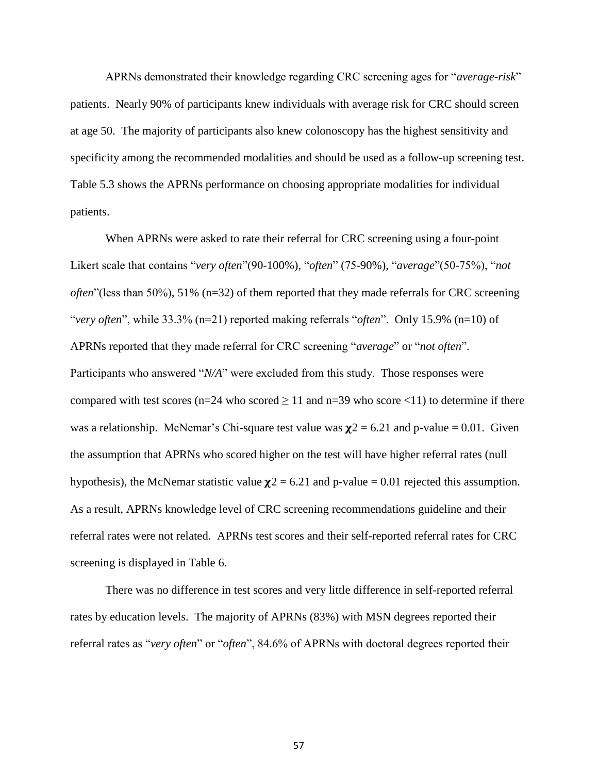APRNs demonstrated their knowledge regarding CRC screening ages for "*average-risk*" patients. Nearly 90% of participants knew individuals with average risk for CRC should screen at age 50. The majority of participants also knew colonoscopy has the highest sensitivity and specificity among the recommended modalities and should be used as a follow-up screening test. Table 5.3 shows the APRNs performance on choosing appropriate modalities for individual patients.

When APRNs were asked to rate their referral for CRC screening using a four-point Likert scale that contains "*very often*"(90-100%), "*often*" (75-90%), "*average*"(50-75%), "*not often*"(less than 50%), 51% (n=32) of them reported that they made referrals for CRC screening "*very often*", while 33.3% (n=21) reported making referrals "*often*". Only 15.9% (n=10) of APRNs reported that they made referral for CRC screening "*average*" or "*not often*". Participants who answered "*N/A*" were excluded from this study. Those responses were compared with test scores (n=24 who scored  $\geq$  11 and n=39 who score <11) to determine if there was a relationship. McNemar's Chi-square test value was  $\chi$ 2 = 6.21 and p-value = 0.01. Given the assumption that APRNs who scored higher on the test will have higher referral rates (null hypothesis), the McNemar statistic value  $\chi$ 2 = 6.21 and p-value = 0.01 rejected this assumption. As a result, APRNs knowledge level of CRC screening recommendations guideline and their referral rates were not related. APRNs test scores and their self-reported referral rates for CRC screening is displayed in Table 6.

There was no difference in test scores and very little difference in self-reported referral rates by education levels. The majority of APRNs (83%) with MSN degrees reported their referral rates as "*very often*" or "*often*", 84.6% of APRNs with doctoral degrees reported their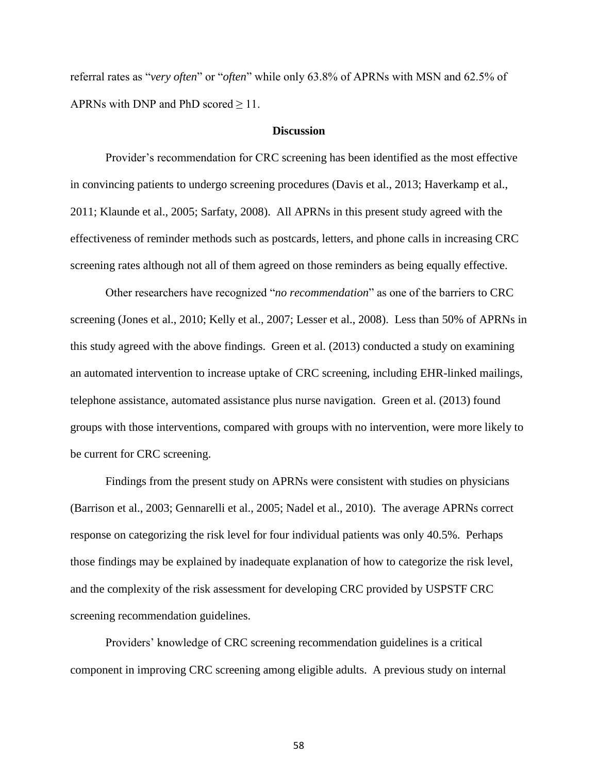referral rates as "*very often*" or "*often*" while only 63.8% of APRNs with MSN and 62.5% of APRNs with DNP and PhD scored  $\geq 11$ .

# **Discussion**

Provider's recommendation for CRC screening has been identified as the most effective in convincing patients to undergo screening procedures (Davis et al., 2013; Haverkamp et al., 2011; Klaunde et al., 2005; Sarfaty, 2008). All APRNs in this present study agreed with the effectiveness of reminder methods such as postcards, letters, and phone calls in increasing CRC screening rates although not all of them agreed on those reminders as being equally effective.

Other researchers have recognized "*no recommendation*" as one of the barriers to CRC screening (Jones et al., 2010; Kelly et al., 2007; Lesser et al., 2008). Less than 50% of APRNs in this study agreed with the above findings. Green et al. (2013) conducted a study on examining an automated intervention to increase uptake of CRC screening, including EHR-linked mailings, telephone assistance, automated assistance plus nurse navigation. Green et al. (2013) found groups with those interventions, compared with groups with no intervention, were more likely to be current for CRC screening.

Findings from the present study on APRNs were consistent with studies on physicians (Barrison et al., 2003; Gennarelli et al., 2005; Nadel et al., 2010). The average APRNs correct response on categorizing the risk level for four individual patients was only 40.5%. Perhaps those findings may be explained by inadequate explanation of how to categorize the risk level, and the complexity of the risk assessment for developing CRC provided by USPSTF CRC screening recommendation guidelines.

Providers' knowledge of CRC screening recommendation guidelines is a critical component in improving CRC screening among eligible adults. A previous study on internal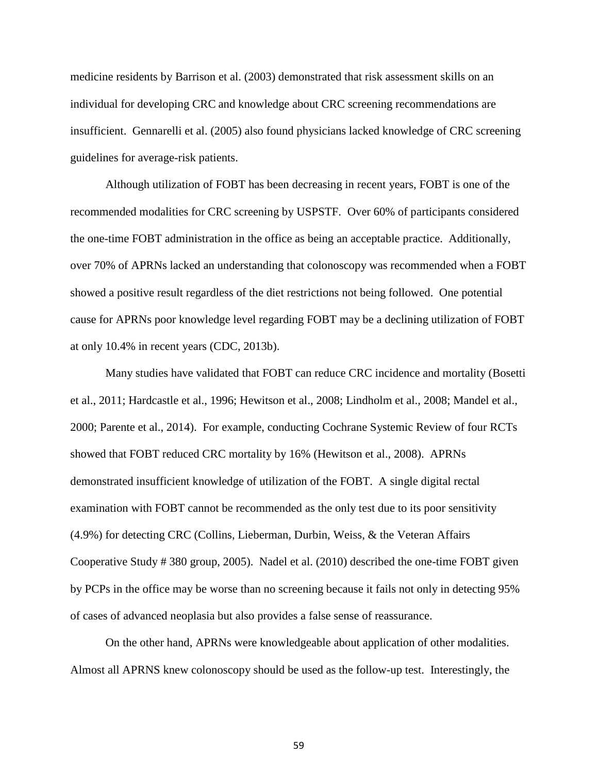medicine residents by Barrison et al. (2003) demonstrated that risk assessment skills on an individual for developing CRC and knowledge about CRC screening recommendations are insufficient. Gennarelli et al. (2005) also found physicians lacked knowledge of CRC screening guidelines for average-risk patients.

Although utilization of FOBT has been decreasing in recent years, FOBT is one of the recommended modalities for CRC screening by USPSTF. Over 60% of participants considered the one-time FOBT administration in the office as being an acceptable practice. Additionally, over 70% of APRNs lacked an understanding that colonoscopy was recommended when a FOBT showed a positive result regardless of the diet restrictions not being followed. One potential cause for APRNs poor knowledge level regarding FOBT may be a declining utilization of FOBT at only 10.4% in recent years (CDC, 2013b).

Many studies have validated that FOBT can reduce CRC incidence and mortality (Bosetti et al., 2011; Hardcastle et al., 1996; Hewitson et al., 2008; Lindholm et al., 2008; Mandel et al., 2000; Parente et al., 2014). For example, conducting Cochrane Systemic Review of four RCTs showed that FOBT reduced CRC mortality by 16% (Hewitson et al., 2008). APRNs demonstrated insufficient knowledge of utilization of the FOBT. A single digital rectal examination with FOBT cannot be recommended as the only test due to its poor sensitivity (4.9%) for detecting CRC (Collins, Lieberman, Durbin, Weiss, & the Veteran Affairs Cooperative Study # 380 group, 2005). Nadel et al. (2010) described the one-time FOBT given by PCPs in the office may be worse than no screening because it fails not only in detecting 95% of cases of advanced neoplasia but also provides a false sense of reassurance.

On the other hand, APRNs were knowledgeable about application of other modalities. Almost all APRNS knew colonoscopy should be used as the follow-up test. Interestingly, the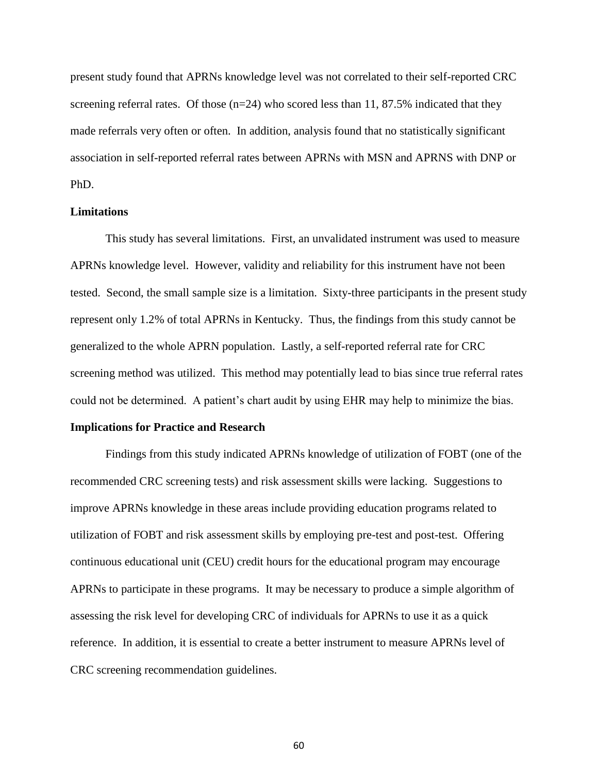present study found that APRNs knowledge level was not correlated to their self-reported CRC screening referral rates. Of those  $(n=24)$  who scored less than 11, 87.5% indicated that they made referrals very often or often. In addition, analysis found that no statistically significant association in self-reported referral rates between APRNs with MSN and APRNS with DNP or PhD.

### **Limitations**

This study has several limitations. First, an unvalidated instrument was used to measure APRNs knowledge level. However, validity and reliability for this instrument have not been tested. Second, the small sample size is a limitation. Sixty-three participants in the present study represent only 1.2% of total APRNs in Kentucky. Thus, the findings from this study cannot be generalized to the whole APRN population. Lastly, a self-reported referral rate for CRC screening method was utilized. This method may potentially lead to bias since true referral rates could not be determined. A patient's chart audit by using EHR may help to minimize the bias.

#### **Implications for Practice and Research**

Findings from this study indicated APRNs knowledge of utilization of FOBT (one of the recommended CRC screening tests) and risk assessment skills were lacking. Suggestions to improve APRNs knowledge in these areas include providing education programs related to utilization of FOBT and risk assessment skills by employing pre-test and post-test. Offering continuous educational unit (CEU) credit hours for the educational program may encourage APRNs to participate in these programs. It may be necessary to produce a simple algorithm of assessing the risk level for developing CRC of individuals for APRNs to use it as a quick reference. In addition, it is essential to create a better instrument to measure APRNs level of CRC screening recommendation guidelines.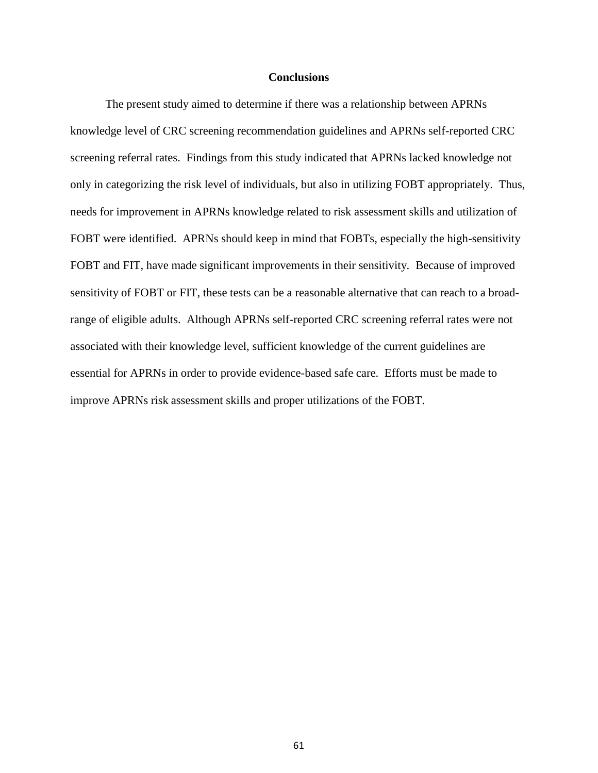#### **Conclusions**

The present study aimed to determine if there was a relationship between APRNs knowledge level of CRC screening recommendation guidelines and APRNs self-reported CRC screening referral rates. Findings from this study indicated that APRNs lacked knowledge not only in categorizing the risk level of individuals, but also in utilizing FOBT appropriately. Thus, needs for improvement in APRNs knowledge related to risk assessment skills and utilization of FOBT were identified. APRNs should keep in mind that FOBTs, especially the high-sensitivity FOBT and FIT, have made significant improvements in their sensitivity. Because of improved sensitivity of FOBT or FIT, these tests can be a reasonable alternative that can reach to a broadrange of eligible adults. Although APRNs self-reported CRC screening referral rates were not associated with their knowledge level, sufficient knowledge of the current guidelines are essential for APRNs in order to provide evidence-based safe care. Efforts must be made to improve APRNs risk assessment skills and proper utilizations of the FOBT.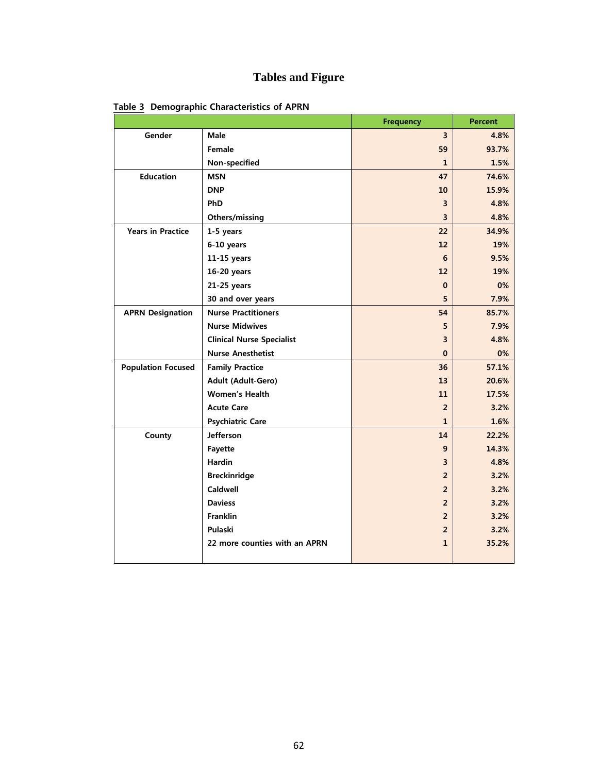# **Tables and Figure**

|                           |                                  | <b>Frequency</b>        | <b>Percent</b> |
|---------------------------|----------------------------------|-------------------------|----------------|
| Gender                    | Male                             | $\overline{\mathbf{3}}$ | 4.8%           |
|                           | Female                           | 59                      | 93.7%          |
|                           | Non-specified                    | $\mathbf{1}$            | 1.5%           |
| <b>Education</b>          | <b>MSN</b>                       | 47                      | 74.6%          |
|                           | <b>DNP</b>                       | 10                      | 15.9%          |
|                           | PhD                              | 3                       | 4.8%           |
|                           | Others/missing                   | 3                       | 4.8%           |
| <b>Years in Practice</b>  | 1-5 years                        | 22                      | 34.9%          |
|                           | 6-10 years                       | 12                      | 19%            |
|                           | 11-15 years                      | 6                       | 9.5%           |
|                           | 16-20 years                      | 12                      | 19%            |
|                           | 21-25 years                      | $\Omega$                | 0%             |
|                           | 30 and over years                | 5                       | 7.9%           |
| <b>APRN Designation</b>   | <b>Nurse Practitioners</b>       | 54                      | 85.7%          |
|                           | <b>Nurse Midwives</b>            | 5                       | 7.9%           |
|                           | <b>Clinical Nurse Specialist</b> | 3                       | 4.8%           |
|                           | <b>Nurse Anesthetist</b>         | $\Omega$                | 0%             |
| <b>Population Focused</b> | <b>Family Practice</b>           | 36                      | 57.1%          |
|                           | Adult (Adult-Gero)               | 13                      | 20.6%          |
|                           | <b>Women's Health</b>            | 11                      | 17.5%          |
|                           | <b>Acute Care</b>                | $\overline{2}$          | 3.2%           |
|                           | <b>Psychiatric Care</b>          | $\mathbf{1}$            | 1.6%           |
| County                    | <b>Jefferson</b>                 | 14                      | 22.2%          |
|                           | Fayette                          | 9                       | 14.3%          |
|                           | <b>Hardin</b>                    | 3                       | 4.8%           |
|                           | <b>Breckinridge</b>              | $\overline{2}$          | 3.2%           |
|                           | Caldwell                         | $\overline{2}$          | 3.2%           |
|                           | <b>Daviess</b>                   | $\overline{2}$          | 3.2%           |
|                           | <b>Franklin</b>                  | $\overline{2}$          | 3.2%           |
|                           | Pulaski                          | $\overline{2}$          | 3.2%           |
|                           | 22 more counties with an APRN    | 1                       | 35.2%          |
|                           |                                  |                         |                |

 **Table 3 Demographic Characteristics of APRN**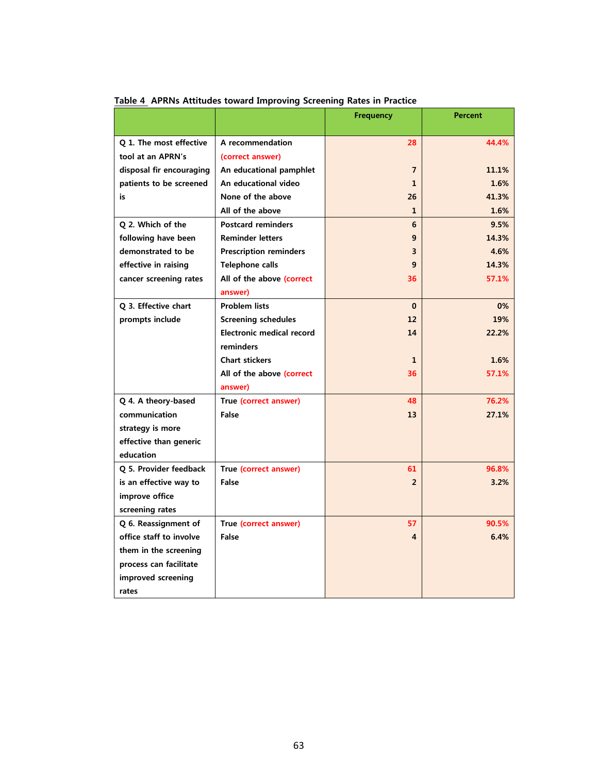|                          |                                  | <b>Frequency</b>        | <b>Percent</b> |
|--------------------------|----------------------------------|-------------------------|----------------|
| Q 1. The most effective  | A recommendation                 | 28                      | 44.4%          |
| tool at an APRN's        | (correct answer)                 |                         |                |
| disposal fir encouraging | An educational pamphlet          | 7                       | 11.1%          |
| patients to be screened  | An educational video             | 1                       | 1.6%           |
| is                       | None of the above                | 26                      | 41.3%          |
|                          | All of the above                 | $\mathbf{1}$            | 1.6%           |
| Q 2. Which of the        | <b>Postcard reminders</b>        | 6                       | 9.5%           |
| following have been      | <b>Reminder letters</b>          | 9                       | 14.3%          |
| demonstrated to be       | <b>Prescription reminders</b>    | 3                       | 4.6%           |
| effective in raising     | <b>Telephone calls</b>           | 9                       | 14.3%          |
| cancer screening rates   | All of the above (correct        | 36                      | 57.1%          |
|                          | answer)                          |                         |                |
| Q 3. Effective chart     | <b>Problem lists</b>             | $\mathbf{0}$            | 0%             |
| prompts include          | <b>Screening schedules</b>       | 12                      | 19%            |
|                          | <b>Electronic medical record</b> | 14                      | 22.2%          |
|                          | reminders                        |                         |                |
|                          | <b>Chart stickers</b>            | $\mathbf{1}$            | 1.6%           |
|                          | All of the above (correct        | 36                      | 57.1%          |
|                          | answer)                          |                         |                |
| Q 4. A theory-based      | True (correct answer)            | 48                      | 76.2%          |
| communication            | False                            | 13                      | 27.1%          |
| strategy is more         |                                  |                         |                |
| effective than generic   |                                  |                         |                |
| education                |                                  |                         |                |
| Q 5. Provider feedback   | True (correct answer)            | 61                      | 96.8%          |
| is an effective way to   | False                            | $\overline{2}$          | 3.2%           |
| improve office           |                                  |                         |                |
| screening rates          |                                  |                         |                |
| Q 6. Reassignment of     | True (correct answer)            | 57                      | 90.5%          |
| office staff to involve  | False                            | $\overline{\mathbf{4}}$ | 6.4%           |
| them in the screening    |                                  |                         |                |
| process can facilitate   |                                  |                         |                |
| improved screening       |                                  |                         |                |
| rates                    |                                  |                         |                |

 **Table 4 APRNs Attitudes toward Improving Screening Rates in Practice**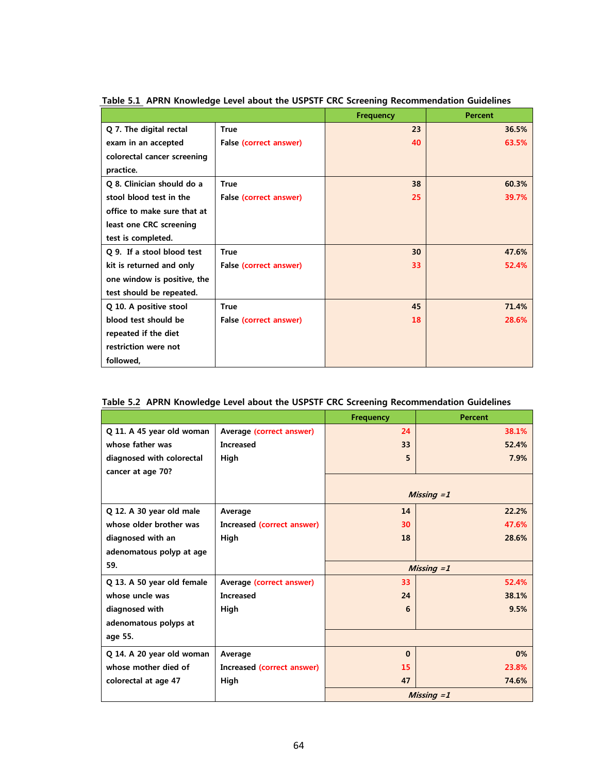|                             |                        | <b>Frequency</b> | <b>Percent</b> |
|-----------------------------|------------------------|------------------|----------------|
| Q 7. The digital rectal     | <b>True</b>            | 23               | 36.5%          |
| exam in an accepted         | False (correct answer) | 40               | 63.5%          |
| colorectal cancer screening |                        |                  |                |
| practice.                   |                        |                  |                |
| Q 8. Clinician should do a  | <b>True</b>            | 38               | 60.3%          |
| stool blood test in the     | False (correct answer) | 25               | 39.7%          |
| office to make sure that at |                        |                  |                |
| least one CRC screening     |                        |                  |                |
| test is completed.          |                        |                  |                |
| Q 9. If a stool blood test  | <b>True</b>            | 30               | 47.6%          |
| kit is returned and only    | False (correct answer) | 33               | 52.4%          |
| one window is positive, the |                        |                  |                |
| test should be repeated.    |                        |                  |                |
| Q 10. A positive stool      | True                   | 45               | 71.4%          |
| blood test should be        | False (correct answer) | 18               | 28.6%          |
| repeated if the diet        |                        |                  |                |
| restriction were not        |                        |                  |                |
| followed,                   |                        |                  |                |

 **Table 5.1 APRN Knowledge Level about the USPSTF CRC Screening Recommendation Guidelines**

|                            |                            | <b>Frequency</b> | <b>Percent</b> |
|----------------------------|----------------------------|------------------|----------------|
| Q 11. A 45 year old woman  | Average (correct answer)   | 24               | 38.1%          |
| whose father was           | <b>Increased</b>           | 33               | 52.4%          |
| diagnosed with colorectal  | High                       | 5                | 7.9%           |
| cancer at age 70?          |                            |                  |                |
|                            |                            |                  |                |
|                            |                            |                  | Missing $=1$   |
| Q 12. A 30 year old male   | Average                    | 14               | 22.2%          |
| whose older brother was    | Increased (correct answer) | 30               | 47.6%          |
| diagnosed with an          | High                       | 18               | 28.6%          |
| adenomatous polyp at age   |                            |                  |                |
| 59.                        |                            |                  | Missing $=1$   |
| Q 13. A 50 year old female | Average (correct answer)   | 33               | 52.4%          |
| whose uncle was            | <b>Increased</b>           | 24               | 38.1%          |
| diagnosed with             | High                       | 6                | 9.5%           |
| adenomatous polyps at      |                            |                  |                |
| age 55.                    |                            |                  |                |
| Q 14. A 20 year old woman  | Average                    | $\Omega$         | 0%             |
| whose mother died of       | Increased (correct answer) | 15               | 23.8%          |
| colorectal at age 47       | High                       | 47               | 74.6%          |
|                            |                            |                  | Missing $=1$   |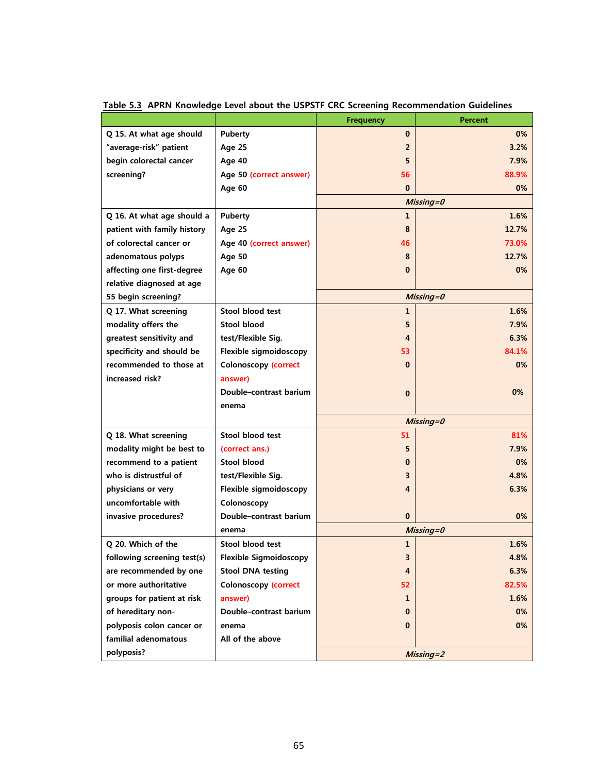|                             |                               | <b>Frequency</b> | <b>Percent</b> |
|-----------------------------|-------------------------------|------------------|----------------|
| Q 15. At what age should    | <b>Puberty</b>                | 0                | 0%             |
| "average-risk" patient      | <b>Age 25</b>                 | $\overline{2}$   | 3.2%           |
| begin colorectal cancer     | Age 40                        | 5                | 7.9%           |
| screening?                  | Age 50 (correct answer)       | 56               | 88.9%          |
|                             | Age 60                        | $\bf{0}$         | 0%             |
|                             |                               |                  | Missing=0      |
| Q 16. At what age should a  | <b>Puberty</b>                | 1                | 1.6%           |
| patient with family history | <b>Age 25</b>                 | 8                | 12.7%          |
| of colorectal cancer or     | Age 40 (correct answer)       | 46               | 73.0%          |
| adenomatous polyps          | <b>Age 50</b>                 | 8                | 12.7%          |
| affecting one first-degree  | Age 60                        | $\bf{0}$         | 0%             |
| relative diagnosed at age   |                               |                  |                |
| 55 begin screening?         |                               |                  | Missing=0      |
| Q 17. What screening        | Stool blood test              | 1                | 1.6%           |
| modality offers the         | Stool blood                   | 5                | 7.9%           |
| greatest sensitivity and    | test/Flexible Sig.            | 4                | 6.3%           |
| specificity and should be   | Flexible sigmoidoscopy        | 53               | 84.1%          |
| recommended to those at     | <b>Colonoscopy (correct</b>   | $\bf{0}$         | 0%             |
| increased risk?             | answer)                       |                  |                |
|                             | Double-contrast barium        | 0                | 0%             |
|                             | enema                         |                  |                |
|                             |                               |                  | $Missing = 0$  |
| Q 18. What screening        | Stool blood test              | 51               | 81%            |
| modality might be best to   | (correct ans.)                | 5                | 7.9%           |
| recommend to a patient      | Stool blood                   | 0                | 0%             |
| who is distrustful of       | test/Flexible Sig.            | 3                | 4.8%           |
| physicians or very          | Flexible sigmoidoscopy        | 4                | 6.3%           |
| uncomfortable with          | Colonoscopy                   |                  |                |
| invasive procedures?        | Double-contrast barium        | 0                | 0%             |
|                             | enema                         | Missing=0        |                |
| Q 20. Which of the          | Stool blood test              | 1                | 1.6%           |
| following screening test(s) | <b>Flexible Sigmoidoscopy</b> | 3                | 4.8%           |
| are recommended by one      | <b>Stool DNA testing</b>      | 4                | 6.3%           |
| or more authoritative       | <b>Colonoscopy (correct</b>   | 52               | 82.5%          |
| groups for patient at risk  | answer)                       | 1                | 1.6%           |
| of hereditary non-          | Double-contrast barium        | 0                | 0%             |
| polyposis colon cancer or   | enema                         | 0                | 0%             |
| familial adenomatous        | All of the above              |                  |                |
| polyposis?                  |                               |                  | $Missing = 2$  |

 **Table 5.3 APRN Knowledge Level about the USPSTF CRC Screening Recommendation Guidelines**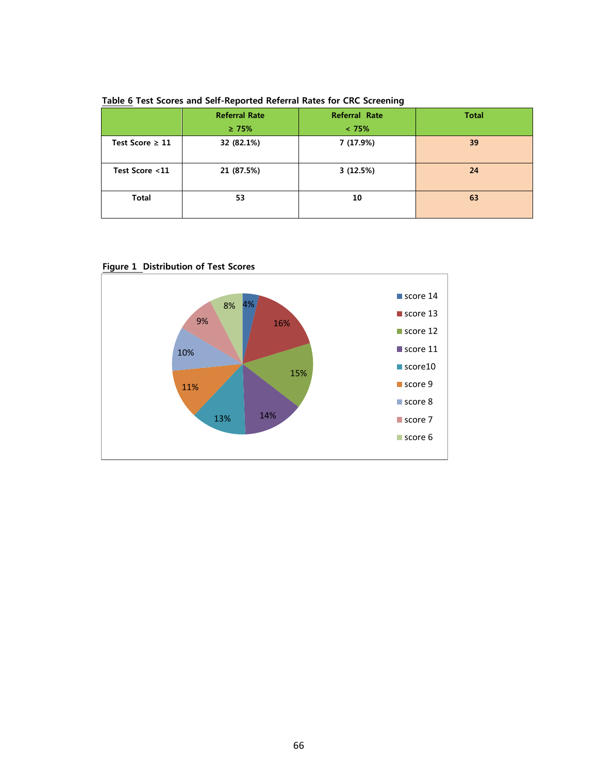|                      | <b>Referral Rate</b> | Referral Rate | <b>Total</b> |
|----------------------|----------------------|---------------|--------------|
|                      | $\geq 75\%$          | < 75%         |              |
| Test Score $\geq 11$ | 32 (82.1%)           | 7 (17.9%)     | 39           |
| Test Score <11       | 21 (87.5%)           | 3(12.5%)      | 24           |
| <b>Total</b>         | 53                   | 10            | 63           |

 **Table 6 Test Scores and Self-Reported Referral Rates for CRC Screening**



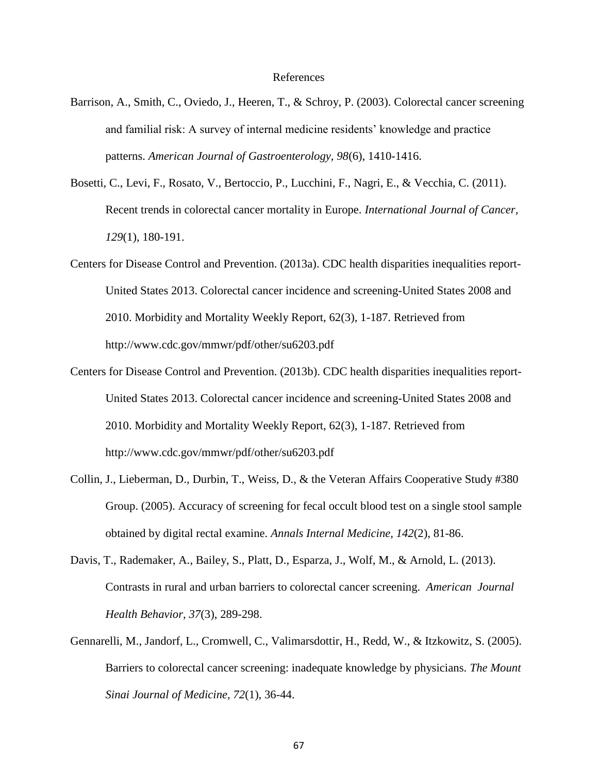#### References

- Barrison, A., Smith, C., Oviedo, J., Heeren, T., & Schroy, P. (2003). Colorectal cancer screening and familial risk: A survey of internal medicine residents' knowledge and practice patterns. *American Journal of Gastroenterology, 98*(6), 1410-1416.
- Bosetti, C., Levi, F., Rosato, V., Bertoccio, P., Lucchini, F., Nagri, E., & Vecchia, C. (2011). Recent trends in colorectal cancer mortality in Europe. *International Journal of Cancer, 129*(1), 180-191.
- Centers for Disease Control and Prevention. (2013a). CDC health disparities inequalities report-United States 2013. Colorectal cancer incidence and screening-United States 2008 and 2010. Morbidity and Mortality Weekly Report, 62(3), 1-187. Retrieved from http://www.cdc.gov/mmwr/pdf/other/su6203.pdf
- Centers for Disease Control and Prevention. (2013b). CDC health disparities inequalities report-United States 2013. Colorectal cancer incidence and screening-United States 2008 and 2010. Morbidity and Mortality Weekly Report, 62(3), 1-187. Retrieved from http://www.cdc.gov/mmwr/pdf/other/su6203.pdf
- Collin, J., Lieberman, D., Durbin, T., Weiss, D., & the Veteran Affairs Cooperative Study #380 Group. (2005). Accuracy of screening for fecal occult blood test on a single stool sample obtained by digital rectal examine. *Annals Internal Medicine, 142*(2), 81-86.
- Davis, T., Rademaker, A., Bailey, S., Platt, D., Esparza, J., Wolf, M., & Arnold, L. (2013). Contrasts in rural and urban barriers to colorectal cancer screening. *American Journal Health Behavior, 37*(3), 289-298.
- Gennarelli, M., Jandorf, L., Cromwell, C., Valimarsdottir, H., Redd, W., & Itzkowitz, S. (2005). Barriers to colorectal cancer screening: inadequate knowledge by physicians. *The Mount Sinai Journal of Medicine, 72*(1), 36-44.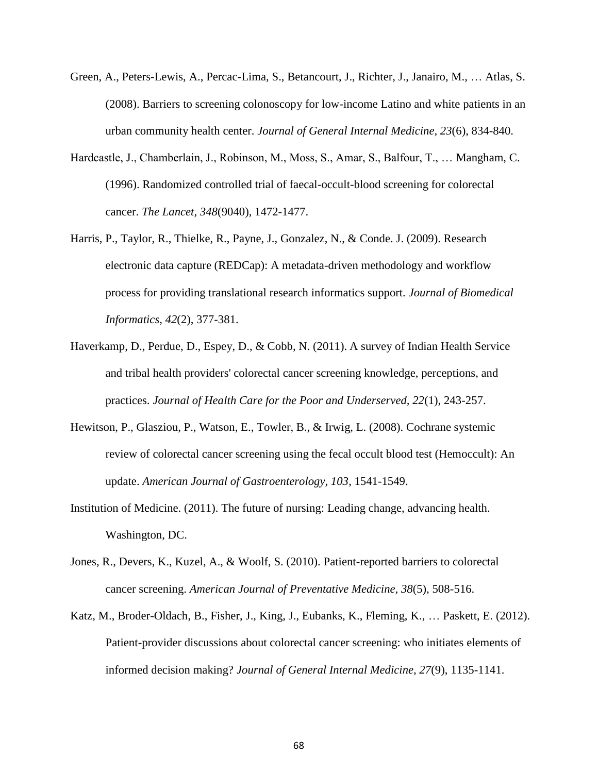- Green, A., Peters-Lewis, A., Percac-Lima, S., Betancourt, J., Richter, J., Janairo, M., … Atlas, S. (2008). Barriers to screening colonoscopy for low-income Latino and white patients in an urban community health center. *Journal of General Internal Medicine, 23*(6), 834-840.
- Hardcastle, J., Chamberlain, J., Robinson, M., Moss, S., Amar, S., Balfour, T., … Mangham, C. (1996). Randomized controlled trial of faecal-occult-blood screening for colorectal cancer. *The Lancet, 348*(9040), 1472-1477.
- Harris, P., Taylor, R., Thielke, R., Payne, J., Gonzalez, N., & Conde. J. (2009). Research electronic data capture (REDCap): A metadata-driven methodology and workflow process for providing translational research informatics support. *Journal of Biomedical Informatics, 42*(2), 377-381.
- Haverkamp, D., Perdue, D., Espey, D., & Cobb, N. (2011). A survey of Indian Health Service and tribal health providers' colorectal cancer screening knowledge, perceptions, and practices. *Journal of Health Care for the Poor and Underserved, 22*(1), 243-257.
- Hewitson, P., Glasziou, P., Watson, E., Towler, B., & Irwig, L. (2008). Cochrane systemic review of colorectal cancer screening using the fecal occult blood test (Hemoccult): An update. *American Journal of Gastroenterology, 103*, 1541-1549.
- Institution of Medicine. (2011). The future of nursing: Leading change, advancing health. Washington, DC.
- Jones, R., Devers, K., Kuzel, A., & Woolf, S. (2010). Patient-reported barriers to colorectal cancer screening. *American Journal of Preventative Medicine, 38*(5), 508-516.
- Katz, M., Broder-Oldach, B., Fisher, J., King, J., Eubanks, K., Fleming, K., … Paskett, E. (2012). Patient-provider discussions about colorectal cancer screening: who initiates elements of informed decision making? *Journal of General Internal Medicine, 27*(9), 1135-1141.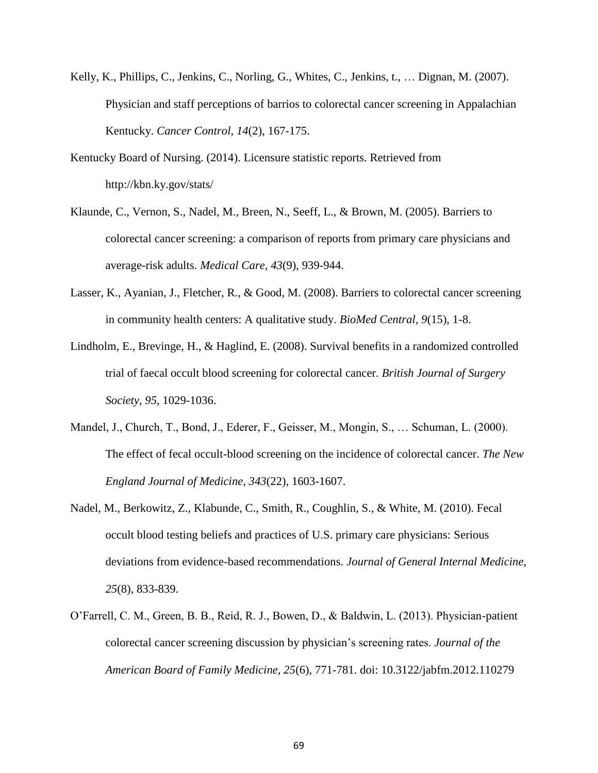- Kelly, K., Phillips, C., Jenkins, C., Norling, G., Whites, C., Jenkins, t., … Dignan, M. (2007). Physician and staff perceptions of barrios to colorectal cancer screening in Appalachian Kentucky. *Cancer Control, 14*(2), 167-175.
- Kentucky Board of Nursing. (2014). Licensure statistic reports. Retrieved from http://kbn.ky.gov/stats/
- Klaunde, C., Vernon, S., Nadel, M., Breen, N., Seeff, L., & Brown, M. (2005). Barriers to colorectal cancer screening: a comparison of reports from primary care physicians and average-risk adults. *Medical Care, 43*(9), 939-944.
- Lasser, K., Ayanian, J., Fletcher, R., & Good, M. (2008). Barriers to colorectal cancer screening in community health centers: A qualitative study. *BioMed Central, 9*(15), 1-8.
- Lindholm, E., Brevinge, H., & Haglind, E. (2008). Survival benefits in a randomized controlled trial of faecal occult blood screening for colorectal cancer. *British Journal of Surgery Society, 95*, 1029-1036.
- Mandel, J., Church, T., Bond, J., Ederer, F., Geisser, M., Mongin, S., … Schuman, L. (2000). The effect of fecal occult-blood screening on the incidence of colorectal cancer. *The New England Journal of Medicine, 343*(22), 1603-1607.
- Nadel, M., Berkowitz, Z., Klabunde, C., Smith, R., Coughlin, S., & White, M. (2010). Fecal occult blood testing beliefs and practices of U.S. primary care physicians: Serious deviations from evidence-based recommendations. *Journal of General Internal Medicine*, *25*(8), 833-839.
- O'Farrell, C. M., Green, B. B., Reid, R. J., Bowen, D., & Baldwin, L. (2013). Physician-patient colorectal cancer screening discussion by physician's screening rates. *Journal of the American Board of Family Medicine, 25*(6), 771-781. doi: 10.3122/jabfm.2012.110279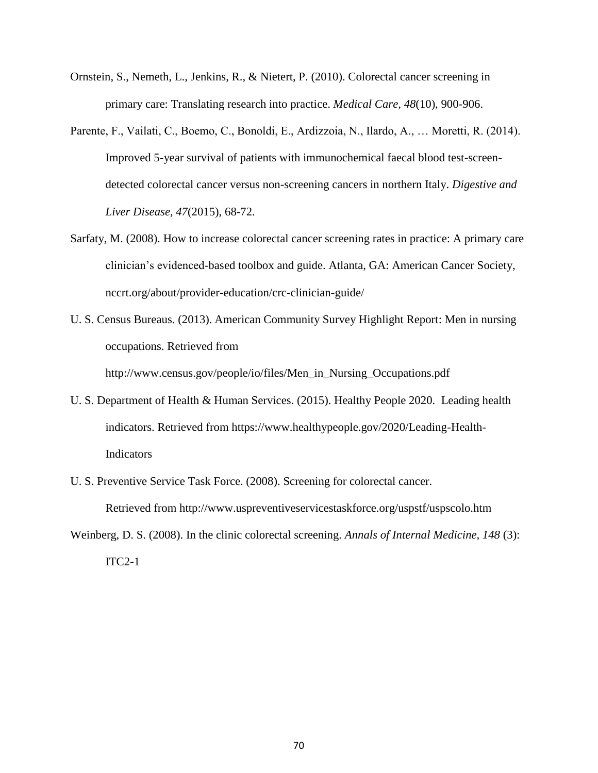- Ornstein, S., Nemeth, L., Jenkins, R., & Nietert, P. (2010). Colorectal cancer screening in primary care: Translating research into practice. *Medical Care, 48*(10), 900-906.
- Parente, F., Vailati, C., Boemo, C., Bonoldi, E., Ardizzoia, N., Ilardo, A., … Moretti, R. (2014). Improved 5-year survival of patients with immunochemical faecal blood test-screendetected colorectal cancer versus non-screening cancers in northern Italy. *Digestive and Liver Disease, 47*(2015), 68-72.
- Sarfaty, M. (2008). How to increase colorectal cancer screening rates in practice: A primary care clinician's evidenced-based toolbox and guide. Atlanta, GA: American Cancer Society, nccrt.org/about/provider-education/crc-clinician-guide/
- U. S. Census Bureaus. (2013). American Community Survey Highlight Report: Men in nursing occupations. Retrieved from http://www.census.gov/people/io/files/Men\_in\_Nursing\_Occupations.pdf
- U. S. Department of Health & Human Services. (2015). Healthy People 2020. Leading health indicators. Retrieved from https://www.healthypeople.gov/2020/Leading-Health-Indicators
- U. S. Preventive Service Task Force. (2008). Screening for colorectal cancer. Retrieved from http://www.uspreventiveservicestaskforce.org/uspstf/uspscolo.htm
- Weinberg, D. S. (2008). In the clinic colorectal screening. *Annals of Internal Medicine, 148* (3):  $ITC2-1$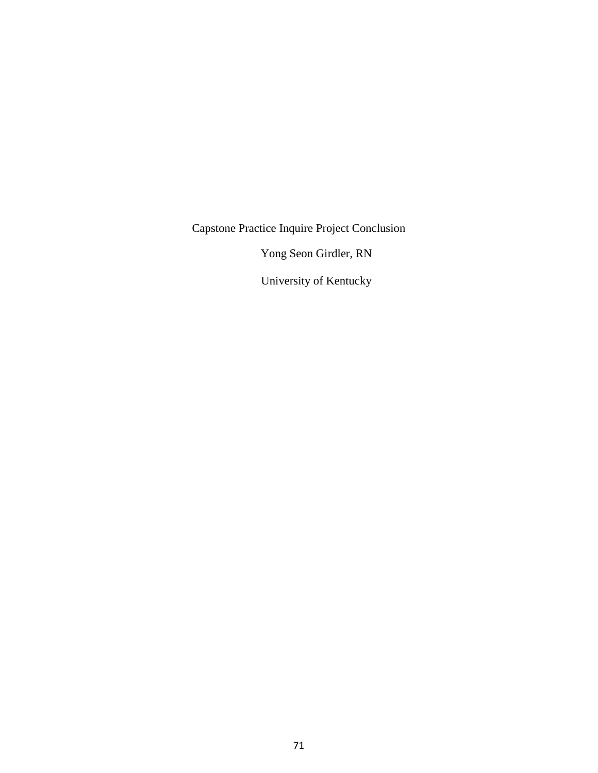Capstone Practice Inquire Project Conclusion

Yong Seon Girdler, RN

University of Kentucky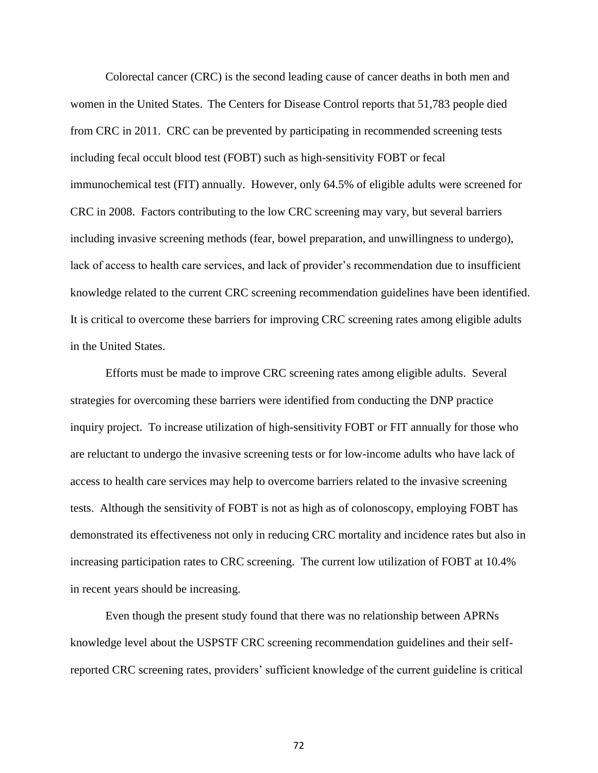Colorectal cancer (CRC) is the second leading cause of cancer deaths in both men and women in the United States. The Centers for Disease Control reports that 51,783 people died from CRC in 2011. CRC can be prevented by participating in recommended screening tests including fecal occult blood test (FOBT) such as high-sensitivity FOBT or fecal immunochemical test (FIT) annually. However, only 64.5% of eligible adults were screened for CRC in 2008. Factors contributing to the low CRC screening may vary, but several barriers including invasive screening methods (fear, bowel preparation, and unwillingness to undergo), lack of access to health care services, and lack of provider's recommendation due to insufficient knowledge related to the current CRC screening recommendation guidelines have been identified. It is critical to overcome these barriers for improving CRC screening rates among eligible adults in the United States.

Efforts must be made to improve CRC screening rates among eligible adults. Several strategies for overcoming these barriers were identified from conducting the DNP practice inquiry project. To increase utilization of high-sensitivity FOBT or FIT annually for those who are reluctant to undergo the invasive screening tests or for low-income adults who have lack of access to health care services may help to overcome barriers related to the invasive screening tests. Although the sensitivity of FOBT is not as high as of colonoscopy, employing FOBT has demonstrated its effectiveness not only in reducing CRC mortality and incidence rates but also in increasing participation rates to CRC screening. The current low utilization of FOBT at 10.4% in recent years should be increasing.

Even though the present study found that there was no relationship between APRNs knowledge level about the USPSTF CRC screening recommendation guidelines and their selfreported CRC screening rates, providers' sufficient knowledge of the current guideline is critical

72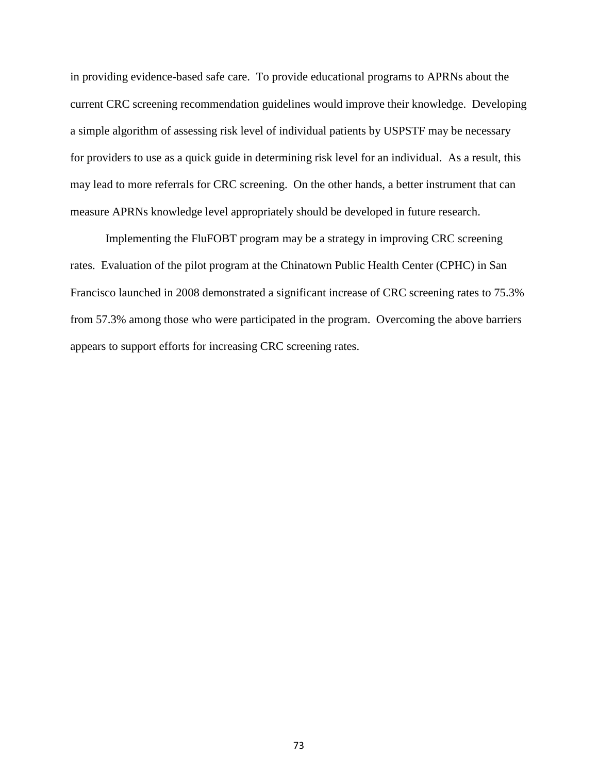in providing evidence-based safe care. To provide educational programs to APRNs about the current CRC screening recommendation guidelines would improve their knowledge. Developing a simple algorithm of assessing risk level of individual patients by USPSTF may be necessary for providers to use as a quick guide in determining risk level for an individual. As a result, this may lead to more referrals for CRC screening. On the other hands, a better instrument that can measure APRNs knowledge level appropriately should be developed in future research.

Implementing the FluFOBT program may be a strategy in improving CRC screening rates. Evaluation of the pilot program at the Chinatown Public Health Center (CPHC) in San Francisco launched in 2008 demonstrated a significant increase of CRC screening rates to 75.3% from 57.3% among those who were participated in the program. Overcoming the above barriers appears to support efforts for increasing CRC screening rates.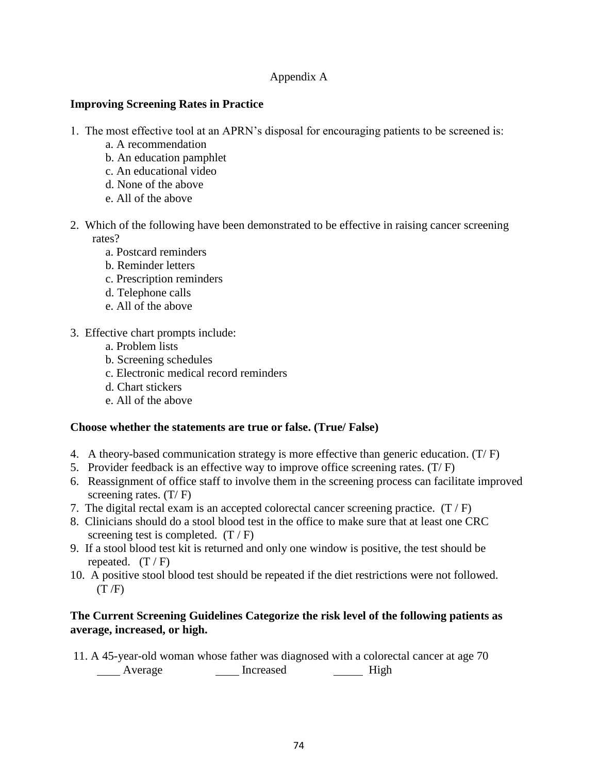## Appendix A

### **Improving Screening Rates in Practice**

- 1. The most effective tool at an APRN's disposal for encouraging patients to be screened is:
	- a. A recommendation
	- b. An education pamphlet
	- c. An educational video
	- d. None of the above
	- e. All of the above
- 2. Which of the following have been demonstrated to be effective in raising cancer screening rates?
	- a. Postcard reminders
	- b. Reminder letters
	- c. Prescription reminders
	- d. Telephone calls
	- e. All of the above
- 3. Effective chart prompts include:
	- a. Problem lists
	- b. Screening schedules
	- c. Electronic medical record reminders
	- d. Chart stickers
	- e. All of the above

#### **Choose whether the statements are true or false. (True/ False)**

- 4. A theory-based communication strategy is more effective than generic education. (T/ F)
- 5. Provider feedback is an effective way to improve office screening rates.  $(T/F)$
- 6. Reassignment of office staff to involve them in the screening process can facilitate improved screening rates.  $(T / F)$
- 7. The digital rectal exam is an accepted colorectal cancer screening practice.  $(T / F)$
- 8. Clinicians should do a stool blood test in the office to make sure that at least one CRC screening test is completed.  $(T / F)$
- 9. If a stool blood test kit is returned and only one window is positive, the test should be repeated.  $(T / F)$
- 10. A positive stool blood test should be repeated if the diet restrictions were not followed.  $(T/F)$

### **The Current Screening Guidelines Categorize the risk level of the following patients as average, increased, or high.**

11. A 45-year-old woman whose father was diagnosed with a colorectal cancer at age 70 Average **Increased** High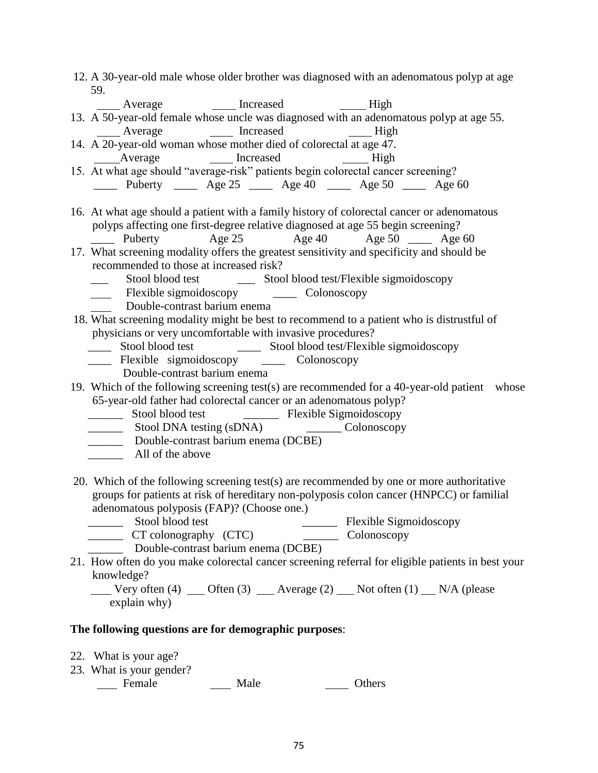| 12. A 30-year-old male whose older brother was diagnosed with an adenomatous polyp at age         |
|---------------------------------------------------------------------------------------------------|
| 59.                                                                                               |
| _____ Average _____ ____ Increased ______ High                                                    |
| 13. A 50-year-old female whose uncle was diagnosed with an adenomatous polyp at age 55.           |
| Average <b>1988</b> Increased <b>1988</b> Increased <b>1988</b>                                   |
| 14. A 20-year-old woman whose mother died of colorectal at age 47.                                |
| Average Increased<br>High                                                                         |
| 15. At what age should "average-risk" patients begin colorectal cancer screening?                 |
| <u>----</u> Puberty _____ Age 25 _____ Age 40 ____ Age 50 ____ Age 60                             |
|                                                                                                   |
| 16. At what age should a patient with a family history of colorectal cancer or adenomatous        |
| polyps affecting one first-degree relative diagnosed at age 55 begin screening?                   |
| Age 25 Age 40 Age 50 _____ Age 60<br>_______ Puberty                                              |
| 17. What screening modality offers the greatest sensitivity and specificity and should be         |
| recommended to those at increased risk?                                                           |
| $\frac{1}{2}$                                                                                     |
|                                                                                                   |
| Double-contrast barium enema                                                                      |
| 18. What screening modality might be best to recommend to a patient who is distrustful of         |
| physicians or very uncomfortable with invasive procedures?                                        |
| $\frac{1}{1}$                                                                                     |
| _____ Flexible sigmoidoscopy ______ Colonoscopy                                                   |
| Double-contrast barium enema                                                                      |
| 19. Which of the following screening test(s) are recommended for a 40-year-old patient whose      |
| 65-year-old father had colorectal cancer or an adenomatous polyp?                                 |
|                                                                                                   |
|                                                                                                   |
|                                                                                                   |
| Double-contrast barium enema (DCBE)                                                               |
| All of the above                                                                                  |
|                                                                                                   |
| 20. Which of the following screening test(s) are recommended by one or more authoritative         |
| groups for patients at risk of hereditary non-polyposis colon cancer (HNPCC) or familial          |
| adenomatous polyposis (FAP)? (Choose one.)                                                        |
| Stool blood test<br>Flexible Sigmoidoscopy                                                        |
| CT colonography (CTC)<br>Colonoscopy                                                              |
| Double-contrast barium enema (DCBE)                                                               |
| 21. How often do you make colorectal cancer screening referral for eligible patients in best your |
| knowledge?                                                                                        |
| <b>Very often (4)</b> __ Often (3) __ Average (2) __ Not often (1) __ N/A (please                 |
| explain why)                                                                                      |
|                                                                                                   |
| The following questions are for demographic purposes:                                             |
|                                                                                                   |
| 22. What is your age?<br>23. What is your gender?                                                 |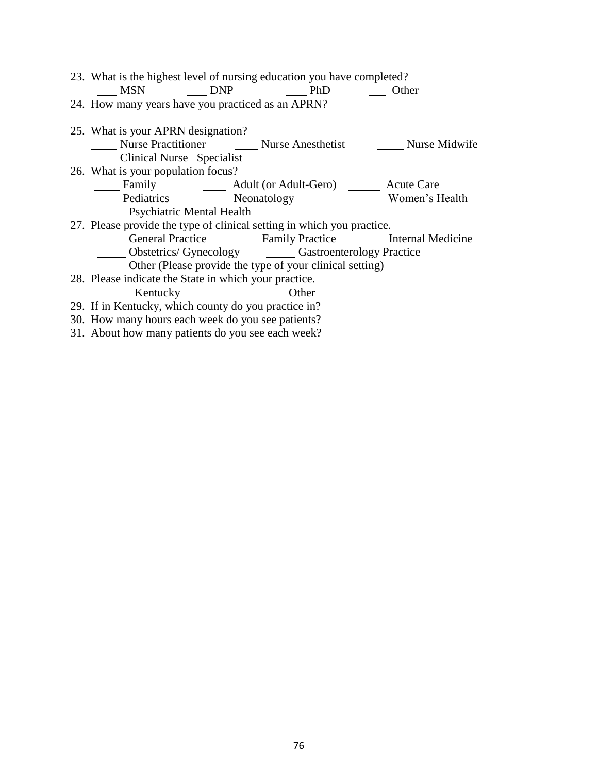| 23. What is the highest level of nursing education you have completed?           |       |  |  |  |
|----------------------------------------------------------------------------------|-------|--|--|--|
| MSN DNP PhD Other                                                                |       |  |  |  |
| 24. How many years have you practiced as an APRN?                                |       |  |  |  |
| 25. What is your APRN designation?                                               |       |  |  |  |
| Nurse Practitioner <b>Conserver Conserverse Practitioner</b> Nurse Nurse Midwife |       |  |  |  |
| Clinical Nurse Specialist                                                        |       |  |  |  |
| 26. What is your population focus?                                               |       |  |  |  |
| Family Mark Adult (or Adult-Gero) Mark Acute Care                                |       |  |  |  |
| Pediatrics Neonatology Women's Health                                            |       |  |  |  |
| <b>Psychiatric Mental Health</b>                                                 |       |  |  |  |
| 27. Please provide the type of clinical setting in which you practice.           |       |  |  |  |
| General Practice Camily Practice Christman Medicine                              |       |  |  |  |
| _____ Obstetrics/ Gynecology _______ Gastroenterology Practice                   |       |  |  |  |
| Other (Please provide the type of your clinical setting)                         |       |  |  |  |
| 28. Please indicate the State in which your practice.                            |       |  |  |  |
| Kentucky                                                                         | Other |  |  |  |
| 29. If in Kentucky, which county do you practice in?                             |       |  |  |  |
|                                                                                  |       |  |  |  |

30. How many hours each week do you see patients?

31. About how many patients do you see each week?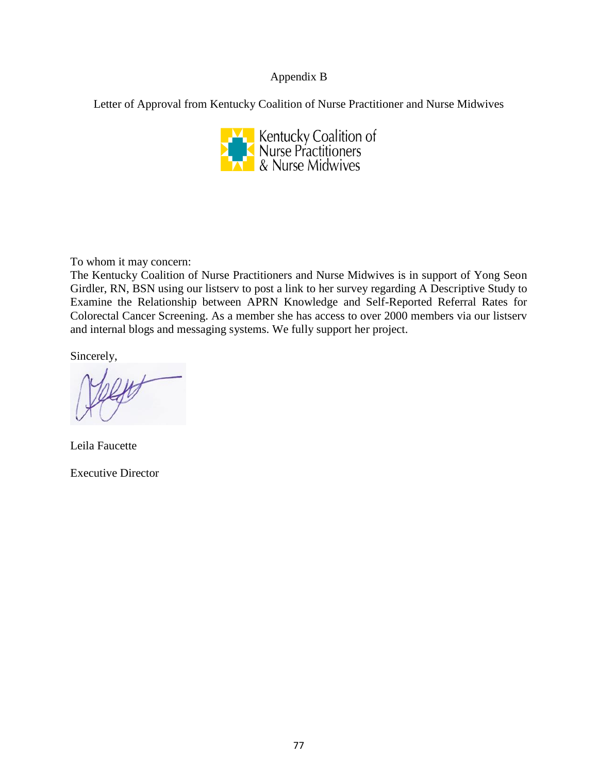## Appendix B

Letter of Approval from Kentucky Coalition of Nurse Practitioner and Nurse Midwives



To whom it may concern:

The Kentucky Coalition of Nurse Practitioners and Nurse Midwives is in support of Yong Seon Girdler, RN, BSN using our listserv to post a link to her survey regarding A Descriptive Study to Examine the Relationship between APRN Knowledge and Self-Reported Referral Rates for Colorectal Cancer Screening. As a member she has access to over 2000 members via our listserv and internal blogs and messaging systems. We fully support her project.

Sincerely,

Leila Faucette

Executive Director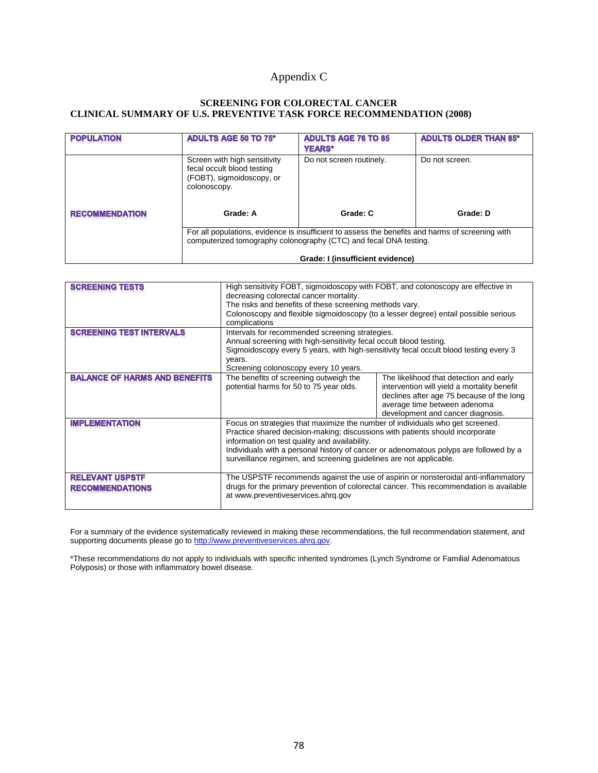# Appendix C

#### **SCREENING FOR COLORECTAL CANCER CLINICAL SUMMARY OF U.S. PREVENTIVE TASK FORCE RECOMMENDATION (2008)**

| <b>POPULATION</b>     | <b>ADULTS AGE 50 TO 75*</b>                                                                                                                                           | <b>ADULTS AGE 76 TO 85</b><br><b>YEARS*</b> | <b>ADULTS OLDER THAN 85*</b> |
|-----------------------|-----------------------------------------------------------------------------------------------------------------------------------------------------------------------|---------------------------------------------|------------------------------|
|                       | Screen with high sensitivity<br>fecal occult blood testing<br>(FOBT), sigmoidoscopy, or<br>colonoscopy.                                                               | Do not screen routinely.                    | Do not screen.               |
| <b>RECOMMENDATION</b> | Grade: A                                                                                                                                                              | Grade: C                                    | Grade: D                     |
|                       | For all populations, evidence is insufficient to assess the benefits and harms of screening with<br>computerized tomography colonography (CTC) and fecal DNA testing. |                                             |                              |
|                       | Grade: I (insufficient evidence)                                                                                                                                      |                                             |                              |

| <b>SCREENING TESTS</b>                           | High sensitivity FOBT, sigmoidoscopy with FOBT, and colonoscopy are effective in<br>decreasing colorectal cancer mortality.<br>The risks and benefits of these screening methods vary.                                                                                                                                                                                         |                                                                                                                                                                                                          |
|--------------------------------------------------|--------------------------------------------------------------------------------------------------------------------------------------------------------------------------------------------------------------------------------------------------------------------------------------------------------------------------------------------------------------------------------|----------------------------------------------------------------------------------------------------------------------------------------------------------------------------------------------------------|
|                                                  | Colonoscopy and flexible sigmoidoscopy (to a lesser degree) entail possible serious<br>complications                                                                                                                                                                                                                                                                           |                                                                                                                                                                                                          |
| <b>SCREENING TEST INTERVALS</b>                  | Intervals for recommended screening strategies.<br>Annual screening with high-sensitivity fecal occult blood testing.<br>Sigmoidoscopy every 5 years, with high-sensitivity fecal occult blood testing every 3<br>years.<br>Screening colonoscopy every 10 years.                                                                                                              |                                                                                                                                                                                                          |
| <b>BALANCE OF HARMS AND BENEFITS</b>             | The benefits of screening outweigh the<br>potential harms for 50 to 75 year olds.                                                                                                                                                                                                                                                                                              | The likelihood that detection and early<br>intervention will yield a mortality benefit<br>declines after age 75 because of the long<br>average time between adenoma<br>development and cancer diagnosis. |
| <b>IMPLEMENTATION</b>                            | Focus on strategies that maximize the number of individuals who get screened.<br>Practice shared decision-making; discussions with patients should incorporate<br>information on test quality and availability.<br>Individuals with a personal history of cancer or adenomatous polyps are followed by a<br>surveillance regimen, and screening guidelines are not applicable. |                                                                                                                                                                                                          |
| <b>RELEVANT USPSTF</b><br><b>RECOMMENDATIONS</b> | The USPSTF recommends against the use of aspirin or nonsteroidal anti-inflammatory<br>drugs for the primary prevention of colorectal cancer. This recommendation is available<br>at www.preventiveservices.ahrq.gov                                                                                                                                                            |                                                                                                                                                                                                          |

For a summary of the evidence systematically reviewed in making these recommendations, the full recommendation statement, and supporting documents please go t[o http://www.preventiveservices.ahrq.gov.](http://www.preventiveservices.ahrq.gov/)

\*These recommendations do not apply to individuals with specific inherited syndromes (Lynch Syndrome or Familial Adenomatous Polyposis) or those with inflammatory bowel disease.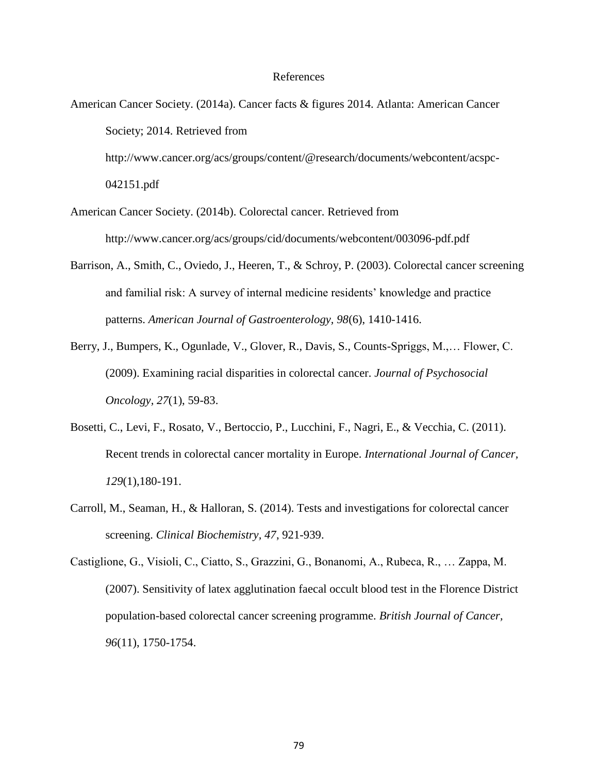#### References

- American Cancer Society. (2014a). Cancer facts & figures 2014. Atlanta: American Cancer Society; 2014. Retrieved from http://www.cancer.org/acs/groups/content/@research/documents/webcontent/acspc- 042151.pdf
- American Cancer Society. (2014b). Colorectal cancer. Retrieved from http://www.cancer.org/acs/groups/cid/documents/webcontent/003096-pdf.pdf
- Barrison, A., Smith, C., Oviedo, J., Heeren, T., & Schroy, P. (2003). Colorectal cancer screening and familial risk: A survey of internal medicine residents' knowledge and practice patterns. *American Journal of Gastroenterology, 98*(6), 1410-1416.
- Berry, J., Bumpers, K., Ogunlade, V., Glover, R., Davis, S., Counts-Spriggs, M.,… Flower, C. (2009). Examining racial disparities in colorectal cancer. *Journal of Psychosocial Oncology, 27*(1), 59-83.
- Bosetti, C., Levi, F., Rosato, V., Bertoccio, P., Lucchini, F., Nagri, E., & Vecchia, C. (2011). Recent trends in colorectal cancer mortality in Europe. *International Journal of Cancer, 129*(1),180-191.
- Carroll, M., Seaman, H., & Halloran, S. (2014). Tests and investigations for colorectal cancer screening. *Clinical Biochemistry, 47*, 921-939.
- Castiglione, G., Visioli, C., Ciatto, S., Grazzini, G., Bonanomi, A., Rubeca, R., … Zappa, M. (2007). Sensitivity of latex agglutination faecal occult blood test in the Florence District population-based colorectal cancer screening programme. *British Journal of Cancer, 96*(11), 1750-1754.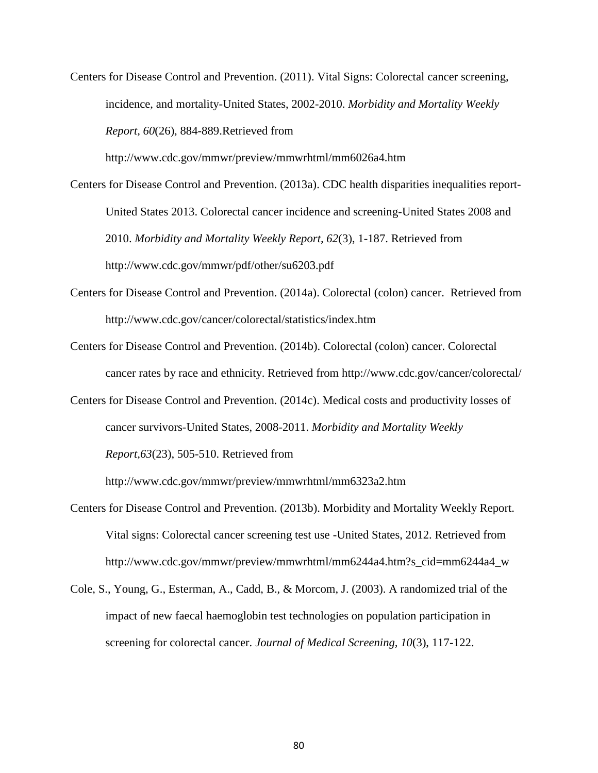Centers for Disease Control and Prevention. (2011). Vital Signs: Colorectal cancer screening, incidence, and mortality-United States, 2002-2010. *Morbidity and Mortality Weekly Report, 60*(26), 884-889.Retrieved from

http://www.cdc.gov/mmwr/preview/mmwrhtml/mm6026a4.htm

- Centers for Disease Control and Prevention. (2013a). CDC health disparities inequalities report-United States 2013. Colorectal cancer incidence and screening-United States 2008 and 2010. *Morbidity and Mortality Weekly Report, 62*(3), 1-187. Retrieved from http://www.cdc.gov/mmwr/pdf/other/su6203.pdf
- Centers for Disease Control and Prevention. (2014a). Colorectal (colon) cancer. Retrieved from http://www.cdc.gov/cancer/colorectal/statistics/index.htm
- Centers for Disease Control and Prevention. (2014b). Colorectal (colon) cancer. Colorectal cancer rates by race and ethnicity. Retrieved from http://www.cdc.gov/cancer/colorectal/
- Centers for Disease Control and Prevention. (2014c). Medical costs and productivity losses of cancer survivors-United States, 2008-2011. *Morbidity and Mortality Weekly Report,63*(23), 505-510. Retrieved from

http://www.cdc.gov/mmwr/preview/mmwrhtml/mm6323a2.htm

- Centers for Disease Control and Prevention. (2013b). Morbidity and Mortality Weekly Report. Vital signs: Colorectal cancer screening test use -United States, 2012. Retrieved from http://www.cdc.gov/mmwr/preview/mmwrhtml/mm6244a4.htm?s\_cid=mm6244a4\_w
- Cole, S., Young, G., Esterman, A., Cadd, B., & Morcom, J. (2003). A randomized trial of the impact of new faecal haemoglobin test technologies on population participation in screening for colorectal cancer. *Journal of Medical Screening, 10*(3), 117-122.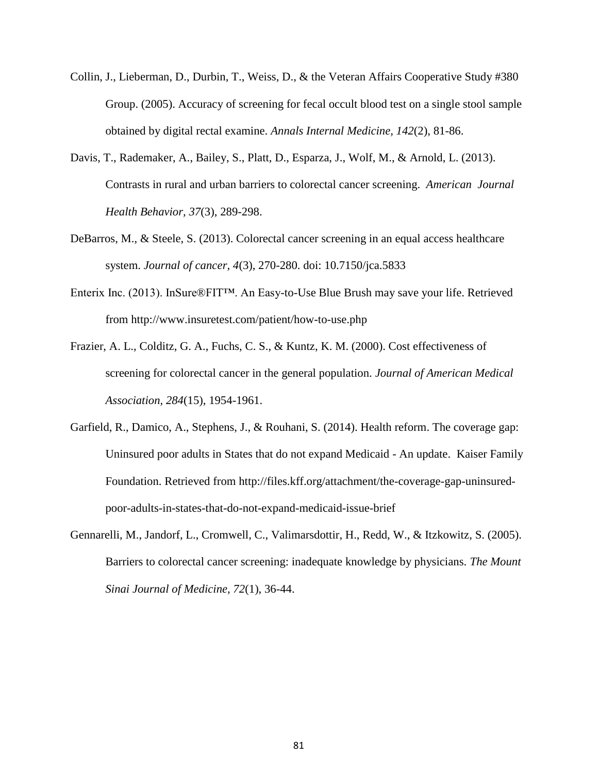- Collin, J., Lieberman, D., Durbin, T., Weiss, D., & the Veteran Affairs Cooperative Study #380 Group. (2005). Accuracy of screening for fecal occult blood test on a single stool sample obtained by digital rectal examine. *Annals Internal Medicine, 142*(2), 81-86.
- Davis, T., Rademaker, A., Bailey, S., Platt, D., Esparza, J., Wolf, M., & Arnold, L. (2013). Contrasts in rural and urban barriers to colorectal cancer screening. *American Journal Health Behavior, 37*(3), 289-298.
- DeBarros, M., & Steele, S. (2013). Colorectal cancer screening in an equal access healthcare system. *Journal of cancer, 4*(3), 270-280. doi: 10.7150/jca.5833
- Enterix Inc. (2013). InSure®FIT™. An Easy-to-Use Blue Brush may save your life. Retrieved from http://www.insuretest.com/patient/how-to-use.php
- Frazier, A. L., Colditz, G. A., Fuchs, C. S., & Kuntz, K. M. (2000). Cost effectiveness of screening for colorectal cancer in the general population. *Journal of American Medical Association, 284*(15), 1954-1961.
- Garfield, R., Damico, A., Stephens, J., & Rouhani, S. (2014). Health reform. The coverage gap: Uninsured poor adults in States that do not expand Medicaid - An update. Kaiser Family Foundation. Retrieved from http://files.kff.org/attachment/the-coverage-gap-uninsuredpoor-adults-in-states-that-do-not-expand-medicaid-issue-brief
- Gennarelli, M., Jandorf, L., Cromwell, C., Valimarsdottir, H., Redd, W., & Itzkowitz, S. (2005). Barriers to colorectal cancer screening: inadequate knowledge by physicians. *The Mount Sinai Journal of Medicine, 72*(1), 36-44.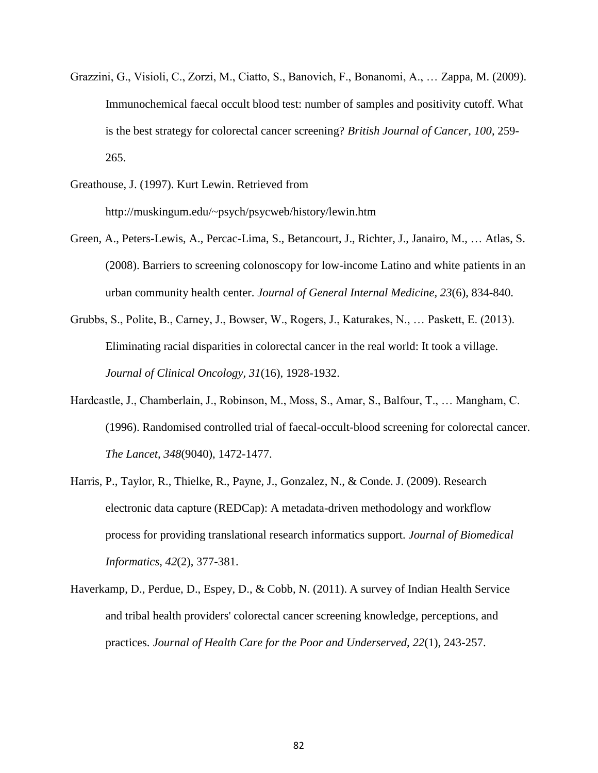- Grazzini, G., Visioli, C., Zorzi, M., Ciatto, S., Banovich, F., Bonanomi, A., … Zappa, M. (2009). Immunochemical faecal occult blood test: number of samples and positivity cutoff. What is the best strategy for colorectal cancer screening? *British Journal of Cancer, 100*, 259- 265.
- Greathouse, J. (1997). Kurt Lewin. Retrieved from http://muskingum.edu/~psych/psycweb/history/lewin.htm
- Green, A., Peters-Lewis, A., Percac-Lima, S., Betancourt, J., Richter, J., Janairo, M., … Atlas, S. (2008). Barriers to screening colonoscopy for low-income Latino and white patients in an urban community health center. *Journal of General Internal Medicine, 23*(6), 834-840.
- Grubbs, S., Polite, B., Carney, J., Bowser, W., Rogers, J., Katurakes, N., … Paskett, E. (2013). Eliminating racial disparities in colorectal cancer in the real world: It took a village. *Journal of Clinical Oncology, 31*(16), 1928-1932.
- Hardcastle, J., Chamberlain, J., Robinson, M., Moss, S., Amar, S., Balfour, T., … Mangham, C. (1996). Randomised controlled trial of faecal-occult-blood screening for colorectal cancer. *The Lancet, 348*(9040), 1472-1477.
- Harris, P., Taylor, R., Thielke, R., Payne, J., Gonzalez, N., & Conde. J. (2009). Research electronic data capture (REDCap): A metadata-driven methodology and workflow process for providing translational research informatics support. *Journal of Biomedical Informatics, 42*(2), 377-381.
- Haverkamp, D., Perdue, D., Espey, D., & Cobb, N. (2011). A survey of Indian Health Service and tribal health providers' colorectal cancer screening knowledge, perceptions, and practices. *Journal of Health Care for the Poor and Underserved, 22*(1), 243-257.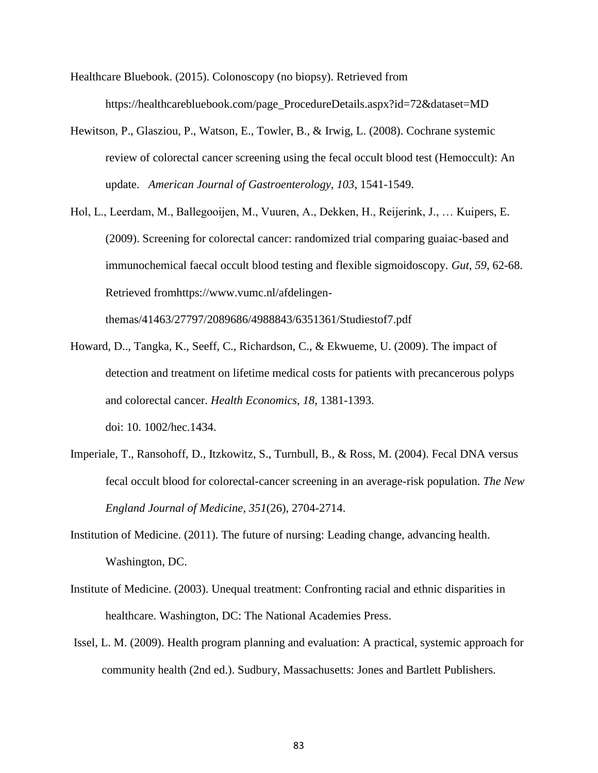- Healthcare Bluebook. (2015). Colonoscopy (no biopsy). Retrieved from https://healthcarebluebook.com/page\_ProcedureDetails.aspx?id=72&dataset=MD
- Hewitson, P., Glasziou, P., Watson, E., Towler, B., & Irwig, L. (2008). Cochrane systemic review of colorectal cancer screening using the fecal occult blood test (Hemoccult): An update. *American Journal of Gastroenterology, 103*, 1541-1549.
- Hol, L., Leerdam, M., Ballegooijen, M., Vuuren, A., Dekken, H., Reijerink, J., … Kuipers, E. (2009). Screening for colorectal cancer: randomized trial comparing guaiac-based and immunochemical faecal occult blood testing and flexible sigmoidoscopy. *Gut, 59*, 62-68. Retrieved fromhttps://www.vumc.nl/afdelingen-

themas/41463/27797/2089686/4988843/6351361/Studiestof7.pdf

- Howard, D.., Tangka, K., Seeff, C., Richardson, C., & Ekwueme, U. (2009). The impact of detection and treatment on lifetime medical costs for patients with precancerous polyps and colorectal cancer. *Health Economics, 18*, 1381-1393. doi: 10. 1002/hec.1434.
- Imperiale, T., Ransohoff, D., Itzkowitz, S., Turnbull, B., & Ross, M. (2004). Fecal DNA versus fecal occult blood for colorectal-cancer screening in an average-risk population. *The New England Journal of Medicine, 351*(26), 2704-2714.
- Institution of Medicine. (2011). The future of nursing: Leading change, advancing health. Washington, DC.
- Institute of Medicine. (2003). Unequal treatment: Confronting racial and ethnic disparities in healthcare. Washington, DC: The National Academies Press.
- Issel, L. M. (2009). Health program planning and evaluation: A practical, systemic approach for community health (2nd ed.). Sudbury, Massachusetts: Jones and Bartlett Publishers.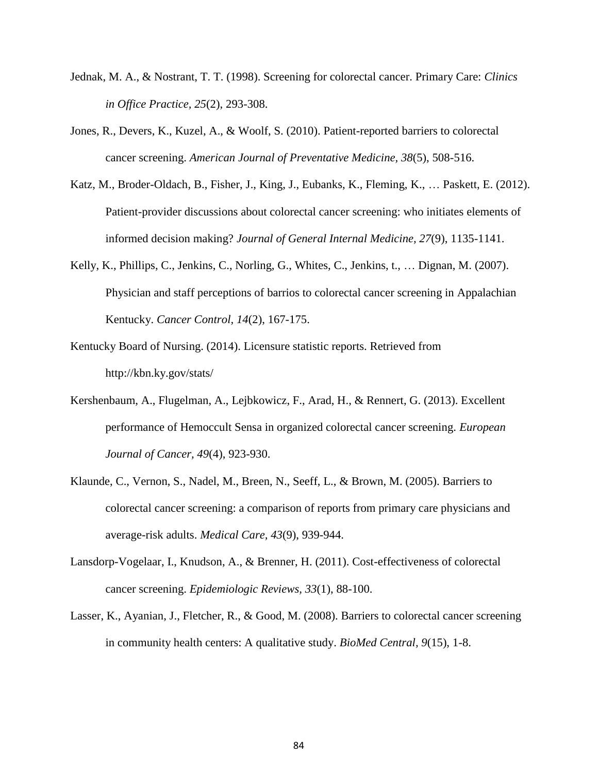- Jednak, M. A., & Nostrant, T. T. (1998). Screening for colorectal cancer. Primary Care: *Clinics in Office Practice, 25*(2), 293-308.
- Jones, R., Devers, K., Kuzel, A., & Woolf, S. (2010). Patient-reported barriers to colorectal cancer screening. *American Journal of Preventative Medicine, 38*(5), 508-516.
- Katz, M., Broder-Oldach, B., Fisher, J., King, J., Eubanks, K., Fleming, K., … Paskett, E. (2012). Patient-provider discussions about colorectal cancer screening: who initiates elements of informed decision making? *Journal of General Internal Medicine, 27*(9), 1135-1141.
- Kelly, K., Phillips, C., Jenkins, C., Norling, G., Whites, C., Jenkins, t., … Dignan, M. (2007). Physician and staff perceptions of barrios to colorectal cancer screening in Appalachian Kentucky. *Cancer Control, 14*(2), 167-175.
- Kentucky Board of Nursing. (2014). Licensure statistic reports. Retrieved from http://kbn.ky.gov/stats/
- Kershenbaum, A., Flugelman, A., Lejbkowicz, F., Arad, H., & Rennert, G. (2013). Excellent performance of Hemoccult Sensa in organized colorectal cancer screening. *European Journal of Cancer, 49*(4), 923-930.
- Klaunde, C., Vernon, S., Nadel, M., Breen, N., Seeff, L., & Brown, M. (2005). Barriers to colorectal cancer screening: a comparison of reports from primary care physicians and average-risk adults. *Medical Care, 43*(9), 939-944.
- Lansdorp-Vogelaar, I., Knudson, A., & Brenner, H. (2011). Cost-effectiveness of colorectal cancer screening. *Epidemiologic Reviews, 33*(1), 88-100.
- Lasser, K., Ayanian, J., Fletcher, R., & Good, M. (2008). Barriers to colorectal cancer screening in community health centers: A qualitative study. *BioMed Central, 9*(15), 1-8.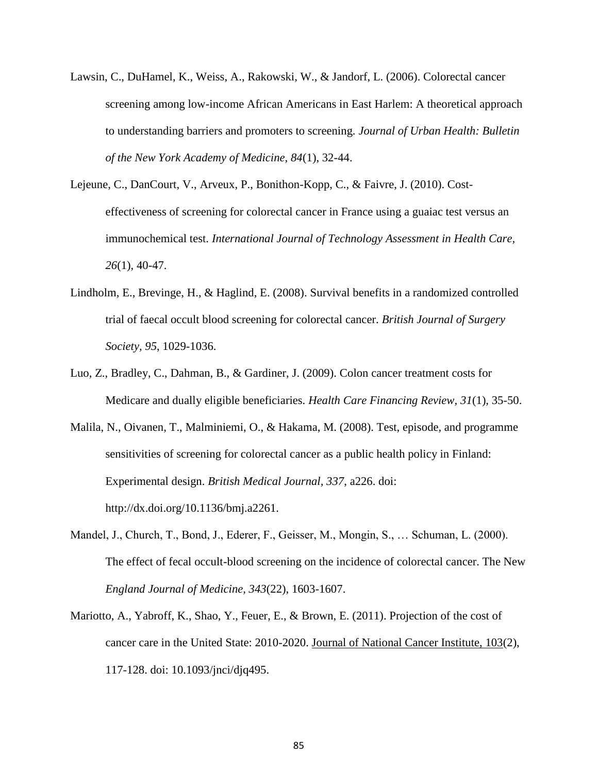- Lawsin, C., DuHamel, K., Weiss, A., Rakowski, W., & Jandorf, L. (2006). Colorectal cancer screening among low-income African Americans in East Harlem: A theoretical approach to understanding barriers and promoters to screening. *Journal of Urban Health: Bulletin of the New York Academy of Medicine, 84*(1), 32-44.
- Lejeune, C., DanCourt, V., Arveux, P., Bonithon-Kopp, C., & Faivre, J. (2010). Costeffectiveness of screening for colorectal cancer in France using a guaiac test versus an immunochemical test. *International Journal of Technology Assessment in Health Care, 26*(1), 40-47.
- Lindholm, E., Brevinge, H., & Haglind, E. (2008). Survival benefits in a randomized controlled trial of faecal occult blood screening for colorectal cancer. *British Journal of Surgery Society, 95*, 1029-1036.
- Luo, Z., Bradley, C., Dahman, B., & Gardiner, J. (2009). Colon cancer treatment costs for Medicare and dually eligible beneficiaries. *Health Care Financing Review, 31*(1), 35-50.
- Malila, N., Oivanen, T., Malminiemi, O., & Hakama, M. (2008). Test, episode, and programme sensitivities of screening for colorectal cancer as a public health policy in Finland: Experimental design. *British Medical Journal, 337*, a226. doi: http://dx.doi.org/10.1136/bmj.a2261.
- Mandel, J., Church, T., Bond, J., Ederer, F., Geisser, M., Mongin, S., … Schuman, L. (2000). The effect of fecal occult-blood screening on the incidence of colorectal cancer. The New *England Journal of Medicine, 343*(22), 1603-1607.
- Mariotto, A., Yabroff, K., Shao, Y., Feuer, E., & Brown, E. (2011). Projection of the cost of cancer care in the United State: 2010-2020. Journal of National Cancer Institute, 103(2), 117-128. doi: 10.1093/jnci/djq495.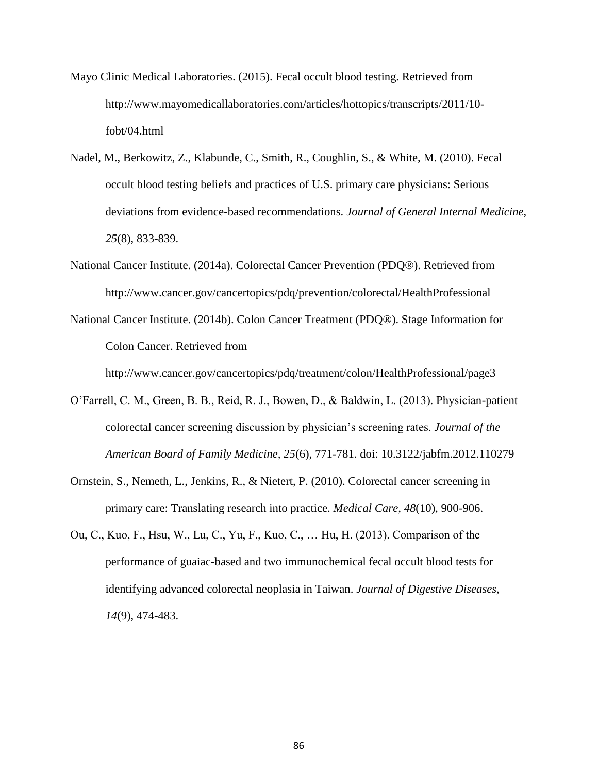- Mayo Clinic Medical Laboratories. (2015). Fecal occult blood testing. Retrieved from http://www.mayomedicallaboratories.com/articles/hottopics/transcripts/2011/10 fobt/04.html
- Nadel, M., Berkowitz, Z., Klabunde, C., Smith, R., Coughlin, S., & White, M. (2010). Fecal occult blood testing beliefs and practices of U.S. primary care physicians: Serious deviations from evidence-based recommendations. *Journal of General Internal Medicine*, *25*(8), 833-839.
- National Cancer Institute. (2014a). Colorectal Cancer Prevention (PDQ®). Retrieved from http://www.cancer.gov/cancertopics/pdq/prevention/colorectal/HealthProfessional
- National Cancer Institute. (2014b). Colon Cancer Treatment (PDQ®). Stage Information for Colon Cancer. Retrieved from

http://www.cancer.gov/cancertopics/pdq/treatment/colon/HealthProfessional/page3

- O'Farrell, C. M., Green, B. B., Reid, R. J., Bowen, D., & Baldwin, L. (2013). Physician-patient colorectal cancer screening discussion by physician's screening rates. *Journal of the American Board of Family Medicine, 25*(6), 771-781. doi: 10.3122/jabfm.2012.110279
- Ornstein, S., Nemeth, L., Jenkins, R., & Nietert, P. (2010). Colorectal cancer screening in primary care: Translating research into practice. *Medical Care, 48*(10), 900-906.
- Ou, C., Kuo, F., Hsu, W., Lu, C., Yu, F., Kuo, C., … Hu, H. (2013). Comparison of the performance of guaiac-based and two immunochemical fecal occult blood tests for identifying advanced colorectal neoplasia in Taiwan. *Journal of Digestive Diseases, 14*(9), 474-483.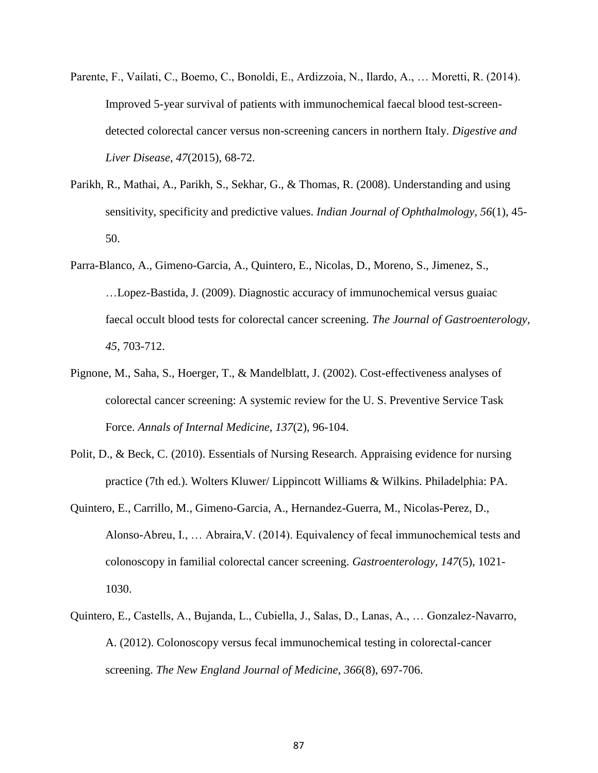- Parente, F., Vailati, C., Boemo, C., Bonoldi, E., Ardizzoia, N., Ilardo, A., … Moretti, R. (2014). Improved 5-year survival of patients with immunochemical faecal blood test-screendetected colorectal cancer versus non-screening cancers in northern Italy. *Digestive and Liver Disease, 47*(2015), 68-72.
- Parikh, R., Mathai, A., Parikh, S., Sekhar, G., & Thomas, R. (2008). Understanding and using sensitivity, specificity and predictive values. *Indian Journal of Ophthalmology, 56*(1), 45- 50.
- Parra-Blanco, A., Gimeno-Garcia, A., Quintero, E., Nicolas, D., Moreno, S., Jimenez, S., …Lopez-Bastida, J. (2009). Diagnostic accuracy of immunochemical versus guaiac faecal occult blood tests for colorectal cancer screening. *The Journal of Gastroenterology, 45*, 703-712.
- Pignone, M., Saha, S., Hoerger, T., & Mandelblatt, J. (2002). Cost-effectiveness analyses of colorectal cancer screening: A systemic review for the U. S. Preventive Service Task Force. *Annals of Internal Medicine, 137*(2), 96-104.
- Polit, D., & Beck, C. (2010). Essentials of Nursing Research. Appraising evidence for nursing practice (7th ed.). Wolters Kluwer/ Lippincott Williams & Wilkins. Philadelphia: PA.
- Quintero, E., Carrillo, M., Gimeno-Garcia, A., Hernandez-Guerra, M., Nicolas-Perez, D., Alonso-Abreu, I., … Abraira,V. (2014). Equivalency of fecal immunochemical tests and colonoscopy in familial colorectal cancer screening. *Gastroenterology, 147*(5), 1021- 1030.
- Quintero, E., Castells, A., Bujanda, L., Cubiella, J., Salas, D., Lanas, A., … Gonzalez-Navarro, A. (2012). Colonoscopy versus fecal immunochemical testing in colorectal-cancer screening. *The New England Journal of Medicine, 366*(8), 697-706.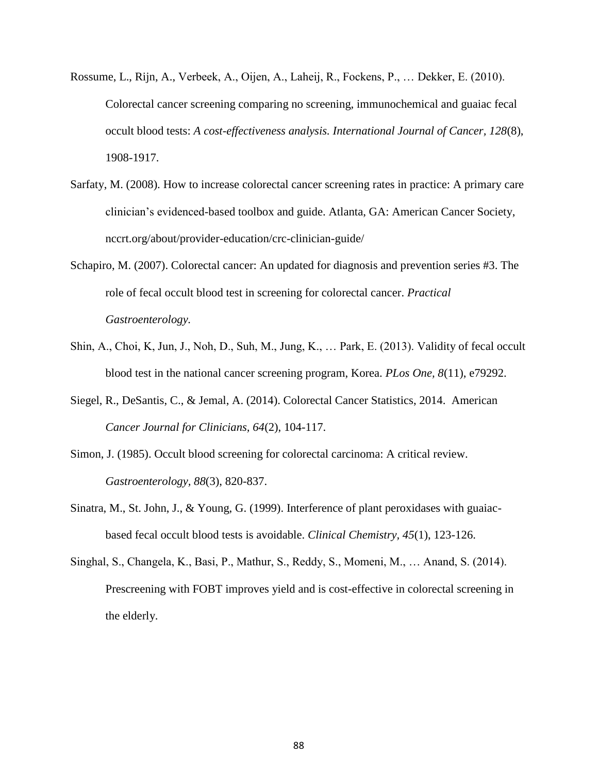- Rossume, L., Rijn, A., Verbeek, A., Oijen, A., Laheij, R., Fockens, P., … Dekker, E. (2010). Colorectal cancer screening comparing no screening, immunochemical and guaiac fecal occult blood tests: *A cost-effectiveness analysis. International Journal of Cancer, 128*(8), 1908-1917.
- Sarfaty, M. (2008). How to increase colorectal cancer screening rates in practice: A primary care clinician's evidenced-based toolbox and guide. Atlanta, GA: American Cancer Society, nccrt.org/about/provider-education/crc-clinician-guide/
- Schapiro, M. (2007). Colorectal cancer: An updated for diagnosis and prevention series #3. The role of fecal occult blood test in screening for colorectal cancer. *Practical Gastroenterology.*
- Shin, A., Choi, K, Jun, J., Noh, D., Suh, M., Jung, K., … Park, E. (2013). Validity of fecal occult blood test in the national cancer screening program, Korea. *PLos One, 8*(11), e79292.
- Siegel, R., DeSantis, C., & Jemal, A. (2014). Colorectal Cancer Statistics, 2014. American *Cancer Journal for Clinicians, 64*(2), 104-117.
- Simon, J. (1985). Occult blood screening for colorectal carcinoma: A critical review. *Gastroenterology, 88*(3), 820-837.
- Sinatra, M., St. John, J., & Young, G. (1999). Interference of plant peroxidases with guaiacbased fecal occult blood tests is avoidable. *Clinical Chemistry, 45*(1), 123-126.
- Singhal, S., Changela, K., Basi, P., Mathur, S., Reddy, S., Momeni, M., … Anand, S. (2014). Prescreening with FOBT improves yield and is cost-effective in colorectal screening in the elderly.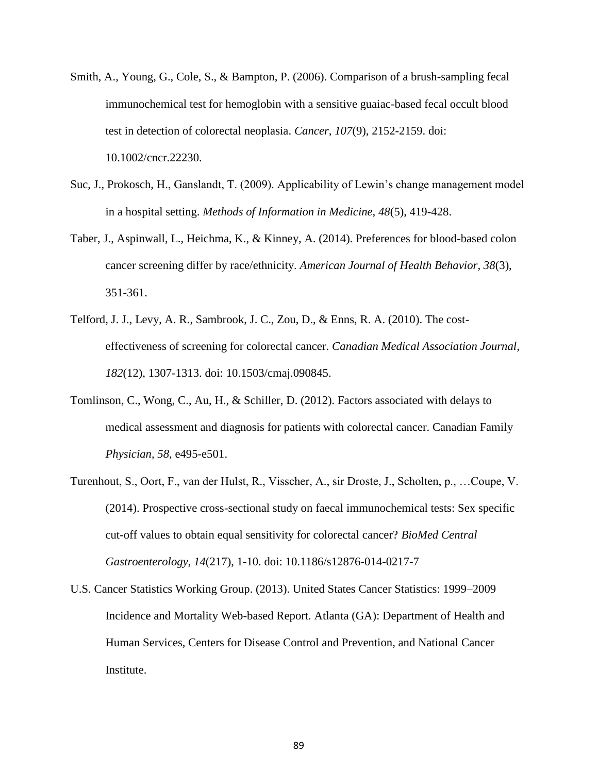- Smith, A., Young, G., Cole, S., & Bampton, P. (2006). Comparison of a brush-sampling fecal immunochemical test for hemoglobin with a sensitive guaiac-based fecal occult blood test in detection of colorectal neoplasia. *Cancer, 107*(9), 2152-2159. doi: 10.1002/cncr.22230.
- Suc, J., Prokosch, H., Ganslandt, T. (2009). Applicability of Lewin's change management model in a hospital setting. *Methods of Information in Medicine, 48*(5), 419-428.
- Taber, J., Aspinwall, L., Heichma, K., & Kinney, A. (2014). Preferences for blood-based colon cancer screening differ by race/ethnicity. *American Journal of Health Behavior, 38*(3), 351-361.
- Telford, J. J., Levy, A. R., Sambrook, J. C., Zou, D., & Enns, R. A. (2010). The costeffectiveness of screening for colorectal cancer. *Canadian Medical Association Journal, 182*(12), 1307-1313. doi: 10.1503/cmaj.090845.
- Tomlinson, C., Wong, C., Au, H., & Schiller, D. (2012). Factors associated with delays to medical assessment and diagnosis for patients with colorectal cancer. Canadian Family *Physician, 58*, e495-e501.
- Turenhout, S., Oort, F., van der Hulst, R., Visscher, A., sir Droste, J., Scholten, p., …Coupe, V. (2014). Prospective cross-sectional study on faecal immunochemical tests: Sex specific cut-off values to obtain equal sensitivity for colorectal cancer? *BioMed Central Gastroenterology, 14*(217), 1-10. doi: 10.1186/s12876-014-0217-7
- U.S. Cancer Statistics Working Group. (2013). United States Cancer Statistics: 1999–2009 Incidence and Mortality Web-based Report. Atlanta (GA): Department of Health and Human Services, Centers for Disease Control and Prevention, and National Cancer Institute.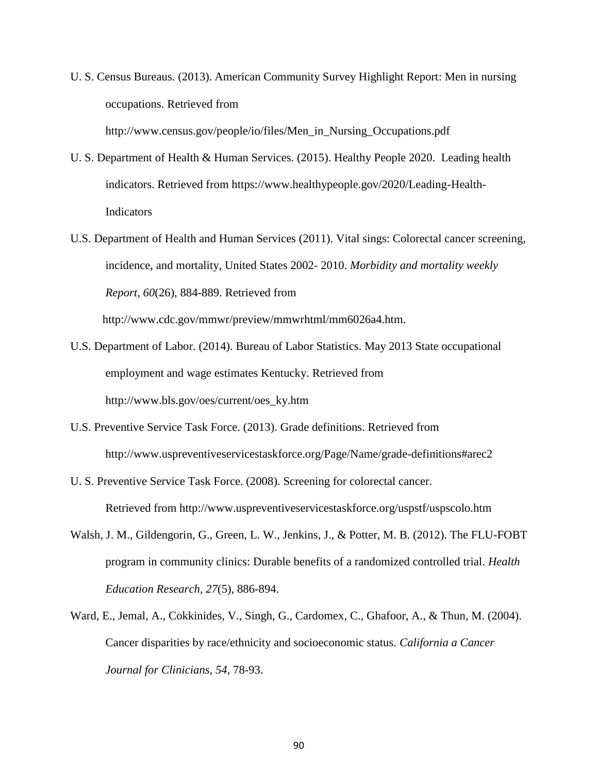- U. S. Census Bureaus. (2013). American Community Survey Highlight Report: Men in nursing occupations. Retrieved from http://www.census.gov/people/io/files/Men\_in\_Nursing\_Occupations.pdf
- U. S. Department of Health & Human Services. (2015). Healthy People 2020. Leading health indicators. Retrieved from https://www.healthypeople.gov/2020/Leading-Health-**Indicators**
- U.S. Department of Health and Human Services (2011). Vital sings: Colorectal cancer screening, incidence, and mortality, United States 2002- 2010. *Morbidity and mortality weekly Report, 60*(26), 884-889. Retrieved from

http://www.cdc.gov/mmwr/preview/mmwrhtml/mm6026a4.htm.

- U.S. Department of Labor. (2014). Bureau of Labor Statistics. May 2013 State occupational employment and wage estimates Kentucky. Retrieved from http://www.bls.gov/oes/current/oes\_ky.htm
- U.S. Preventive Service Task Force. (2013). Grade definitions. Retrieved from http://www.uspreventiveservicestaskforce.org/Page/Name/grade-definitions#arec2
- U. S. Preventive Service Task Force. (2008). Screening for colorectal cancer. Retrieved from http://www.uspreventiveservicestaskforce.org/uspstf/uspscolo.htm
- Walsh, J. M., Gildengorin, G., Green, L. W., Jenkins, J., & Potter, M. B. (2012). The FLU-FOBT program in community clinics: Durable benefits of a randomized controlled trial. *Health Education Research, 27*(5), 886-894.
- Ward, E., Jemal, A., Cokkinides, V., Singh, G., Cardomex, C., Ghafoor, A., & Thun, M. (2004). Cancer disparities by race/ethnicity and socioeconomic status. *California a Cancer Journal for Clinicians, 54*, 78-93.